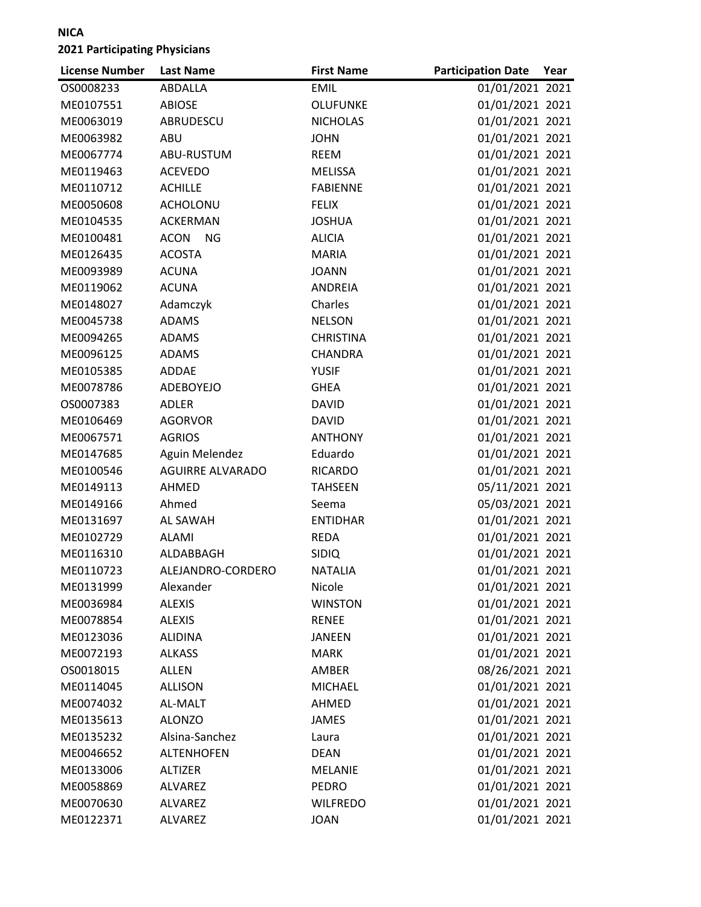| <b>License Number</b> | <b>Last Name</b>         | <b>First Name</b> | <b>Participation Date</b> | Year |
|-----------------------|--------------------------|-------------------|---------------------------|------|
| OS0008233             | ABDALLA                  | <b>EMIL</b>       | 01/01/2021 2021           |      |
| ME0107551             | <b>ABIOSE</b>            | <b>OLUFUNKE</b>   | 01/01/2021 2021           |      |
| ME0063019             | ABRUDESCU                | <b>NICHOLAS</b>   | 01/01/2021 2021           |      |
| ME0063982             | ABU                      | <b>JOHN</b>       | 01/01/2021 2021           |      |
| ME0067774             | ABU-RUSTUM               | <b>REEM</b>       | 01/01/2021 2021           |      |
| ME0119463             | <b>ACEVEDO</b>           | <b>MELISSA</b>    | 01/01/2021 2021           |      |
| ME0110712             | <b>ACHILLE</b>           | <b>FABIENNE</b>   | 01/01/2021 2021           |      |
| ME0050608             | <b>ACHOLONU</b>          | <b>FELIX</b>      | 01/01/2021 2021           |      |
| ME0104535             | <b>ACKERMAN</b>          | <b>JOSHUA</b>     | 01/01/2021 2021           |      |
| ME0100481             | <b>ACON</b><br><b>NG</b> | <b>ALICIA</b>     | 01/01/2021 2021           |      |
| ME0126435             | <b>ACOSTA</b>            | <b>MARIA</b>      | 01/01/2021 2021           |      |
| ME0093989             | <b>ACUNA</b>             | <b>JOANN</b>      | 01/01/2021 2021           |      |
| ME0119062             | <b>ACUNA</b>             | ANDREIA           | 01/01/2021 2021           |      |
| ME0148027             | Adamczyk                 | Charles           | 01/01/2021 2021           |      |
| ME0045738             | <b>ADAMS</b>             | <b>NELSON</b>     | 01/01/2021 2021           |      |
| ME0094265             | <b>ADAMS</b>             | <b>CHRISTINA</b>  | 01/01/2021 2021           |      |
| ME0096125             | <b>ADAMS</b>             | <b>CHANDRA</b>    | 01/01/2021 2021           |      |
| ME0105385             | <b>ADDAE</b>             | <b>YUSIF</b>      | 01/01/2021 2021           |      |
| ME0078786             | ADEBOYEJO                | <b>GHEA</b>       | 01/01/2021 2021           |      |
| OS0007383             | <b>ADLER</b>             | <b>DAVID</b>      | 01/01/2021 2021           |      |
| ME0106469             | <b>AGORVOR</b>           | <b>DAVID</b>      | 01/01/2021 2021           |      |
| ME0067571             | <b>AGRIOS</b>            | <b>ANTHONY</b>    | 01/01/2021 2021           |      |
| ME0147685             | Aguin Melendez           | Eduardo           | 01/01/2021 2021           |      |
| ME0100546             | <b>AGUIRRE ALVARADO</b>  | <b>RICARDO</b>    | 01/01/2021 2021           |      |
| ME0149113             | AHMED                    | <b>TAHSEEN</b>    | 05/11/2021 2021           |      |
| ME0149166             | Ahmed                    | Seema             | 05/03/2021 2021           |      |
| ME0131697             | AL SAWAH                 | <b>ENTIDHAR</b>   | 01/01/2021 2021           |      |
| ME0102729             | <b>ALAMI</b>             | <b>REDA</b>       | 01/01/2021 2021           |      |
| ME0116310             | ALDABBAGH                | <b>SIDIQ</b>      | 01/01/2021 2021           |      |
| ME0110723             | ALEJANDRO-CORDERO        | <b>NATALIA</b>    | 01/01/2021 2021           |      |
| ME0131999             | Alexander                | Nicole            | 01/01/2021 2021           |      |
| ME0036984             | <b>ALEXIS</b>            | <b>WINSTON</b>    | 01/01/2021 2021           |      |
| ME0078854             | <b>ALEXIS</b>            | <b>RENEE</b>      | 01/01/2021 2021           |      |
| ME0123036             | <b>ALIDINA</b>           | <b>JANEEN</b>     | 01/01/2021 2021           |      |
| ME0072193             | <b>ALKASS</b>            | <b>MARK</b>       | 01/01/2021 2021           |      |
| OS0018015             | <b>ALLEN</b>             | AMBER             | 08/26/2021 2021           |      |
| ME0114045             | <b>ALLISON</b>           | <b>MICHAEL</b>    | 01/01/2021 2021           |      |
| ME0074032             | AL-MALT                  | AHMED             | 01/01/2021 2021           |      |
| ME0135613             | <b>ALONZO</b>            | <b>JAMES</b>      | 01/01/2021 2021           |      |
| ME0135232             | Alsina-Sanchez           | Laura             | 01/01/2021 2021           |      |
| ME0046652             | <b>ALTENHOFEN</b>        | <b>DEAN</b>       | 01/01/2021 2021           |      |
| ME0133006             | <b>ALTIZER</b>           | <b>MELANIE</b>    | 01/01/2021 2021           |      |
| ME0058869             | ALVAREZ                  | <b>PEDRO</b>      | 01/01/2021 2021           |      |
| ME0070630             | ALVAREZ                  | <b>WILFREDO</b>   | 01/01/2021 2021           |      |
| ME0122371             | ALVAREZ                  | <b>JOAN</b>       | 01/01/2021 2021           |      |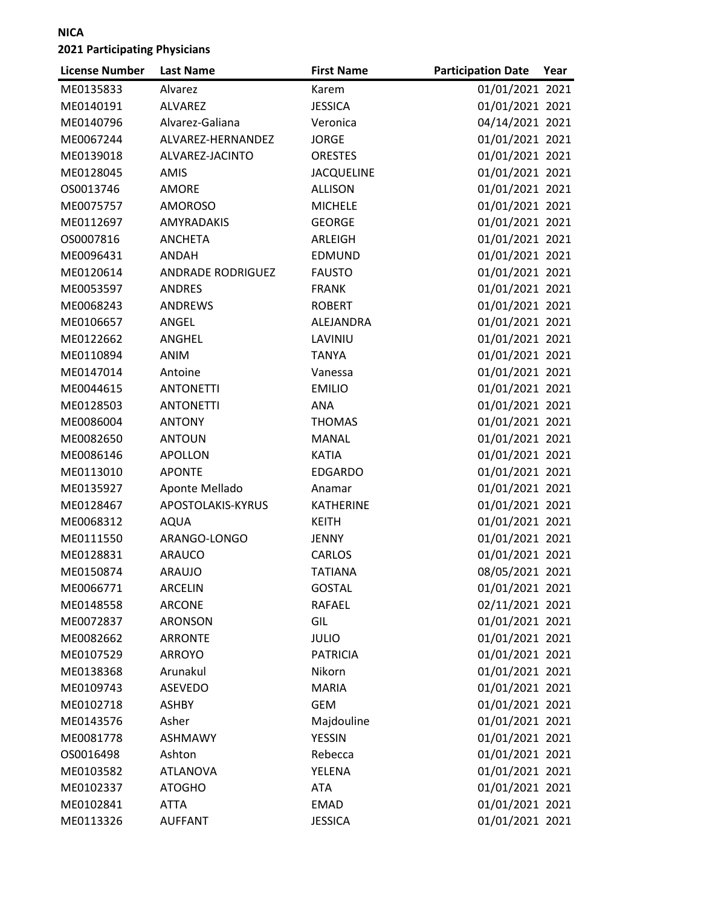| <b>License Number</b> | <b>Last Name</b>         | <b>First Name</b> | <b>Participation Date</b> | Year |
|-----------------------|--------------------------|-------------------|---------------------------|------|
| ME0135833             | Alvarez                  | Karem             | 01/01/2021 2021           |      |
| ME0140191             | <b>ALVAREZ</b>           | <b>JESSICA</b>    | 01/01/2021 2021           |      |
| ME0140796             | Alvarez-Galiana          | Veronica          | 04/14/2021 2021           |      |
| ME0067244             | ALVAREZ-HERNANDEZ        | <b>JORGE</b>      | 01/01/2021 2021           |      |
| ME0139018             | ALVAREZ-JACINTO          | <b>ORESTES</b>    | 01/01/2021 2021           |      |
| ME0128045             | AMIS                     | <b>JACQUELINE</b> | 01/01/2021 2021           |      |
| OS0013746             | <b>AMORE</b>             | <b>ALLISON</b>    | 01/01/2021 2021           |      |
| ME0075757             | <b>AMOROSO</b>           | <b>MICHELE</b>    | 01/01/2021 2021           |      |
| ME0112697             | <b>AMYRADAKIS</b>        | <b>GEORGE</b>     | 01/01/2021 2021           |      |
| OS0007816             | <b>ANCHETA</b>           | ARLEIGH           | 01/01/2021 2021           |      |
| ME0096431             | ANDAH                    | <b>EDMUND</b>     | 01/01/2021 2021           |      |
| ME0120614             | <b>ANDRADE RODRIGUEZ</b> | <b>FAUSTO</b>     | 01/01/2021 2021           |      |
| ME0053597             | <b>ANDRES</b>            | <b>FRANK</b>      | 01/01/2021 2021           |      |
| ME0068243             | <b>ANDREWS</b>           | <b>ROBERT</b>     | 01/01/2021 2021           |      |
| ME0106657             | ANGEL                    | ALEJANDRA         | 01/01/2021 2021           |      |
| ME0122662             | ANGHEL                   | LAVINIU           | 01/01/2021 2021           |      |
| ME0110894             | ANIM                     | <b>TANYA</b>      | 01/01/2021 2021           |      |
| ME0147014             | Antoine                  | Vanessa           | 01/01/2021 2021           |      |
| ME0044615             | <b>ANTONETTI</b>         | <b>EMILIO</b>     | 01/01/2021 2021           |      |
| ME0128503             | <b>ANTONETTI</b>         | ANA               | 01/01/2021 2021           |      |
| ME0086004             | <b>ANTONY</b>            | <b>THOMAS</b>     | 01/01/2021 2021           |      |
| ME0082650             | <b>ANTOUN</b>            | <b>MANAL</b>      | 01/01/2021 2021           |      |
| ME0086146             | <b>APOLLON</b>           | <b>KATIA</b>      | 01/01/2021 2021           |      |
| ME0113010             | <b>APONTE</b>            | <b>EDGARDO</b>    | 01/01/2021 2021           |      |
| ME0135927             | Aponte Mellado           | Anamar            | 01/01/2021 2021           |      |
| ME0128467             | APOSTOLAKIS-KYRUS        | KATHERINE         | 01/01/2021 2021           |      |
| ME0068312             | <b>AQUA</b>              | <b>KEITH</b>      | 01/01/2021 2021           |      |
| ME0111550             | ARANGO-LONGO             | JENNY             | 01/01/2021 2021           |      |
| ME0128831             | <b>ARAUCO</b>            | <b>CARLOS</b>     | 01/01/2021 2021           |      |
| ME0150874             | <b>ARAUJO</b>            | <b>TATIANA</b>    | 08/05/2021 2021           |      |
| ME0066771             | ARCELIN                  | <b>GOSTAL</b>     | 01/01/2021 2021           |      |
| ME0148558             | <b>ARCONE</b>            | <b>RAFAEL</b>     | 02/11/2021 2021           |      |
| ME0072837             | <b>ARONSON</b>           | GIL               | 01/01/2021 2021           |      |
| ME0082662             | <b>ARRONTE</b>           | <b>JULIO</b>      | 01/01/2021 2021           |      |
| ME0107529             | <b>ARROYO</b>            | <b>PATRICIA</b>   | 01/01/2021 2021           |      |
| ME0138368             | Arunakul                 | Nikorn            | 01/01/2021 2021           |      |
| ME0109743             | <b>ASEVEDO</b>           | <b>MARIA</b>      | 01/01/2021 2021           |      |
| ME0102718             | <b>ASHBY</b>             | <b>GEM</b>        | 01/01/2021 2021           |      |
| ME0143576             | Asher                    | Majdouline        | 01/01/2021 2021           |      |
| ME0081778             | <b>ASHMAWY</b>           | <b>YESSIN</b>     | 01/01/2021 2021           |      |
| OS0016498             | Ashton                   | Rebecca           | 01/01/2021 2021           |      |
| ME0103582             | <b>ATLANOVA</b>          | YELENA            | 01/01/2021 2021           |      |
| ME0102337             | <b>ATOGHO</b>            | <b>ATA</b>        | 01/01/2021 2021           |      |
| ME0102841             | <b>ATTA</b>              | <b>EMAD</b>       | 01/01/2021 2021           |      |
| ME0113326             | <b>AUFFANT</b>           | <b>JESSICA</b>    | 01/01/2021 2021           |      |
|                       |                          |                   |                           |      |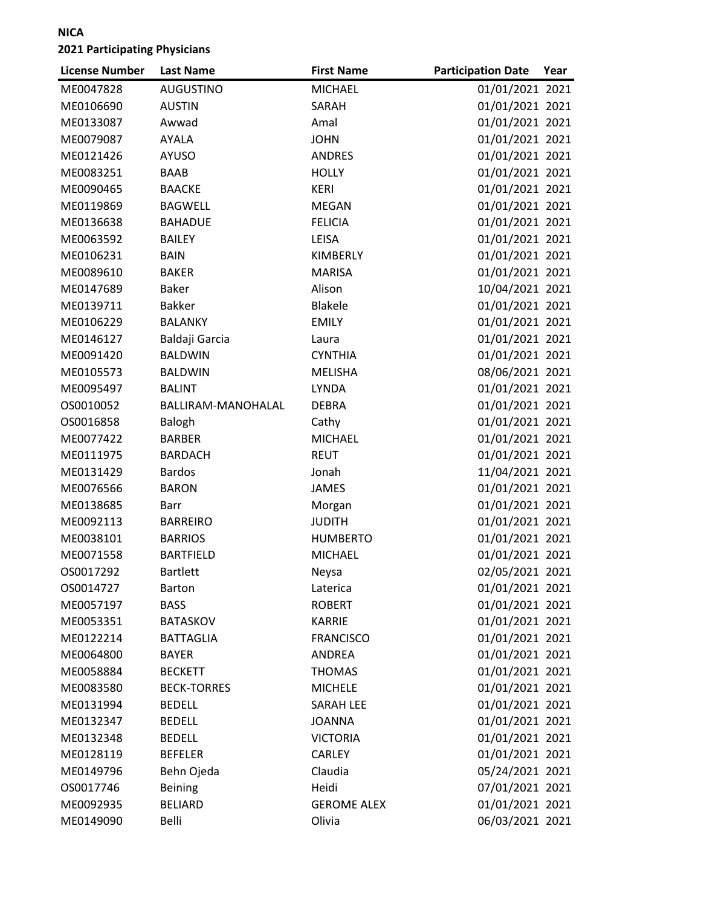| <b>License Number</b> | <b>Last Name</b>   | <b>First Name</b>  | <b>Participation Date</b> | Year |
|-----------------------|--------------------|--------------------|---------------------------|------|
| ME0047828             | <b>AUGUSTINO</b>   | <b>MICHAEL</b>     | 01/01/2021 2021           |      |
| ME0106690             | <b>AUSTIN</b>      | SARAH              | 01/01/2021 2021           |      |
| ME0133087             | Awwad              | Amal               | 01/01/2021 2021           |      |
| ME0079087             | AYALA              | <b>JOHN</b>        | 01/01/2021 2021           |      |
| ME0121426             | <b>AYUSO</b>       | <b>ANDRES</b>      | 01/01/2021 2021           |      |
| ME0083251             | <b>BAAB</b>        | <b>HOLLY</b>       | 01/01/2021 2021           |      |
| ME0090465             | <b>BAACKE</b>      | <b>KERI</b>        | 01/01/2021 2021           |      |
| ME0119869             | <b>BAGWELL</b>     | <b>MEGAN</b>       | 01/01/2021 2021           |      |
| ME0136638             | <b>BAHADUE</b>     | <b>FELICIA</b>     | 01/01/2021 2021           |      |
| ME0063592             | <b>BAILEY</b>      | LEISA              | 01/01/2021 2021           |      |
| ME0106231             | <b>BAIN</b>        | KIMBERLY           | 01/01/2021 2021           |      |
| ME0089610             | <b>BAKER</b>       | <b>MARISA</b>      | 01/01/2021 2021           |      |
| ME0147689             | <b>Baker</b>       | Alison             | 10/04/2021 2021           |      |
| ME0139711             | <b>Bakker</b>      | <b>Blakele</b>     | 01/01/2021 2021           |      |
| ME0106229             | <b>BALANKY</b>     | <b>EMILY</b>       | 01/01/2021 2021           |      |
| ME0146127             | Baldaji Garcia     | Laura              | 01/01/2021 2021           |      |
| ME0091420             | <b>BALDWIN</b>     | <b>CYNTHIA</b>     | 01/01/2021 2021           |      |
| ME0105573             | <b>BALDWIN</b>     | <b>MELISHA</b>     | 08/06/2021 2021           |      |
| ME0095497             | <b>BALINT</b>      | <b>LYNDA</b>       | 01/01/2021 2021           |      |
| OS0010052             | BALLIRAM-MANOHALAL | <b>DEBRA</b>       | 01/01/2021 2021           |      |
| OS0016858             | Balogh             | Cathy              | 01/01/2021 2021           |      |
| ME0077422             | <b>BARBER</b>      | <b>MICHAEL</b>     | 01/01/2021 2021           |      |
| ME0111975             | <b>BARDACH</b>     | <b>REUT</b>        | 01/01/2021 2021           |      |
| ME0131429             | <b>Bardos</b>      | Jonah              | 11/04/2021 2021           |      |
| ME0076566             | <b>BARON</b>       | <b>JAMES</b>       | 01/01/2021 2021           |      |
| ME0138685             | Barr               | Morgan             | 01/01/2021 2021           |      |
| ME0092113             | <b>BARREIRO</b>    | <b>JUDITH</b>      | 01/01/2021 2021           |      |
| ME0038101             | <b>BARRIOS</b>     | <b>HUMBERTO</b>    | 01/01/2021 2021           |      |
| ME0071558             | <b>BARTFIELD</b>   | <b>MICHAEL</b>     | 01/01/2021 2021           |      |
| OS0017292             | <b>Bartlett</b>    | Neysa              | 02/05/2021 2021           |      |
| OS0014727             | <b>Barton</b>      | Laterica           | 01/01/2021 2021           |      |
| ME0057197             | <b>BASS</b>        | <b>ROBERT</b>      | 01/01/2021 2021           |      |
| ME0053351             | <b>BATASKOV</b>    | <b>KARRIE</b>      | 01/01/2021 2021           |      |
| ME0122214             | <b>BATTAGLIA</b>   | <b>FRANCISCO</b>   | 01/01/2021 2021           |      |
| ME0064800             | <b>BAYER</b>       | ANDREA             | 01/01/2021 2021           |      |
| ME0058884             | <b>BECKETT</b>     | <b>THOMAS</b>      | 01/01/2021 2021           |      |
| ME0083580             | <b>BECK-TORRES</b> | <b>MICHELE</b>     | 01/01/2021 2021           |      |
| ME0131994             | <b>BEDELL</b>      | <b>SARAH LEE</b>   | 01/01/2021 2021           |      |
| ME0132347             | <b>BEDELL</b>      | <b>JOANNA</b>      | 01/01/2021 2021           |      |
| ME0132348             | <b>BEDELL</b>      | <b>VICTORIA</b>    | 01/01/2021 2021           |      |
| ME0128119             | <b>BEFELER</b>     | <b>CARLEY</b>      | 01/01/2021 2021           |      |
| ME0149796             | Behn Ojeda         | Claudia            | 05/24/2021 2021           |      |
| OS0017746             | <b>Beining</b>     | Heidi              | 07/01/2021 2021           |      |
| ME0092935             | <b>BELIARD</b>     | <b>GEROME ALEX</b> | 01/01/2021 2021           |      |
| ME0149090             | Belli              | Olivia             | 06/03/2021 2021           |      |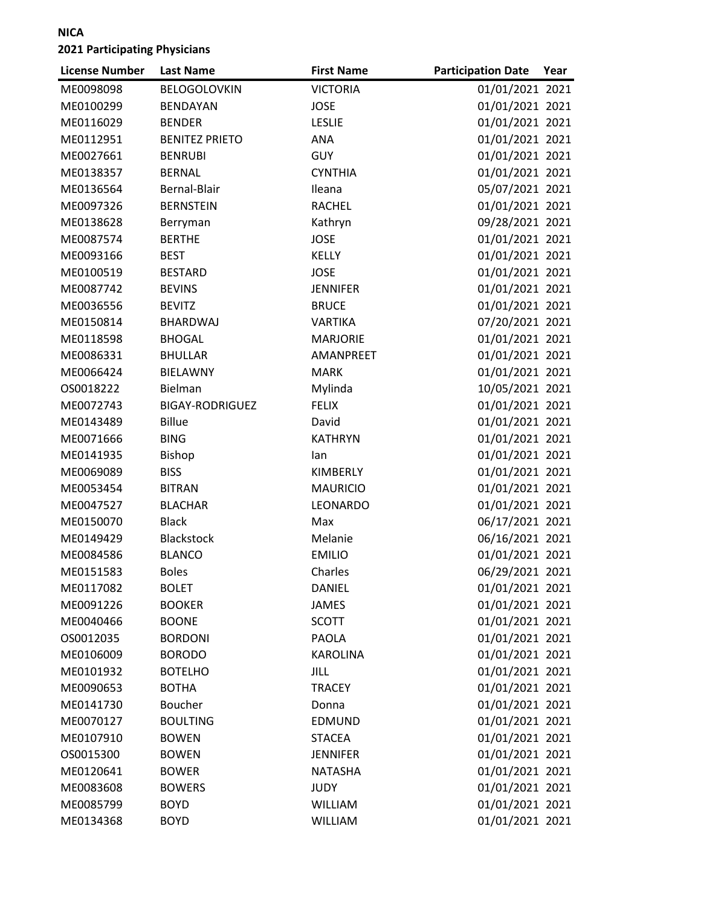| <b>License Number</b> | <b>Last Name</b>       | <b>First Name</b> | <b>Participation Date</b> | Year |
|-----------------------|------------------------|-------------------|---------------------------|------|
| ME0098098             | <b>BELOGOLOVKIN</b>    | <b>VICTORIA</b>   | 01/01/2021 2021           |      |
| ME0100299             | <b>BENDAYAN</b>        | <b>JOSE</b>       | 01/01/2021 2021           |      |
| ME0116029             | <b>BENDER</b>          | <b>LESLIE</b>     | 01/01/2021 2021           |      |
| ME0112951             | <b>BENITEZ PRIETO</b>  | ANA               | 01/01/2021 2021           |      |
| ME0027661             | <b>BENRUBI</b>         | <b>GUY</b>        | 01/01/2021 2021           |      |
| ME0138357             | <b>BERNAL</b>          | <b>CYNTHIA</b>    | 01/01/2021 2021           |      |
| ME0136564             | Bernal-Blair           | Ileana            | 05/07/2021 2021           |      |
| ME0097326             | <b>BERNSTEIN</b>       | <b>RACHEL</b>     | 01/01/2021 2021           |      |
| ME0138628             | Berryman               | Kathryn           | 09/28/2021 2021           |      |
| ME0087574             | <b>BERTHE</b>          | <b>JOSE</b>       | 01/01/2021 2021           |      |
| ME0093166             | <b>BEST</b>            | <b>KELLY</b>      | 01/01/2021 2021           |      |
| ME0100519             | <b>BESTARD</b>         | <b>JOSE</b>       | 01/01/2021 2021           |      |
| ME0087742             | <b>BEVINS</b>          | <b>JENNIFER</b>   | 01/01/2021 2021           |      |
| ME0036556             | <b>BEVITZ</b>          | <b>BRUCE</b>      | 01/01/2021 2021           |      |
| ME0150814             | BHARDWAJ               | <b>VARTIKA</b>    | 07/20/2021 2021           |      |
| ME0118598             | <b>BHOGAL</b>          | <b>MARJORIE</b>   | 01/01/2021 2021           |      |
| ME0086331             | <b>BHULLAR</b>         | AMANPREET         | 01/01/2021 2021           |      |
| ME0066424             | <b>BIELAWNY</b>        | <b>MARK</b>       | 01/01/2021 2021           |      |
| OS0018222             | <b>Bielman</b>         | Mylinda           | 10/05/2021 2021           |      |
| ME0072743             | <b>BIGAY-RODRIGUEZ</b> | <b>FELIX</b>      | 01/01/2021 2021           |      |
| ME0143489             | <b>Billue</b>          | David             | 01/01/2021 2021           |      |
| ME0071666             | <b>BING</b>            | <b>KATHRYN</b>    | 01/01/2021 2021           |      |
| ME0141935             | <b>Bishop</b>          | lan               | 01/01/2021 2021           |      |
| ME0069089             | <b>BISS</b>            | KIMBERLY          | 01/01/2021 2021           |      |
| ME0053454             | <b>BITRAN</b>          | <b>MAURICIO</b>   | 01/01/2021 2021           |      |
| ME0047527             | <b>BLACHAR</b>         | LEONARDO          | 01/01/2021 2021           |      |
| ME0150070             | <b>Black</b>           | Max               | 06/17/2021 2021           |      |
| ME0149429             | <b>Blackstock</b>      | Melanie           | 06/16/2021 2021           |      |
| ME0084586             | <b>BLANCO</b>          | <b>EMILIO</b>     | 01/01/2021 2021           |      |
| ME0151583             | <b>Boles</b>           | Charles           | 06/29/2021 2021           |      |
| ME0117082             | <b>BOLET</b>           | DANIEL            | 01/01/2021 2021           |      |
| ME0091226             | <b>BOOKER</b>          | <b>JAMES</b>      | 01/01/2021 2021           |      |
| ME0040466             | <b>BOONE</b>           | <b>SCOTT</b>      | 01/01/2021 2021           |      |
| OS0012035             | <b>BORDONI</b>         | <b>PAOLA</b>      | 01/01/2021 2021           |      |
| ME0106009             | <b>BORODO</b>          | <b>KAROLINA</b>   | 01/01/2021 2021           |      |
| ME0101932             | <b>BOTELHO</b>         | JILL              | 01/01/2021 2021           |      |
| ME0090653             | <b>BOTHA</b>           | <b>TRACEY</b>     | 01/01/2021 2021           |      |
| ME0141730             | Boucher                | Donna             | 01/01/2021 2021           |      |
| ME0070127             | <b>BOULTING</b>        | <b>EDMUND</b>     | 01/01/2021 2021           |      |
| ME0107910             | <b>BOWEN</b>           | <b>STACEA</b>     | 01/01/2021 2021           |      |
| OS0015300             | <b>BOWEN</b>           | <b>JENNIFER</b>   | 01/01/2021 2021           |      |
| ME0120641             | <b>BOWER</b>           | <b>NATASHA</b>    | 01/01/2021 2021           |      |
| ME0083608             | <b>BOWERS</b>          | <b>JUDY</b>       | 01/01/2021 2021           |      |
| ME0085799             | <b>BOYD</b>            | <b>WILLIAM</b>    | 01/01/2021 2021           |      |
| ME0134368             | <b>BOYD</b>            | WILLIAM           | 01/01/2021 2021           |      |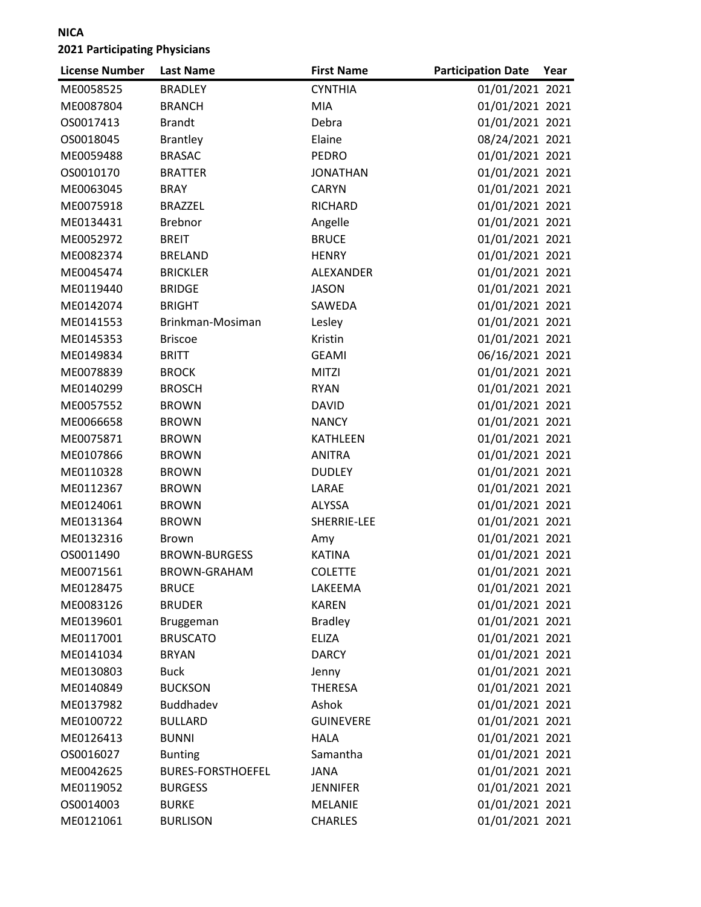| <b>CYNTHIA</b><br>01/01/2021 2021<br>ME0058525<br><b>BRADLEY</b><br>01/01/2021 2021<br>ME0087804<br><b>BRANCH</b><br><b>MIA</b><br>OS0017413<br><b>Brandt</b><br>Debra<br>01/01/2021 2021<br>08/24/2021 2021<br>Elaine<br>OS0018045<br><b>Brantley</b><br><b>BRASAC</b><br><b>PEDRO</b><br>01/01/2021 2021<br>ME0059488<br>01/01/2021 2021<br>OS0010170<br><b>BRATTER</b><br><b>JONATHAN</b><br>01/01/2021 2021<br>ME0063045<br><b>BRAY</b><br><b>CARYN</b><br>01/01/2021 2021<br>ME0075918<br><b>BRAZZEL</b><br>RICHARD<br><b>Brebnor</b><br>Angelle<br>01/01/2021 2021<br>ME0134431<br><b>BRUCE</b><br>01/01/2021 2021<br>ME0052972<br><b>BREIT</b><br>01/01/2021 2021<br>ME0082374<br><b>HENRY</b><br><b>BRELAND</b><br>01/01/2021 2021<br>ME0045474<br><b>BRICKLER</b><br>ALEXANDER<br><b>BRIDGE</b><br>01/01/2021 2021<br>ME0119440<br><b>JASON</b><br>01/01/2021 2021<br>ME0142074<br><b>BRIGHT</b><br>SAWEDA<br>ME0141553<br>Brinkman-Mosiman<br>01/01/2021 2021<br>Lesley<br>Kristin<br>01/01/2021 2021<br>ME0145353<br><b>Briscoe</b><br><b>BRITT</b><br>06/16/2021 2021<br>ME0149834<br><b>GEAMI</b><br>01/01/2021 2021<br>ME0078839<br><b>BROCK</b><br><b>MITZI</b><br>01/01/2021 2021<br>ME0140299<br><b>BROSCH</b><br><b>RYAN</b><br>01/01/2021 2021<br>ME0057552<br><b>BROWN</b><br><b>DAVID</b><br>01/01/2021 2021<br>ME0066658<br><b>BROWN</b><br><b>NANCY</b><br>01/01/2021 2021<br>ME0075871<br><b>BROWN</b><br><b>KATHLEEN</b><br>01/01/2021 2021<br>ME0107866<br><b>ANITRA</b><br><b>BROWN</b><br>01/01/2021 2021<br>ME0110328<br><b>BROWN</b><br><b>DUDLEY</b><br>01/01/2021 2021<br>ME0112367<br><b>BROWN</b><br>LARAE<br>01/01/2021 2021<br>ME0124061<br><b>BROWN</b><br>ALYSSA<br>SHERRIE-LEE<br>01/01/2021 2021<br>ME0131364<br><b>BROWN</b><br>01/01/2021 2021<br>ME0132316<br><b>Brown</b><br>Amy<br>01/01/2021 2021<br><b>KATINA</b><br>OS0011490<br><b>BROWN-BURGESS</b><br>01/01/2021 2021<br>ME0071561<br><b>BROWN-GRAHAM</b><br><b>COLETTE</b><br>01/01/2021 2021<br>ME0128475<br><b>BRUCE</b><br>LAKEEMA<br><b>KAREN</b><br>01/01/2021 2021<br>ME0083126<br><b>BRUDER</b><br>01/01/2021 2021<br>ME0139601<br><b>Bradley</b><br>Bruggeman<br>01/01/2021 2021<br>ME0117001<br><b>BRUSCATO</b><br><b>ELIZA</b><br>01/01/2021 2021<br>ME0141034<br><b>BRYAN</b><br><b>DARCY</b><br>01/01/2021 2021<br>ME0130803<br><b>Buck</b><br>Jenny<br>01/01/2021 2021<br>ME0140849<br><b>BUCKSON</b><br><b>THERESA</b><br>01/01/2021 2021<br>Buddhadev<br>Ashok<br>ME0137982<br><b>GUINEVERE</b><br>01/01/2021 2021<br>ME0100722<br><b>BULLARD</b><br>01/01/2021 2021<br>ME0126413<br><b>BUNNI</b><br><b>HALA</b><br>Samantha<br>01/01/2021 2021<br>OS0016027<br><b>Bunting</b><br>01/01/2021 2021<br>ME0042625<br><b>BURES-FORSTHOEFEL</b><br><b>JANA</b><br>01/01/2021 2021<br>ME0119052<br><b>BURGESS</b><br><b>JENNIFER</b><br>01/01/2021 2021<br>OS0014003<br><b>BURKE</b><br><b>MELANIE</b><br>01/01/2021 2021 | <b>License Number</b> | <b>Last Name</b> | <b>First Name</b> | <b>Participation Date</b> | Year |
|----------------------------------------------------------------------------------------------------------------------------------------------------------------------------------------------------------------------------------------------------------------------------------------------------------------------------------------------------------------------------------------------------------------------------------------------------------------------------------------------------------------------------------------------------------------------------------------------------------------------------------------------------------------------------------------------------------------------------------------------------------------------------------------------------------------------------------------------------------------------------------------------------------------------------------------------------------------------------------------------------------------------------------------------------------------------------------------------------------------------------------------------------------------------------------------------------------------------------------------------------------------------------------------------------------------------------------------------------------------------------------------------------------------------------------------------------------------------------------------------------------------------------------------------------------------------------------------------------------------------------------------------------------------------------------------------------------------------------------------------------------------------------------------------------------------------------------------------------------------------------------------------------------------------------------------------------------------------------------------------------------------------------------------------------------------------------------------------------------------------------------------------------------------------------------------------------------------------------------------------------------------------------------------------------------------------------------------------------------------------------------------------------------------------------------------------------------------------------------------------------------------------------------------------------------------------------------------------------------------------------------------------------------------------------------------------------------------------------------------------------------------------------------------------------------------------------------------------------------------------------------------------------------------------------------------|-----------------------|------------------|-------------------|---------------------------|------|
|                                                                                                                                                                                                                                                                                                                                                                                                                                                                                                                                                                                                                                                                                                                                                                                                                                                                                                                                                                                                                                                                                                                                                                                                                                                                                                                                                                                                                                                                                                                                                                                                                                                                                                                                                                                                                                                                                                                                                                                                                                                                                                                                                                                                                                                                                                                                                                                                                                                                                                                                                                                                                                                                                                                                                                                                                                                                                                                                        |                       |                  |                   |                           |      |
|                                                                                                                                                                                                                                                                                                                                                                                                                                                                                                                                                                                                                                                                                                                                                                                                                                                                                                                                                                                                                                                                                                                                                                                                                                                                                                                                                                                                                                                                                                                                                                                                                                                                                                                                                                                                                                                                                                                                                                                                                                                                                                                                                                                                                                                                                                                                                                                                                                                                                                                                                                                                                                                                                                                                                                                                                                                                                                                                        |                       |                  |                   |                           |      |
|                                                                                                                                                                                                                                                                                                                                                                                                                                                                                                                                                                                                                                                                                                                                                                                                                                                                                                                                                                                                                                                                                                                                                                                                                                                                                                                                                                                                                                                                                                                                                                                                                                                                                                                                                                                                                                                                                                                                                                                                                                                                                                                                                                                                                                                                                                                                                                                                                                                                                                                                                                                                                                                                                                                                                                                                                                                                                                                                        |                       |                  |                   |                           |      |
|                                                                                                                                                                                                                                                                                                                                                                                                                                                                                                                                                                                                                                                                                                                                                                                                                                                                                                                                                                                                                                                                                                                                                                                                                                                                                                                                                                                                                                                                                                                                                                                                                                                                                                                                                                                                                                                                                                                                                                                                                                                                                                                                                                                                                                                                                                                                                                                                                                                                                                                                                                                                                                                                                                                                                                                                                                                                                                                                        |                       |                  |                   |                           |      |
|                                                                                                                                                                                                                                                                                                                                                                                                                                                                                                                                                                                                                                                                                                                                                                                                                                                                                                                                                                                                                                                                                                                                                                                                                                                                                                                                                                                                                                                                                                                                                                                                                                                                                                                                                                                                                                                                                                                                                                                                                                                                                                                                                                                                                                                                                                                                                                                                                                                                                                                                                                                                                                                                                                                                                                                                                                                                                                                                        |                       |                  |                   |                           |      |
|                                                                                                                                                                                                                                                                                                                                                                                                                                                                                                                                                                                                                                                                                                                                                                                                                                                                                                                                                                                                                                                                                                                                                                                                                                                                                                                                                                                                                                                                                                                                                                                                                                                                                                                                                                                                                                                                                                                                                                                                                                                                                                                                                                                                                                                                                                                                                                                                                                                                                                                                                                                                                                                                                                                                                                                                                                                                                                                                        |                       |                  |                   |                           |      |
|                                                                                                                                                                                                                                                                                                                                                                                                                                                                                                                                                                                                                                                                                                                                                                                                                                                                                                                                                                                                                                                                                                                                                                                                                                                                                                                                                                                                                                                                                                                                                                                                                                                                                                                                                                                                                                                                                                                                                                                                                                                                                                                                                                                                                                                                                                                                                                                                                                                                                                                                                                                                                                                                                                                                                                                                                                                                                                                                        |                       |                  |                   |                           |      |
|                                                                                                                                                                                                                                                                                                                                                                                                                                                                                                                                                                                                                                                                                                                                                                                                                                                                                                                                                                                                                                                                                                                                                                                                                                                                                                                                                                                                                                                                                                                                                                                                                                                                                                                                                                                                                                                                                                                                                                                                                                                                                                                                                                                                                                                                                                                                                                                                                                                                                                                                                                                                                                                                                                                                                                                                                                                                                                                                        |                       |                  |                   |                           |      |
|                                                                                                                                                                                                                                                                                                                                                                                                                                                                                                                                                                                                                                                                                                                                                                                                                                                                                                                                                                                                                                                                                                                                                                                                                                                                                                                                                                                                                                                                                                                                                                                                                                                                                                                                                                                                                                                                                                                                                                                                                                                                                                                                                                                                                                                                                                                                                                                                                                                                                                                                                                                                                                                                                                                                                                                                                                                                                                                                        |                       |                  |                   |                           |      |
|                                                                                                                                                                                                                                                                                                                                                                                                                                                                                                                                                                                                                                                                                                                                                                                                                                                                                                                                                                                                                                                                                                                                                                                                                                                                                                                                                                                                                                                                                                                                                                                                                                                                                                                                                                                                                                                                                                                                                                                                                                                                                                                                                                                                                                                                                                                                                                                                                                                                                                                                                                                                                                                                                                                                                                                                                                                                                                                                        |                       |                  |                   |                           |      |
|                                                                                                                                                                                                                                                                                                                                                                                                                                                                                                                                                                                                                                                                                                                                                                                                                                                                                                                                                                                                                                                                                                                                                                                                                                                                                                                                                                                                                                                                                                                                                                                                                                                                                                                                                                                                                                                                                                                                                                                                                                                                                                                                                                                                                                                                                                                                                                                                                                                                                                                                                                                                                                                                                                                                                                                                                                                                                                                                        |                       |                  |                   |                           |      |
|                                                                                                                                                                                                                                                                                                                                                                                                                                                                                                                                                                                                                                                                                                                                                                                                                                                                                                                                                                                                                                                                                                                                                                                                                                                                                                                                                                                                                                                                                                                                                                                                                                                                                                                                                                                                                                                                                                                                                                                                                                                                                                                                                                                                                                                                                                                                                                                                                                                                                                                                                                                                                                                                                                                                                                                                                                                                                                                                        |                       |                  |                   |                           |      |
|                                                                                                                                                                                                                                                                                                                                                                                                                                                                                                                                                                                                                                                                                                                                                                                                                                                                                                                                                                                                                                                                                                                                                                                                                                                                                                                                                                                                                                                                                                                                                                                                                                                                                                                                                                                                                                                                                                                                                                                                                                                                                                                                                                                                                                                                                                                                                                                                                                                                                                                                                                                                                                                                                                                                                                                                                                                                                                                                        |                       |                  |                   |                           |      |
|                                                                                                                                                                                                                                                                                                                                                                                                                                                                                                                                                                                                                                                                                                                                                                                                                                                                                                                                                                                                                                                                                                                                                                                                                                                                                                                                                                                                                                                                                                                                                                                                                                                                                                                                                                                                                                                                                                                                                                                                                                                                                                                                                                                                                                                                                                                                                                                                                                                                                                                                                                                                                                                                                                                                                                                                                                                                                                                                        |                       |                  |                   |                           |      |
|                                                                                                                                                                                                                                                                                                                                                                                                                                                                                                                                                                                                                                                                                                                                                                                                                                                                                                                                                                                                                                                                                                                                                                                                                                                                                                                                                                                                                                                                                                                                                                                                                                                                                                                                                                                                                                                                                                                                                                                                                                                                                                                                                                                                                                                                                                                                                                                                                                                                                                                                                                                                                                                                                                                                                                                                                                                                                                                                        |                       |                  |                   |                           |      |
|                                                                                                                                                                                                                                                                                                                                                                                                                                                                                                                                                                                                                                                                                                                                                                                                                                                                                                                                                                                                                                                                                                                                                                                                                                                                                                                                                                                                                                                                                                                                                                                                                                                                                                                                                                                                                                                                                                                                                                                                                                                                                                                                                                                                                                                                                                                                                                                                                                                                                                                                                                                                                                                                                                                                                                                                                                                                                                                                        |                       |                  |                   |                           |      |
|                                                                                                                                                                                                                                                                                                                                                                                                                                                                                                                                                                                                                                                                                                                                                                                                                                                                                                                                                                                                                                                                                                                                                                                                                                                                                                                                                                                                                                                                                                                                                                                                                                                                                                                                                                                                                                                                                                                                                                                                                                                                                                                                                                                                                                                                                                                                                                                                                                                                                                                                                                                                                                                                                                                                                                                                                                                                                                                                        |                       |                  |                   |                           |      |
|                                                                                                                                                                                                                                                                                                                                                                                                                                                                                                                                                                                                                                                                                                                                                                                                                                                                                                                                                                                                                                                                                                                                                                                                                                                                                                                                                                                                                                                                                                                                                                                                                                                                                                                                                                                                                                                                                                                                                                                                                                                                                                                                                                                                                                                                                                                                                                                                                                                                                                                                                                                                                                                                                                                                                                                                                                                                                                                                        |                       |                  |                   |                           |      |
|                                                                                                                                                                                                                                                                                                                                                                                                                                                                                                                                                                                                                                                                                                                                                                                                                                                                                                                                                                                                                                                                                                                                                                                                                                                                                                                                                                                                                                                                                                                                                                                                                                                                                                                                                                                                                                                                                                                                                                                                                                                                                                                                                                                                                                                                                                                                                                                                                                                                                                                                                                                                                                                                                                                                                                                                                                                                                                                                        |                       |                  |                   |                           |      |
|                                                                                                                                                                                                                                                                                                                                                                                                                                                                                                                                                                                                                                                                                                                                                                                                                                                                                                                                                                                                                                                                                                                                                                                                                                                                                                                                                                                                                                                                                                                                                                                                                                                                                                                                                                                                                                                                                                                                                                                                                                                                                                                                                                                                                                                                                                                                                                                                                                                                                                                                                                                                                                                                                                                                                                                                                                                                                                                                        |                       |                  |                   |                           |      |
|                                                                                                                                                                                                                                                                                                                                                                                                                                                                                                                                                                                                                                                                                                                                                                                                                                                                                                                                                                                                                                                                                                                                                                                                                                                                                                                                                                                                                                                                                                                                                                                                                                                                                                                                                                                                                                                                                                                                                                                                                                                                                                                                                                                                                                                                                                                                                                                                                                                                                                                                                                                                                                                                                                                                                                                                                                                                                                                                        |                       |                  |                   |                           |      |
|                                                                                                                                                                                                                                                                                                                                                                                                                                                                                                                                                                                                                                                                                                                                                                                                                                                                                                                                                                                                                                                                                                                                                                                                                                                                                                                                                                                                                                                                                                                                                                                                                                                                                                                                                                                                                                                                                                                                                                                                                                                                                                                                                                                                                                                                                                                                                                                                                                                                                                                                                                                                                                                                                                                                                                                                                                                                                                                                        |                       |                  |                   |                           |      |
|                                                                                                                                                                                                                                                                                                                                                                                                                                                                                                                                                                                                                                                                                                                                                                                                                                                                                                                                                                                                                                                                                                                                                                                                                                                                                                                                                                                                                                                                                                                                                                                                                                                                                                                                                                                                                                                                                                                                                                                                                                                                                                                                                                                                                                                                                                                                                                                                                                                                                                                                                                                                                                                                                                                                                                                                                                                                                                                                        |                       |                  |                   |                           |      |
|                                                                                                                                                                                                                                                                                                                                                                                                                                                                                                                                                                                                                                                                                                                                                                                                                                                                                                                                                                                                                                                                                                                                                                                                                                                                                                                                                                                                                                                                                                                                                                                                                                                                                                                                                                                                                                                                                                                                                                                                                                                                                                                                                                                                                                                                                                                                                                                                                                                                                                                                                                                                                                                                                                                                                                                                                                                                                                                                        |                       |                  |                   |                           |      |
|                                                                                                                                                                                                                                                                                                                                                                                                                                                                                                                                                                                                                                                                                                                                                                                                                                                                                                                                                                                                                                                                                                                                                                                                                                                                                                                                                                                                                                                                                                                                                                                                                                                                                                                                                                                                                                                                                                                                                                                                                                                                                                                                                                                                                                                                                                                                                                                                                                                                                                                                                                                                                                                                                                                                                                                                                                                                                                                                        |                       |                  |                   |                           |      |
|                                                                                                                                                                                                                                                                                                                                                                                                                                                                                                                                                                                                                                                                                                                                                                                                                                                                                                                                                                                                                                                                                                                                                                                                                                                                                                                                                                                                                                                                                                                                                                                                                                                                                                                                                                                                                                                                                                                                                                                                                                                                                                                                                                                                                                                                                                                                                                                                                                                                                                                                                                                                                                                                                                                                                                                                                                                                                                                                        |                       |                  |                   |                           |      |
|                                                                                                                                                                                                                                                                                                                                                                                                                                                                                                                                                                                                                                                                                                                                                                                                                                                                                                                                                                                                                                                                                                                                                                                                                                                                                                                                                                                                                                                                                                                                                                                                                                                                                                                                                                                                                                                                                                                                                                                                                                                                                                                                                                                                                                                                                                                                                                                                                                                                                                                                                                                                                                                                                                                                                                                                                                                                                                                                        |                       |                  |                   |                           |      |
|                                                                                                                                                                                                                                                                                                                                                                                                                                                                                                                                                                                                                                                                                                                                                                                                                                                                                                                                                                                                                                                                                                                                                                                                                                                                                                                                                                                                                                                                                                                                                                                                                                                                                                                                                                                                                                                                                                                                                                                                                                                                                                                                                                                                                                                                                                                                                                                                                                                                                                                                                                                                                                                                                                                                                                                                                                                                                                                                        |                       |                  |                   |                           |      |
|                                                                                                                                                                                                                                                                                                                                                                                                                                                                                                                                                                                                                                                                                                                                                                                                                                                                                                                                                                                                                                                                                                                                                                                                                                                                                                                                                                                                                                                                                                                                                                                                                                                                                                                                                                                                                                                                                                                                                                                                                                                                                                                                                                                                                                                                                                                                                                                                                                                                                                                                                                                                                                                                                                                                                                                                                                                                                                                                        |                       |                  |                   |                           |      |
|                                                                                                                                                                                                                                                                                                                                                                                                                                                                                                                                                                                                                                                                                                                                                                                                                                                                                                                                                                                                                                                                                                                                                                                                                                                                                                                                                                                                                                                                                                                                                                                                                                                                                                                                                                                                                                                                                                                                                                                                                                                                                                                                                                                                                                                                                                                                                                                                                                                                                                                                                                                                                                                                                                                                                                                                                                                                                                                                        |                       |                  |                   |                           |      |
|                                                                                                                                                                                                                                                                                                                                                                                                                                                                                                                                                                                                                                                                                                                                                                                                                                                                                                                                                                                                                                                                                                                                                                                                                                                                                                                                                                                                                                                                                                                                                                                                                                                                                                                                                                                                                                                                                                                                                                                                                                                                                                                                                                                                                                                                                                                                                                                                                                                                                                                                                                                                                                                                                                                                                                                                                                                                                                                                        |                       |                  |                   |                           |      |
|                                                                                                                                                                                                                                                                                                                                                                                                                                                                                                                                                                                                                                                                                                                                                                                                                                                                                                                                                                                                                                                                                                                                                                                                                                                                                                                                                                                                                                                                                                                                                                                                                                                                                                                                                                                                                                                                                                                                                                                                                                                                                                                                                                                                                                                                                                                                                                                                                                                                                                                                                                                                                                                                                                                                                                                                                                                                                                                                        |                       |                  |                   |                           |      |
|                                                                                                                                                                                                                                                                                                                                                                                                                                                                                                                                                                                                                                                                                                                                                                                                                                                                                                                                                                                                                                                                                                                                                                                                                                                                                                                                                                                                                                                                                                                                                                                                                                                                                                                                                                                                                                                                                                                                                                                                                                                                                                                                                                                                                                                                                                                                                                                                                                                                                                                                                                                                                                                                                                                                                                                                                                                                                                                                        |                       |                  |                   |                           |      |
|                                                                                                                                                                                                                                                                                                                                                                                                                                                                                                                                                                                                                                                                                                                                                                                                                                                                                                                                                                                                                                                                                                                                                                                                                                                                                                                                                                                                                                                                                                                                                                                                                                                                                                                                                                                                                                                                                                                                                                                                                                                                                                                                                                                                                                                                                                                                                                                                                                                                                                                                                                                                                                                                                                                                                                                                                                                                                                                                        |                       |                  |                   |                           |      |
|                                                                                                                                                                                                                                                                                                                                                                                                                                                                                                                                                                                                                                                                                                                                                                                                                                                                                                                                                                                                                                                                                                                                                                                                                                                                                                                                                                                                                                                                                                                                                                                                                                                                                                                                                                                                                                                                                                                                                                                                                                                                                                                                                                                                                                                                                                                                                                                                                                                                                                                                                                                                                                                                                                                                                                                                                                                                                                                                        |                       |                  |                   |                           |      |
|                                                                                                                                                                                                                                                                                                                                                                                                                                                                                                                                                                                                                                                                                                                                                                                                                                                                                                                                                                                                                                                                                                                                                                                                                                                                                                                                                                                                                                                                                                                                                                                                                                                                                                                                                                                                                                                                                                                                                                                                                                                                                                                                                                                                                                                                                                                                                                                                                                                                                                                                                                                                                                                                                                                                                                                                                                                                                                                                        |                       |                  |                   |                           |      |
|                                                                                                                                                                                                                                                                                                                                                                                                                                                                                                                                                                                                                                                                                                                                                                                                                                                                                                                                                                                                                                                                                                                                                                                                                                                                                                                                                                                                                                                                                                                                                                                                                                                                                                                                                                                                                                                                                                                                                                                                                                                                                                                                                                                                                                                                                                                                                                                                                                                                                                                                                                                                                                                                                                                                                                                                                                                                                                                                        |                       |                  |                   |                           |      |
|                                                                                                                                                                                                                                                                                                                                                                                                                                                                                                                                                                                                                                                                                                                                                                                                                                                                                                                                                                                                                                                                                                                                                                                                                                                                                                                                                                                                                                                                                                                                                                                                                                                                                                                                                                                                                                                                                                                                                                                                                                                                                                                                                                                                                                                                                                                                                                                                                                                                                                                                                                                                                                                                                                                                                                                                                                                                                                                                        |                       |                  |                   |                           |      |
|                                                                                                                                                                                                                                                                                                                                                                                                                                                                                                                                                                                                                                                                                                                                                                                                                                                                                                                                                                                                                                                                                                                                                                                                                                                                                                                                                                                                                                                                                                                                                                                                                                                                                                                                                                                                                                                                                                                                                                                                                                                                                                                                                                                                                                                                                                                                                                                                                                                                                                                                                                                                                                                                                                                                                                                                                                                                                                                                        |                       |                  |                   |                           |      |
|                                                                                                                                                                                                                                                                                                                                                                                                                                                                                                                                                                                                                                                                                                                                                                                                                                                                                                                                                                                                                                                                                                                                                                                                                                                                                                                                                                                                                                                                                                                                                                                                                                                                                                                                                                                                                                                                                                                                                                                                                                                                                                                                                                                                                                                                                                                                                                                                                                                                                                                                                                                                                                                                                                                                                                                                                                                                                                                                        |                       |                  |                   |                           |      |
|                                                                                                                                                                                                                                                                                                                                                                                                                                                                                                                                                                                                                                                                                                                                                                                                                                                                                                                                                                                                                                                                                                                                                                                                                                                                                                                                                                                                                                                                                                                                                                                                                                                                                                                                                                                                                                                                                                                                                                                                                                                                                                                                                                                                                                                                                                                                                                                                                                                                                                                                                                                                                                                                                                                                                                                                                                                                                                                                        |                       |                  |                   |                           |      |
|                                                                                                                                                                                                                                                                                                                                                                                                                                                                                                                                                                                                                                                                                                                                                                                                                                                                                                                                                                                                                                                                                                                                                                                                                                                                                                                                                                                                                                                                                                                                                                                                                                                                                                                                                                                                                                                                                                                                                                                                                                                                                                                                                                                                                                                                                                                                                                                                                                                                                                                                                                                                                                                                                                                                                                                                                                                                                                                                        |                       |                  |                   |                           |      |
|                                                                                                                                                                                                                                                                                                                                                                                                                                                                                                                                                                                                                                                                                                                                                                                                                                                                                                                                                                                                                                                                                                                                                                                                                                                                                                                                                                                                                                                                                                                                                                                                                                                                                                                                                                                                                                                                                                                                                                                                                                                                                                                                                                                                                                                                                                                                                                                                                                                                                                                                                                                                                                                                                                                                                                                                                                                                                                                                        |                       |                  |                   |                           |      |
|                                                                                                                                                                                                                                                                                                                                                                                                                                                                                                                                                                                                                                                                                                                                                                                                                                                                                                                                                                                                                                                                                                                                                                                                                                                                                                                                                                                                                                                                                                                                                                                                                                                                                                                                                                                                                                                                                                                                                                                                                                                                                                                                                                                                                                                                                                                                                                                                                                                                                                                                                                                                                                                                                                                                                                                                                                                                                                                                        |                       |                  |                   |                           |      |
|                                                                                                                                                                                                                                                                                                                                                                                                                                                                                                                                                                                                                                                                                                                                                                                                                                                                                                                                                                                                                                                                                                                                                                                                                                                                                                                                                                                                                                                                                                                                                                                                                                                                                                                                                                                                                                                                                                                                                                                                                                                                                                                                                                                                                                                                                                                                                                                                                                                                                                                                                                                                                                                                                                                                                                                                                                                                                                                                        | ME0121061             | <b>BURLISON</b>  | <b>CHARLES</b>    |                           |      |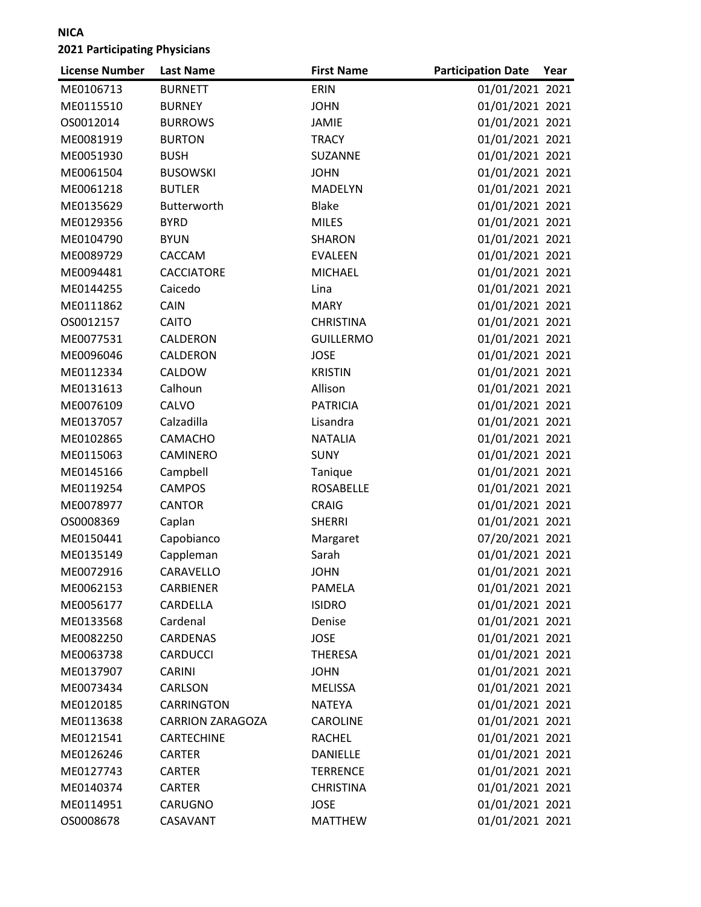| <b>License Number</b> | <b>Last Name</b>        | <b>First Name</b> | <b>Participation Date</b> | Year |
|-----------------------|-------------------------|-------------------|---------------------------|------|
| ME0106713             | <b>BURNETT</b>          | ERIN              | 01/01/2021 2021           |      |
| ME0115510             | <b>BURNEY</b>           | <b>JOHN</b>       | 01/01/2021 2021           |      |
| OS0012014             | <b>BURROWS</b>          | <b>JAMIE</b>      | 01/01/2021 2021           |      |
| ME0081919             | <b>BURTON</b>           | <b>TRACY</b>      | 01/01/2021 2021           |      |
| ME0051930             | <b>BUSH</b>             | SUZANNE           | 01/01/2021 2021           |      |
| ME0061504             | <b>BUSOWSKI</b>         | <b>JOHN</b>       | 01/01/2021 2021           |      |
| ME0061218             | <b>BUTLER</b>           | MADELYN           | 01/01/2021 2021           |      |
| ME0135629             | Butterworth             | <b>Blake</b>      | 01/01/2021 2021           |      |
| ME0129356             | <b>BYRD</b>             | <b>MILES</b>      | 01/01/2021 2021           |      |
| ME0104790             | <b>BYUN</b>             | SHARON            | 01/01/2021 2021           |      |
| ME0089729             | CACCAM                  | <b>EVALEEN</b>    | 01/01/2021 2021           |      |
| ME0094481             | CACCIATORE              | <b>MICHAEL</b>    | 01/01/2021 2021           |      |
| ME0144255             | Caicedo                 | Lina              | 01/01/2021 2021           |      |
| ME0111862             | CAIN                    | <b>MARY</b>       | 01/01/2021 2021           |      |
| OS0012157             | CAITO                   | <b>CHRISTINA</b>  | 01/01/2021 2021           |      |
| ME0077531             | CALDERON                | <b>GUILLERMO</b>  | 01/01/2021 2021           |      |
| ME0096046             | CALDERON                | <b>JOSE</b>       | 01/01/2021 2021           |      |
| ME0112334             | CALDOW                  | <b>KRISTIN</b>    | 01/01/2021 2021           |      |
| ME0131613             | Calhoun                 | Allison           | 01/01/2021 2021           |      |
| ME0076109             | CALVO                   | <b>PATRICIA</b>   | 01/01/2021 2021           |      |
| ME0137057             | Calzadilla              | Lisandra          | 01/01/2021 2021           |      |
| ME0102865             | CAMACHO                 | <b>NATALIA</b>    | 01/01/2021 2021           |      |
| ME0115063             | CAMINERO                | <b>SUNY</b>       | 01/01/2021 2021           |      |
| ME0145166             | Campbell                | Tanique           | 01/01/2021 2021           |      |
| ME0119254             | <b>CAMPOS</b>           | <b>ROSABELLE</b>  | 01/01/2021 2021           |      |
| ME0078977             | <b>CANTOR</b>           | <b>CRAIG</b>      | 01/01/2021 2021           |      |
| OS0008369             | Caplan                  | <b>SHERRI</b>     | 01/01/2021 2021           |      |
| ME0150441             | Capobianco              | Margaret          | 07/20/2021 2021           |      |
| ME0135149             | Cappleman               | Sarah             | 01/01/2021 2021           |      |
| ME0072916             | CARAVELLO               | <b>JOHN</b>       | 01/01/2021 2021           |      |
| ME0062153             | CARBIENER               | PAMELA            | 01/01/2021 2021           |      |
| ME0056177             | CARDELLA                | <b>ISIDRO</b>     | 01/01/2021 2021           |      |
| ME0133568             | Cardenal                | Denise            | 01/01/2021 2021           |      |
| ME0082250             | <b>CARDENAS</b>         | <b>JOSE</b>       | 01/01/2021 2021           |      |
| ME0063738             | <b>CARDUCCI</b>         | <b>THERESA</b>    | 01/01/2021 2021           |      |
| ME0137907             | <b>CARINI</b>           | <b>JOHN</b>       | 01/01/2021 2021           |      |
| ME0073434             | CARLSON                 | <b>MELISSA</b>    | 01/01/2021 2021           |      |
| ME0120185             | CARRINGTON              | <b>NATEYA</b>     | 01/01/2021 2021           |      |
| ME0113638             | <b>CARRION ZARAGOZA</b> | <b>CAROLINE</b>   | 01/01/2021 2021           |      |
| ME0121541             | CARTECHINE              | <b>RACHEL</b>     | 01/01/2021 2021           |      |
| ME0126246             | <b>CARTER</b>           | <b>DANIELLE</b>   | 01/01/2021 2021           |      |
| ME0127743             | <b>CARTER</b>           | <b>TERRENCE</b>   | 01/01/2021 2021           |      |
| ME0140374             | <b>CARTER</b>           | <b>CHRISTINA</b>  | 01/01/2021 2021           |      |
| ME0114951             | CARUGNO                 | <b>JOSE</b>       | 01/01/2021 2021           |      |
| OS0008678             | CASAVANT                | <b>MATTHEW</b>    | 01/01/2021 2021           |      |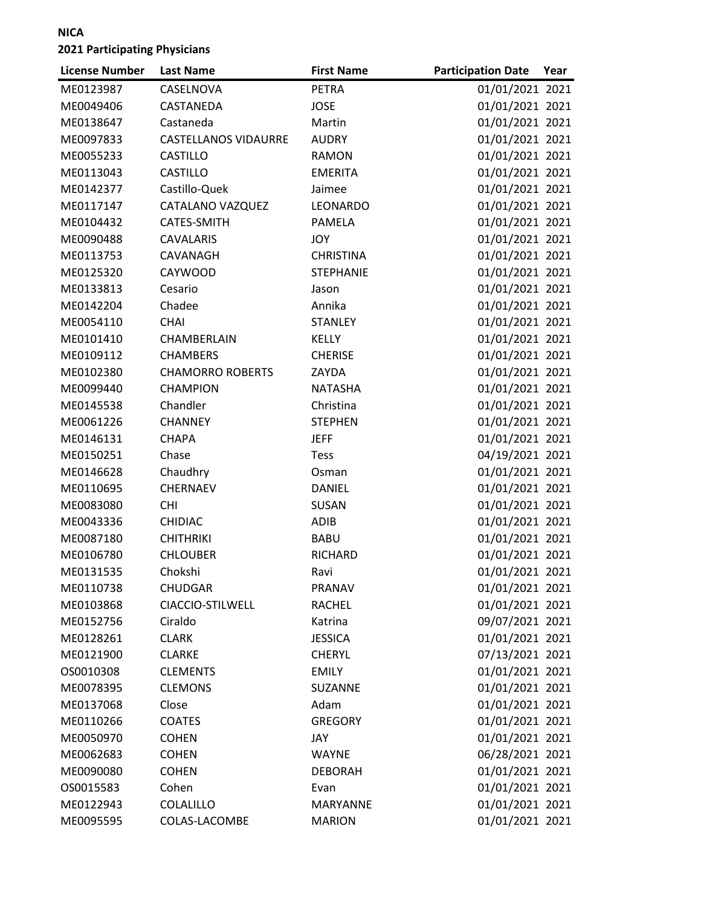| <b>License Number</b> | <b>Last Name</b>            | <b>First Name</b> | <b>Participation Date</b> | Year |
|-----------------------|-----------------------------|-------------------|---------------------------|------|
| ME0123987             | CASELNOVA                   | <b>PETRA</b>      | 01/01/2021 2021           |      |
| ME0049406             | CASTANEDA                   | <b>JOSE</b>       | 01/01/2021 2021           |      |
| ME0138647             | Castaneda                   | Martin            | 01/01/2021 2021           |      |
| ME0097833             | <b>CASTELLANOS VIDAURRE</b> | <b>AUDRY</b>      | 01/01/2021 2021           |      |
| ME0055233             | <b>CASTILLO</b>             | <b>RAMON</b>      | 01/01/2021 2021           |      |
| ME0113043             | <b>CASTILLO</b>             | <b>EMERITA</b>    | 01/01/2021 2021           |      |
| ME0142377             | Castillo-Quek               | Jaimee            | 01/01/2021 2021           |      |
| ME0117147             | CATALANO VAZQUEZ            | LEONARDO          | 01/01/2021 2021           |      |
| ME0104432             | CATES-SMITH                 | PAMELA            | 01/01/2021 2021           |      |
| ME0090488             | <b>CAVALARIS</b>            | JOY               | 01/01/2021 2021           |      |
| ME0113753             | CAVANAGH                    | <b>CHRISTINA</b>  | 01/01/2021 2021           |      |
| ME0125320             | CAYWOOD                     | <b>STEPHANIE</b>  | 01/01/2021 2021           |      |
| ME0133813             | Cesario                     | Jason             | 01/01/2021 2021           |      |
| ME0142204             | Chadee                      | Annika            | 01/01/2021 2021           |      |
| ME0054110             | <b>CHAI</b>                 | <b>STANLEY</b>    | 01/01/2021 2021           |      |
| ME0101410             | CHAMBERLAIN                 | KELLY             | 01/01/2021 2021           |      |
| ME0109112             | <b>CHAMBERS</b>             | <b>CHERISE</b>    | 01/01/2021 2021           |      |
| ME0102380             | <b>CHAMORRO ROBERTS</b>     | ZAYDA             | 01/01/2021 2021           |      |
| ME0099440             | <b>CHAMPION</b>             | <b>NATASHA</b>    | 01/01/2021 2021           |      |
| ME0145538             | Chandler                    | Christina         | 01/01/2021 2021           |      |
| ME0061226             | <b>CHANNEY</b>              | <b>STEPHEN</b>    | 01/01/2021 2021           |      |
| ME0146131             | <b>CHAPA</b>                | <b>JEFF</b>       | 01/01/2021 2021           |      |
| ME0150251             | Chase                       | <b>Tess</b>       | 04/19/2021 2021           |      |
| ME0146628             | Chaudhry                    | Osman             | 01/01/2021 2021           |      |
| ME0110695             | <b>CHERNAEV</b>             | <b>DANIEL</b>     | 01/01/2021 2021           |      |
| ME0083080             | <b>CHI</b>                  | SUSAN             | 01/01/2021 2021           |      |
| ME0043336             | <b>CHIDIAC</b>              | <b>ADIB</b>       | 01/01/2021 2021           |      |
| ME0087180             | <b>CHITHRIKI</b>            | <b>BABU</b>       | 01/01/2021 2021           |      |
| ME0106780             | <b>CHLOUBER</b>             | RICHARD           | 01/01/2021 2021           |      |
| ME0131535             | Chokshi                     | Ravi              | 01/01/2021 2021           |      |
| ME0110738             | <b>CHUDGAR</b>              | <b>PRANAV</b>     | 01/01/2021 2021           |      |
| ME0103868             | CIACCIO-STILWELL            | <b>RACHEL</b>     | 01/01/2021 2021           |      |
| ME0152756             | Ciraldo                     | Katrina           | 09/07/2021 2021           |      |
| ME0128261             | <b>CLARK</b>                | <b>JESSICA</b>    | 01/01/2021 2021           |      |
| ME0121900             | <b>CLARKE</b>               | <b>CHERYL</b>     | 07/13/2021 2021           |      |
| OS0010308             | <b>CLEMENTS</b>             | <b>EMILY</b>      | 01/01/2021 2021           |      |
| ME0078395             | <b>CLEMONS</b>              | SUZANNE           | 01/01/2021 2021           |      |
| ME0137068             | Close                       | Adam              | 01/01/2021 2021           |      |
| ME0110266             | <b>COATES</b>               | <b>GREGORY</b>    | 01/01/2021 2021           |      |
| ME0050970             | <b>COHEN</b>                | JAY               | 01/01/2021 2021           |      |
| ME0062683             | <b>COHEN</b>                | <b>WAYNE</b>      | 06/28/2021 2021           |      |
| ME0090080             | <b>COHEN</b>                | <b>DEBORAH</b>    | 01/01/2021 2021           |      |
| OS0015583             | Cohen                       | Evan              | 01/01/2021 2021           |      |
| ME0122943             | COLALILLO                   | <b>MARYANNE</b>   | 01/01/2021 2021           |      |
| ME0095595             | COLAS-LACOMBE               | <b>MARION</b>     | 01/01/2021 2021           |      |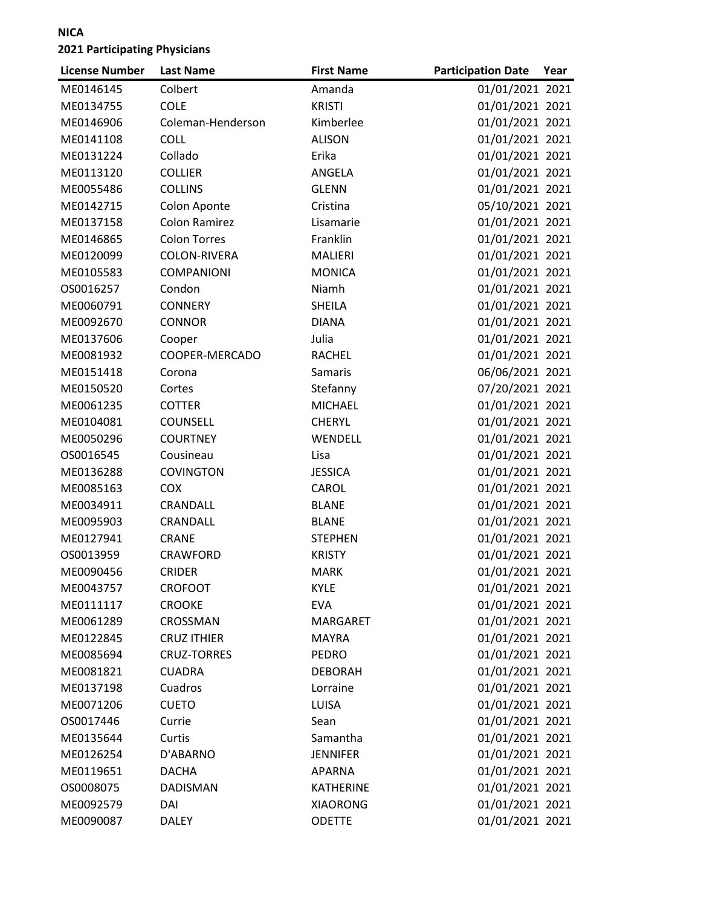| <b>License Number</b> | <b>Last Name</b>    | <b>First Name</b> | <b>Participation Date</b> | Year |
|-----------------------|---------------------|-------------------|---------------------------|------|
| ME0146145             | Colbert             | Amanda            | 01/01/2021 2021           |      |
| ME0134755             | <b>COLE</b>         | <b>KRISTI</b>     | 01/01/2021 2021           |      |
| ME0146906             | Coleman-Henderson   | Kimberlee         | 01/01/2021 2021           |      |
| ME0141108             | <b>COLL</b>         | <b>ALISON</b>     | 01/01/2021 2021           |      |
| ME0131224             | Collado             | Erika             | 01/01/2021 2021           |      |
| ME0113120             | <b>COLLIER</b>      | ANGELA            | 01/01/2021 2021           |      |
| ME0055486             | <b>COLLINS</b>      | <b>GLENN</b>      | 01/01/2021 2021           |      |
| ME0142715             | Colon Aponte        | Cristina          | 05/10/2021 2021           |      |
| ME0137158             | Colon Ramirez       | Lisamarie         | 01/01/2021 2021           |      |
| ME0146865             | <b>Colon Torres</b> | Franklin          | 01/01/2021 2021           |      |
| ME0120099             | COLON-RIVERA        | <b>MALIERI</b>    | 01/01/2021 2021           |      |
| ME0105583             | <b>COMPANIONI</b>   | <b>MONICA</b>     | 01/01/2021 2021           |      |
| OS0016257             | Condon              | Niamh             | 01/01/2021 2021           |      |
| ME0060791             | <b>CONNERY</b>      | <b>SHEILA</b>     | 01/01/2021 2021           |      |
| ME0092670             | <b>CONNOR</b>       | <b>DIANA</b>      | 01/01/2021 2021           |      |
| ME0137606             | Cooper              | Julia             | 01/01/2021 2021           |      |
| ME0081932             | COOPER-MERCADO      | <b>RACHEL</b>     | 01/01/2021 2021           |      |
| ME0151418             | Corona              | Samaris           | 06/06/2021 2021           |      |
| ME0150520             | Cortes              | Stefanny          | 07/20/2021 2021           |      |
| ME0061235             | <b>COTTER</b>       | <b>MICHAEL</b>    | 01/01/2021 2021           |      |
| ME0104081             | <b>COUNSELL</b>     | <b>CHERYL</b>     | 01/01/2021 2021           |      |
| ME0050296             | <b>COURTNEY</b>     | WENDELL           | 01/01/2021 2021           |      |
| OS0016545             | Cousineau           | Lisa              | 01/01/2021 2021           |      |
| ME0136288             | <b>COVINGTON</b>    | <b>JESSICA</b>    | 01/01/2021 2021           |      |
| ME0085163             | <b>COX</b>          | CAROL             | 01/01/2021 2021           |      |
| ME0034911             | CRANDALL            | <b>BLANE</b>      | 01/01/2021 2021           |      |
| ME0095903             | CRANDALL            | <b>BLANE</b>      | 01/01/2021 2021           |      |
| ME0127941             | <b>CRANE</b>        | <b>STEPHEN</b>    | 01/01/2021 2021           |      |
| OS0013959             | CRAWFORD            | <b>KRISTY</b>     | 01/01/2021 2021           |      |
| ME0090456             | <b>CRIDER</b>       | <b>MARK</b>       | 01/01/2021 2021           |      |
| ME0043757             | <b>CROFOOT</b>      | <b>KYLE</b>       | 01/01/2021 2021           |      |
| ME0111117             | <b>CROOKE</b>       | <b>EVA</b>        | 01/01/2021 2021           |      |
| ME0061289             | CROSSMAN            | MARGARET          | 01/01/2021 2021           |      |
| ME0122845             | <b>CRUZ ITHIER</b>  | <b>MAYRA</b>      | 01/01/2021 2021           |      |
| ME0085694             | <b>CRUZ-TORRES</b>  | PEDRO             | 01/01/2021 2021           |      |
| ME0081821             | <b>CUADRA</b>       | <b>DEBORAH</b>    | 01/01/2021 2021           |      |
| ME0137198             | Cuadros             | Lorraine          | 01/01/2021 2021           |      |
| ME0071206             | <b>CUETO</b>        | LUISA             | 01/01/2021 2021           |      |
| OS0017446             | Currie              | Sean              | 01/01/2021 2021           |      |
| ME0135644             | Curtis              | Samantha          | 01/01/2021 2021           |      |
| ME0126254             | D'ABARNO            | <b>JENNIFER</b>   | 01/01/2021 2021           |      |
| ME0119651             | <b>DACHA</b>        | APARNA            | 01/01/2021 2021           |      |
| OS0008075             | <b>DADISMAN</b>     | <b>KATHERINE</b>  | 01/01/2021 2021           |      |
| ME0092579             | DAI                 | <b>XIAORONG</b>   | 01/01/2021 2021           |      |
| ME0090087             | <b>DALEY</b>        | <b>ODETTE</b>     | 01/01/2021 2021           |      |
|                       |                     |                   |                           |      |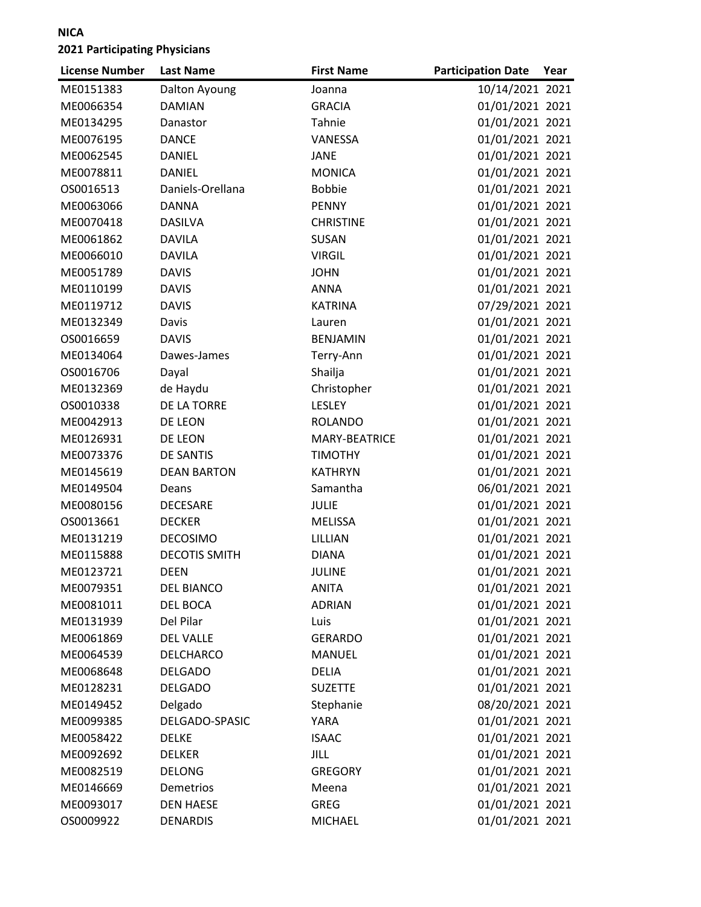| <b>License Number</b> | <b>Last Name</b>     | <b>First Name</b> | <b>Participation Date</b> | Year |
|-----------------------|----------------------|-------------------|---------------------------|------|
| ME0151383             | Dalton Ayoung        | Joanna            | 10/14/2021 2021           |      |
| ME0066354             | <b>DAMIAN</b>        | <b>GRACIA</b>     | 01/01/2021 2021           |      |
| ME0134295             | Danastor             | Tahnie            | 01/01/2021 2021           |      |
| ME0076195             | <b>DANCE</b>         | VANESSA           | 01/01/2021 2021           |      |
| ME0062545             | <b>DANIEL</b>        | <b>JANE</b>       | 01/01/2021 2021           |      |
| ME0078811             | <b>DANIEL</b>        | <b>MONICA</b>     | 01/01/2021 2021           |      |
| OS0016513             | Daniels-Orellana     | <b>Bobbie</b>     | 01/01/2021 2021           |      |
| ME0063066             | <b>DANNA</b>         | <b>PENNY</b>      | 01/01/2021 2021           |      |
| ME0070418             | <b>DASILVA</b>       | <b>CHRISTINE</b>  | 01/01/2021 2021           |      |
| ME0061862             | <b>DAVILA</b>        | SUSAN             | 01/01/2021 2021           |      |
| ME0066010             | <b>DAVILA</b>        | <b>VIRGIL</b>     | 01/01/2021 2021           |      |
| ME0051789             | <b>DAVIS</b>         | <b>JOHN</b>       | 01/01/2021 2021           |      |
| ME0110199             | <b>DAVIS</b>         | <b>ANNA</b>       | 01/01/2021 2021           |      |
| ME0119712             | <b>DAVIS</b>         | <b>KATRINA</b>    | 07/29/2021 2021           |      |
| ME0132349             | Davis                | Lauren            | 01/01/2021 2021           |      |
| OS0016659             | <b>DAVIS</b>         | <b>BENJAMIN</b>   | 01/01/2021 2021           |      |
| ME0134064             | Dawes-James          | Terry-Ann         | 01/01/2021 2021           |      |
| OS0016706             | Dayal                | Shailja           | 01/01/2021 2021           |      |
| ME0132369             | de Haydu             | Christopher       | 01/01/2021 2021           |      |
| OS0010338             | DE LA TORRE          | LESLEY            | 01/01/2021 2021           |      |
| ME0042913             | DE LEON              | <b>ROLANDO</b>    | 01/01/2021 2021           |      |
| ME0126931             | DE LEON              | MARY-BEATRICE     | 01/01/2021 2021           |      |
| ME0073376             | <b>DE SANTIS</b>     | <b>TIMOTHY</b>    | 01/01/2021 2021           |      |
| ME0145619             | <b>DEAN BARTON</b>   | <b>KATHRYN</b>    | 01/01/2021 2021           |      |
| ME0149504             | Deans                | Samantha          | 06/01/2021 2021           |      |
| ME0080156             | <b>DECESARE</b>      | <b>JULIE</b>      | 01/01/2021 2021           |      |
| OS0013661             | <b>DECKER</b>        | <b>MELISSA</b>    | 01/01/2021 2021           |      |
| ME0131219             | <b>DECOSIMO</b>      | LILLIAN           | 01/01/2021 2021           |      |
| ME0115888             | <b>DECOTIS SMITH</b> | <b>DIANA</b>      | 01/01/2021 2021           |      |
| ME0123721             | <b>DEEN</b>          | <b>JULINE</b>     | 01/01/2021 2021           |      |
| ME0079351             | DEL BIANCO           | ANITA             | 01/01/2021 2021           |      |
| ME0081011             | <b>DEL BOCA</b>      | <b>ADRIAN</b>     | 01/01/2021 2021           |      |
| ME0131939             | Del Pilar            | Luis              | 01/01/2021 2021           |      |
| ME0061869             | <b>DEL VALLE</b>     | <b>GERARDO</b>    | 01/01/2021 2021           |      |
| ME0064539             | DELCHARCO            | MANUEL            | 01/01/2021 2021           |      |
| ME0068648             | <b>DELGADO</b>       | <b>DELIA</b>      | 01/01/2021 2021           |      |
| ME0128231             | <b>DELGADO</b>       | <b>SUZETTE</b>    | 01/01/2021 2021           |      |
| ME0149452             | Delgado              | Stephanie         | 08/20/2021 2021           |      |
| ME0099385             | DELGADO-SPASIC       | YARA              | 01/01/2021 2021           |      |
| ME0058422             | DELKE                | <b>ISAAC</b>      | 01/01/2021 2021           |      |
| ME0092692             | <b>DELKER</b>        | JILL              | 01/01/2021 2021           |      |
| ME0082519             | <b>DELONG</b>        | GREGORY           | 01/01/2021 2021           |      |
| ME0146669             | Demetrios            | Meena             | 01/01/2021 2021           |      |
| ME0093017             | <b>DEN HAESE</b>     | <b>GREG</b>       | 01/01/2021 2021           |      |
| OS0009922             | <b>DENARDIS</b>      | <b>MICHAEL</b>    | 01/01/2021 2021           |      |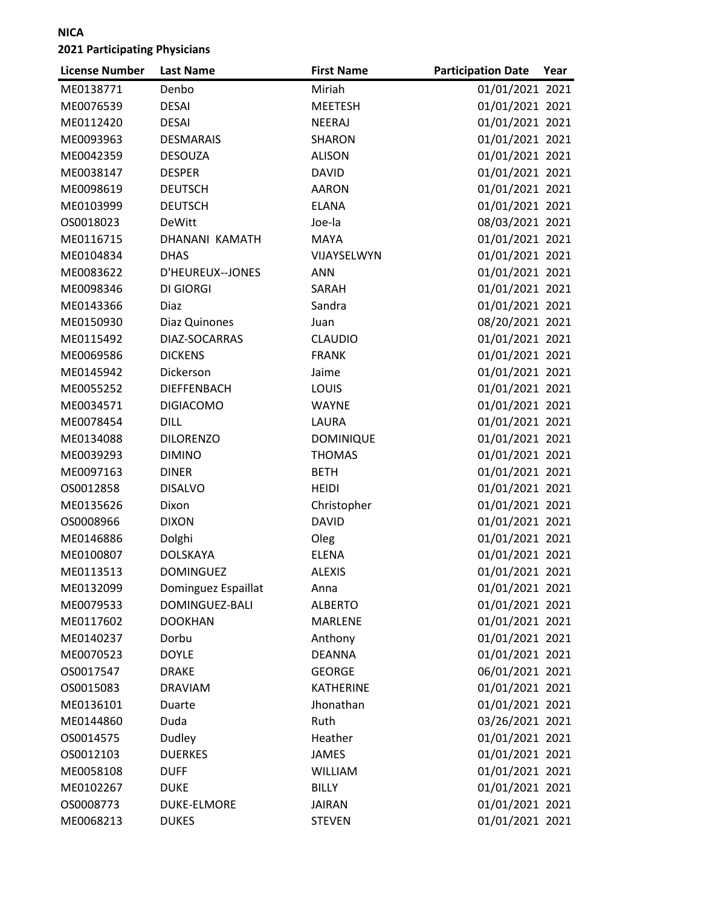| <b>License Number</b> | <b>Last Name</b>    | <b>First Name</b> | <b>Participation Date</b> | Year |
|-----------------------|---------------------|-------------------|---------------------------|------|
| ME0138771             | Denbo               | Miriah            | 01/01/2021 2021           |      |
| ME0076539             | <b>DESAI</b>        | <b>MEETESH</b>    | 01/01/2021 2021           |      |
| ME0112420             | <b>DESAI</b>        | <b>NEERAJ</b>     | 01/01/2021 2021           |      |
| ME0093963             | <b>DESMARAIS</b>    | SHARON            | 01/01/2021 2021           |      |
| ME0042359             | <b>DESOUZA</b>      | <b>ALISON</b>     | 01/01/2021 2021           |      |
| ME0038147             | <b>DESPER</b>       | <b>DAVID</b>      | 01/01/2021 2021           |      |
| ME0098619             | <b>DEUTSCH</b>      | <b>AARON</b>      | 01/01/2021 2021           |      |
| ME0103999             | <b>DEUTSCH</b>      | <b>ELANA</b>      | 01/01/2021 2021           |      |
| OS0018023             | <b>DeWitt</b>       | Joe-la            | 08/03/2021 2021           |      |
| ME0116715             | DHANANI KAMATH      | MAYA              | 01/01/2021 2021           |      |
| ME0104834             | <b>DHAS</b>         | VIJAYSELWYN       | 01/01/2021 2021           |      |
| ME0083622             | D'HEUREUX--JONES    | <b>ANN</b>        | 01/01/2021 2021           |      |
| ME0098346             | <b>DI GIORGI</b>    | SARAH             | 01/01/2021 2021           |      |
| ME0143366             | Diaz                | Sandra            | 01/01/2021 2021           |      |
| ME0150930             | Diaz Quinones       | Juan              | 08/20/2021 2021           |      |
| ME0115492             | DIAZ-SOCARRAS       | <b>CLAUDIO</b>    | 01/01/2021 2021           |      |
| ME0069586             | <b>DICKENS</b>      | <b>FRANK</b>      | 01/01/2021 2021           |      |
| ME0145942             | Dickerson           | Jaime             | 01/01/2021 2021           |      |
| ME0055252             | <b>DIEFFENBACH</b>  | LOUIS             | 01/01/2021 2021           |      |
| ME0034571             | <b>DIGIACOMO</b>    | <b>WAYNE</b>      | 01/01/2021 2021           |      |
| ME0078454             | <b>DILL</b>         | LAURA             | 01/01/2021 2021           |      |
| ME0134088             | <b>DILORENZO</b>    | <b>DOMINIQUE</b>  | 01/01/2021 2021           |      |
| ME0039293             | <b>DIMINO</b>       | <b>THOMAS</b>     | 01/01/2021 2021           |      |
| ME0097163             | <b>DINER</b>        | <b>BETH</b>       | 01/01/2021 2021           |      |
| OS0012858             | <b>DISALVO</b>      | <b>HEIDI</b>      | 01/01/2021 2021           |      |
| ME0135626             | Dixon               | Christopher       | 01/01/2021 2021           |      |
| OS0008966             | <b>DIXON</b>        | <b>DAVID</b>      | 01/01/2021 2021           |      |
| ME0146886             | Dolghi              | Oleg              | 01/01/2021 2021           |      |
| ME0100807             | <b>DOLSKAYA</b>     | <b>ELENA</b>      | 01/01/2021 2021           |      |
| ME0113513             | <b>DOMINGUEZ</b>    | <b>ALEXIS</b>     | 01/01/2021 2021           |      |
| ME0132099             | Dominguez Espaillat | Anna              | 01/01/2021 2021           |      |
| ME0079533             | DOMINGUEZ-BALI      | <b>ALBERTO</b>    | 01/01/2021 2021           |      |
| ME0117602             | <b>DOOKHAN</b>      | <b>MARLENE</b>    | 01/01/2021 2021           |      |
| ME0140237             | Dorbu               | Anthony           | 01/01/2021 2021           |      |
| ME0070523             | <b>DOYLE</b>        | <b>DEANNA</b>     | 01/01/2021 2021           |      |
| OS0017547             | <b>DRAKE</b>        | <b>GEORGE</b>     | 06/01/2021 2021           |      |
| OS0015083             | <b>DRAVIAM</b>      | <b>KATHERINE</b>  | 01/01/2021 2021           |      |
| ME0136101             | Duarte              | Jhonathan         | 01/01/2021 2021           |      |
| ME0144860             | Duda                | Ruth              | 03/26/2021 2021           |      |
| OS0014575             | Dudley              | Heather           | 01/01/2021 2021           |      |
| OS0012103             | <b>DUERKES</b>      | <b>JAMES</b>      | 01/01/2021 2021           |      |
| ME0058108             | <b>DUFF</b>         | <b>WILLIAM</b>    | 01/01/2021 2021           |      |
| ME0102267             | <b>DUKE</b>         | <b>BILLY</b>      | 01/01/2021 2021           |      |
| OS0008773             | <b>DUKE-ELMORE</b>  | <b>JAIRAN</b>     | 01/01/2021 2021           |      |
| ME0068213             | <b>DUKES</b>        | <b>STEVEN</b>     | 01/01/2021 2021           |      |
|                       |                     |                   |                           |      |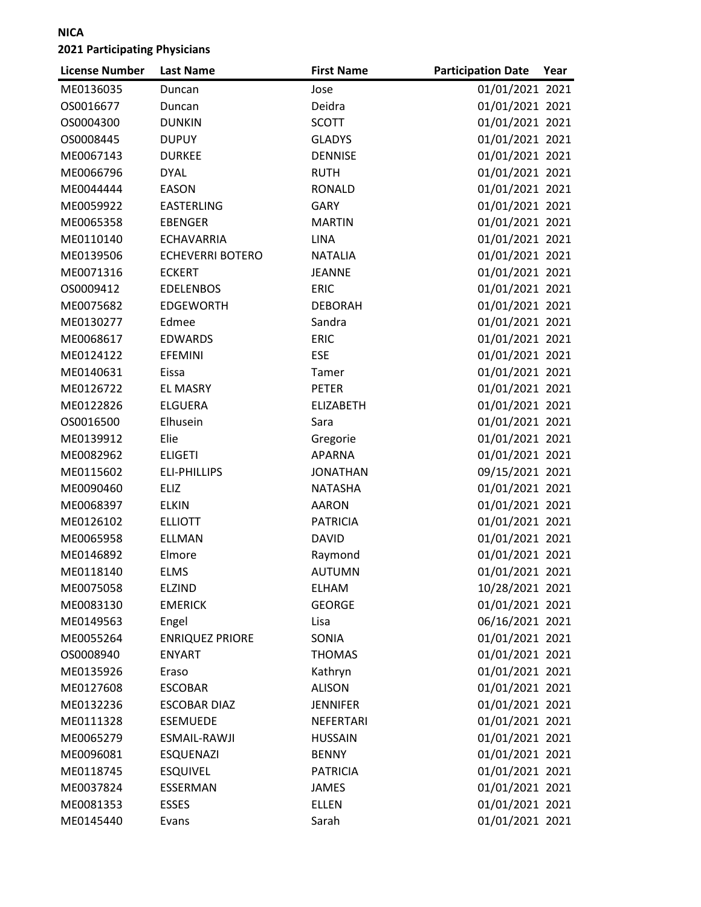| <b>License Number</b> | <b>Last Name</b>        | <b>First Name</b> | <b>Participation Date</b> | Year |
|-----------------------|-------------------------|-------------------|---------------------------|------|
| ME0136035             | Duncan                  | Jose              | 01/01/2021 2021           |      |
| OS0016677             | Duncan                  | Deidra            | 01/01/2021 2021           |      |
| OS0004300             | <b>DUNKIN</b>           | <b>SCOTT</b>      | 01/01/2021 2021           |      |
| OS0008445             | <b>DUPUY</b>            | <b>GLADYS</b>     | 01/01/2021 2021           |      |
| ME0067143             | <b>DURKEE</b>           | <b>DENNISE</b>    | 01/01/2021 2021           |      |
| ME0066796             | <b>DYAL</b>             | <b>RUTH</b>       | 01/01/2021 2021           |      |
| ME0044444             | <b>EASON</b>            | <b>RONALD</b>     | 01/01/2021 2021           |      |
| ME0059922             | <b>EASTERLING</b>       | <b>GARY</b>       | 01/01/2021 2021           |      |
| ME0065358             | <b>EBENGER</b>          | <b>MARTIN</b>     | 01/01/2021 2021           |      |
| ME0110140             | <b>ECHAVARRIA</b>       | <b>LINA</b>       | 01/01/2021 2021           |      |
| ME0139506             | <b>ECHEVERRI BOTERO</b> | <b>NATALIA</b>    | 01/01/2021 2021           |      |
| ME0071316             | <b>ECKERT</b>           | <b>JEANNE</b>     | 01/01/2021 2021           |      |
| OS0009412             | <b>EDELENBOS</b>        | <b>ERIC</b>       | 01/01/2021 2021           |      |
| ME0075682             | <b>EDGEWORTH</b>        | <b>DEBORAH</b>    | 01/01/2021 2021           |      |
| ME0130277             | Edmee                   | Sandra            | 01/01/2021 2021           |      |
| ME0068617             | <b>EDWARDS</b>          | <b>ERIC</b>       | 01/01/2021 2021           |      |
| ME0124122             | <b>EFEMINI</b>          | <b>ESE</b>        | 01/01/2021 2021           |      |
| ME0140631             | Eissa                   | Tamer             | 01/01/2021 2021           |      |
| ME0126722             | <b>EL MASRY</b>         | <b>PETER</b>      | 01/01/2021 2021           |      |
| ME0122826             | <b>ELGUERA</b>          | <b>ELIZABETH</b>  | 01/01/2021 2021           |      |
| OS0016500             | Elhusein                | Sara              | 01/01/2021 2021           |      |
| ME0139912             | Elie                    | Gregorie          | 01/01/2021 2021           |      |
| ME0082962             | <b>ELIGETI</b>          | <b>APARNA</b>     | 01/01/2021 2021           |      |
| ME0115602             | <b>ELI-PHILLIPS</b>     | <b>JONATHAN</b>   | 09/15/2021 2021           |      |
| ME0090460             | <b>ELIZ</b>             | <b>NATASHA</b>    | 01/01/2021 2021           |      |
| ME0068397             | <b>ELKIN</b>            | <b>AARON</b>      | 01/01/2021 2021           |      |
| ME0126102             | <b>ELLIOTT</b>          | <b>PATRICIA</b>   | 01/01/2021 2021           |      |
| ME0065958             | <b>ELLMAN</b>           | <b>DAVID</b>      | 01/01/2021 2021           |      |
| ME0146892             | Elmore                  | Raymond           | 01/01/2021 2021           |      |
| ME0118140             | <b>ELMS</b>             | <b>AUTUMN</b>     | 01/01/2021 2021           |      |
| ME0075058             | <b>ELZIND</b>           | ELHAM             | 10/28/2021 2021           |      |
| ME0083130             | <b>EMERICK</b>          | <b>GEORGE</b>     | 01/01/2021 2021           |      |
| ME0149563             | Engel                   | Lisa              | 06/16/2021 2021           |      |
| ME0055264             | <b>ENRIQUEZ PRIORE</b>  | SONIA             | 01/01/2021 2021           |      |
| OS0008940             | <b>ENYART</b>           | <b>THOMAS</b>     | 01/01/2021 2021           |      |
| ME0135926             | Eraso                   | Kathryn           | 01/01/2021 2021           |      |
| ME0127608             | <b>ESCOBAR</b>          | <b>ALISON</b>     | 01/01/2021 2021           |      |
| ME0132236             | <b>ESCOBAR DIAZ</b>     | <b>JENNIFER</b>   | 01/01/2021 2021           |      |
| ME0111328             | <b>ESEMUEDE</b>         | NEFERTARI         | 01/01/2021 2021           |      |
| ME0065279             | ESMAIL-RAWJI            | <b>HUSSAIN</b>    | 01/01/2021 2021           |      |
| ME0096081             | <b>ESQUENAZI</b>        | <b>BENNY</b>      | 01/01/2021 2021           |      |
| ME0118745             | <b>ESQUIVEL</b>         | <b>PATRICIA</b>   | 01/01/2021 2021           |      |
| ME0037824             | ESSERMAN                | <b>JAMES</b>      | 01/01/2021 2021           |      |
| ME0081353             | <b>ESSES</b>            | <b>ELLEN</b>      | 01/01/2021 2021           |      |
| ME0145440             | Evans                   | Sarah             | 01/01/2021 2021           |      |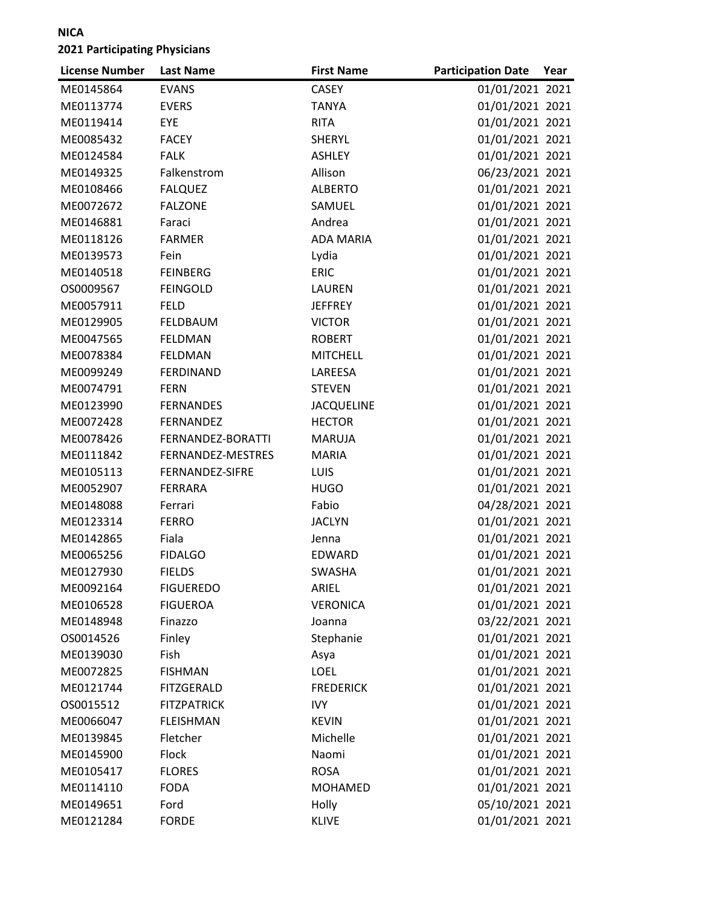| <b>License Number</b> | <b>Last Name</b>   | <b>First Name</b> | <b>Participation Date</b> | Year |
|-----------------------|--------------------|-------------------|---------------------------|------|
| ME0145864             | <b>EVANS</b>       | CASEY             | 01/01/2021 2021           |      |
| ME0113774             | <b>EVERS</b>       | <b>TANYA</b>      | 01/01/2021 2021           |      |
| ME0119414             | EYE                | <b>RITA</b>       | 01/01/2021 2021           |      |
| ME0085432             | <b>FACEY</b>       | <b>SHERYL</b>     | 01/01/2021 2021           |      |
| ME0124584             | <b>FALK</b>        | <b>ASHLEY</b>     | 01/01/2021 2021           |      |
| ME0149325             | Falkenstrom        | Allison           | 06/23/2021 2021           |      |
| ME0108466             | <b>FALQUEZ</b>     | <b>ALBERTO</b>    | 01/01/2021 2021           |      |
| ME0072672             | <b>FALZONE</b>     | SAMUEL            | 01/01/2021 2021           |      |
| ME0146881             | Faraci             | Andrea            | 01/01/2021 2021           |      |
| ME0118126             | <b>FARMER</b>      | <b>ADA MARIA</b>  | 01/01/2021 2021           |      |
| ME0139573             | Fein               | Lydia             | 01/01/2021 2021           |      |
| ME0140518             | <b>FEINBERG</b>    | <b>ERIC</b>       | 01/01/2021 2021           |      |
| OS0009567             | <b>FEINGOLD</b>    | LAUREN            | 01/01/2021 2021           |      |
| ME0057911             | <b>FELD</b>        | <b>JEFFREY</b>    | 01/01/2021 2021           |      |
| ME0129905             | <b>FELDBAUM</b>    | <b>VICTOR</b>     | 01/01/2021 2021           |      |
| ME0047565             | <b>FELDMAN</b>     | <b>ROBERT</b>     | 01/01/2021 2021           |      |
| ME0078384             | FELDMAN            | <b>MITCHELL</b>   | 01/01/2021 2021           |      |
| ME0099249             | <b>FERDINAND</b>   | LAREESA           | 01/01/2021 2021           |      |
| ME0074791             | <b>FERN</b>        | <b>STEVEN</b>     | 01/01/2021 2021           |      |
| ME0123990             | <b>FERNANDES</b>   | <b>JACQUELINE</b> | 01/01/2021 2021           |      |
| ME0072428             | <b>FERNANDEZ</b>   | <b>HECTOR</b>     | 01/01/2021 2021           |      |
| ME0078426             | FERNANDEZ-BORATTI  | <b>MARUJA</b>     | 01/01/2021 2021           |      |
| ME0111842             | FERNANDEZ-MESTRES  | <b>MARIA</b>      | 01/01/2021 2021           |      |
| ME0105113             | FERNANDEZ-SIFRE    | LUIS              | 01/01/2021 2021           |      |
| ME0052907             | <b>FERRARA</b>     | <b>HUGO</b>       | 01/01/2021 2021           |      |
| ME0148088             | Ferrari            | Fabio             | 04/28/2021 2021           |      |
| ME0123314             | <b>FERRO</b>       | <b>JACLYN</b>     | 01/01/2021 2021           |      |
| ME0142865             | Fiala              | Jenna             | 01/01/2021 2021           |      |
| ME0065256             | <b>FIDALGO</b>     | EDWARD            | 01/01/2021 2021           |      |
| ME0127930             | <b>FIELDS</b>      | <b>SWASHA</b>     | 01/01/2021 2021           |      |
| ME0092164             | <b>FIGUEREDO</b>   | ARIEL             | 01/01/2021 2021           |      |
| ME0106528             | <b>FIGUEROA</b>    | <b>VERONICA</b>   | 01/01/2021 2021           |      |
| ME0148948             | Finazzo            | Joanna            | 03/22/2021 2021           |      |
| OS0014526             | Finley             | Stephanie         | 01/01/2021 2021           |      |
| ME0139030             | Fish               | Asya              | 01/01/2021 2021           |      |
| ME0072825             | <b>FISHMAN</b>     | <b>LOEL</b>       | 01/01/2021 2021           |      |
| ME0121744             | <b>FITZGERALD</b>  | <b>FREDERICK</b>  | 01/01/2021 2021           |      |
| OS0015512             | <b>FITZPATRICK</b> | <b>IVY</b>        | 01/01/2021 2021           |      |
| ME0066047             | <b>FLEISHMAN</b>   | <b>KEVIN</b>      | 01/01/2021 2021           |      |
| ME0139845             | Fletcher           | Michelle          | 01/01/2021 2021           |      |
| ME0145900             | Flock              | Naomi             | 01/01/2021 2021           |      |
| ME0105417             | <b>FLORES</b>      | <b>ROSA</b>       | 01/01/2021 2021           |      |
| ME0114110             | <b>FODA</b>        | <b>MOHAMED</b>    | 01/01/2021 2021           |      |
| ME0149651             | Ford               | Holly             | 05/10/2021 2021           |      |
| ME0121284             | <b>FORDE</b>       | <b>KLIVE</b>      | 01/01/2021 2021           |      |
|                       |                    |                   |                           |      |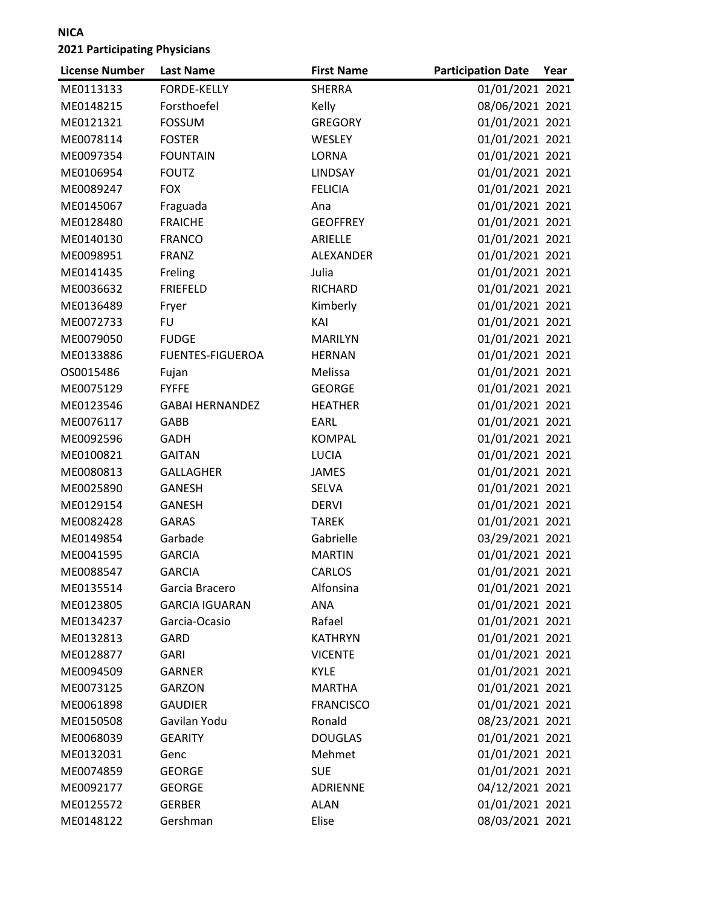| <b>License Number</b> | <b>Last Name</b>        | <b>First Name</b> | <b>Participation Date</b> | Year |
|-----------------------|-------------------------|-------------------|---------------------------|------|
| ME0113133             | <b>FORDE-KELLY</b>      | SHERRA            | 01/01/2021 2021           |      |
| ME0148215             | Forsthoefel             | Kelly             | 08/06/2021 2021           |      |
| ME0121321             | <b>FOSSUM</b>           | <b>GREGORY</b>    | 01/01/2021 2021           |      |
| ME0078114             | <b>FOSTER</b>           | <b>WESLEY</b>     | 01/01/2021 2021           |      |
| ME0097354             | <b>FOUNTAIN</b>         | <b>LORNA</b>      | 01/01/2021 2021           |      |
| ME0106954             | <b>FOUTZ</b>            | <b>LINDSAY</b>    | 01/01/2021 2021           |      |
| ME0089247             | <b>FOX</b>              | <b>FELICIA</b>    | 01/01/2021 2021           |      |
| ME0145067             | Fraguada                | Ana               | 01/01/2021 2021           |      |
| ME0128480             | <b>FRAICHE</b>          | <b>GEOFFREY</b>   | 01/01/2021 2021           |      |
| ME0140130             | <b>FRANCO</b>           | ARIELLE           | 01/01/2021 2021           |      |
| ME0098951             | <b>FRANZ</b>            | ALEXANDER         | 01/01/2021 2021           |      |
| ME0141435             | Freling                 | Julia             | 01/01/2021 2021           |      |
| ME0036632             | <b>FRIEFELD</b>         | RICHARD           | 01/01/2021 2021           |      |
| ME0136489             | Fryer                   | Kimberly          | 01/01/2021 2021           |      |
| ME0072733             | <b>FU</b>               | KAI               | 01/01/2021 2021           |      |
| ME0079050             | <b>FUDGE</b>            | <b>MARILYN</b>    | 01/01/2021 2021           |      |
| ME0133886             | <b>FUENTES-FIGUEROA</b> | <b>HERNAN</b>     | 01/01/2021 2021           |      |
| OS0015486             | Fujan                   | Melissa           | 01/01/2021 2021           |      |
| ME0075129             | <b>FYFFE</b>            | <b>GEORGE</b>     | 01/01/2021 2021           |      |
| ME0123546             | <b>GABAI HERNANDEZ</b>  | <b>HEATHER</b>    | 01/01/2021 2021           |      |
| ME0076117             | GABB                    | EARL              | 01/01/2021 2021           |      |
| ME0092596             | <b>GADH</b>             | <b>KOMPAL</b>     | 01/01/2021 2021           |      |
| ME0100821             | <b>GAITAN</b>           | <b>LUCIA</b>      | 01/01/2021 2021           |      |
| ME0080813             | <b>GALLAGHER</b>        | <b>JAMES</b>      | 01/01/2021 2021           |      |
| ME0025890             | <b>GANESH</b>           | <b>SELVA</b>      | 01/01/2021 2021           |      |
| ME0129154             | <b>GANESH</b>           | <b>DERVI</b>      | 01/01/2021 2021           |      |
| ME0082428             | <b>GARAS</b>            | <b>TAREK</b>      | 01/01/2021 2021           |      |
| ME0149854             | Garbade                 | Gabrielle         | 03/29/2021 2021           |      |
| ME0041595             | <b>GARCIA</b>           | <b>MARTIN</b>     | 01/01/2021 2021           |      |
| ME0088547             | <b>GARCIA</b>           | <b>CARLOS</b>     | 01/01/2021 2021           |      |
| ME0135514             | Garcia Bracero          | Alfonsina         | 01/01/2021 2021           |      |
| ME0123805             | <b>GARCIA IGUARAN</b>   | <b>ANA</b>        | 01/01/2021 2021           |      |
| ME0134237             | Garcia-Ocasio           | Rafael            | 01/01/2021 2021           |      |
| ME0132813             | GARD                    | <b>KATHRYN</b>    | 01/01/2021 2021           |      |
| ME0128877             | <b>GARI</b>             | <b>VICENTE</b>    | 01/01/2021 2021           |      |
| ME0094509             | <b>GARNER</b>           | <b>KYLE</b>       | 01/01/2021 2021           |      |
| ME0073125             | <b>GARZON</b>           | <b>MARTHA</b>     | 01/01/2021 2021           |      |
| ME0061898             | <b>GAUDIER</b>          | <b>FRANCISCO</b>  | 01/01/2021 2021           |      |
| ME0150508             | Gavilan Yodu            | Ronald            | 08/23/2021 2021           |      |
| ME0068039             | <b>GEARITY</b>          | <b>DOUGLAS</b>    | 01/01/2021 2021           |      |
| ME0132031             | Genc                    | Mehmet            | 01/01/2021 2021           |      |
| ME0074859             | <b>GEORGE</b>           | <b>SUE</b>        | 01/01/2021 2021           |      |
| ME0092177             | <b>GEORGE</b>           | <b>ADRIENNE</b>   | 04/12/2021 2021           |      |
| ME0125572             | <b>GERBER</b>           | <b>ALAN</b>       | 01/01/2021 2021           |      |
| ME0148122             | Gershman                | Elise             | 08/03/2021 2021           |      |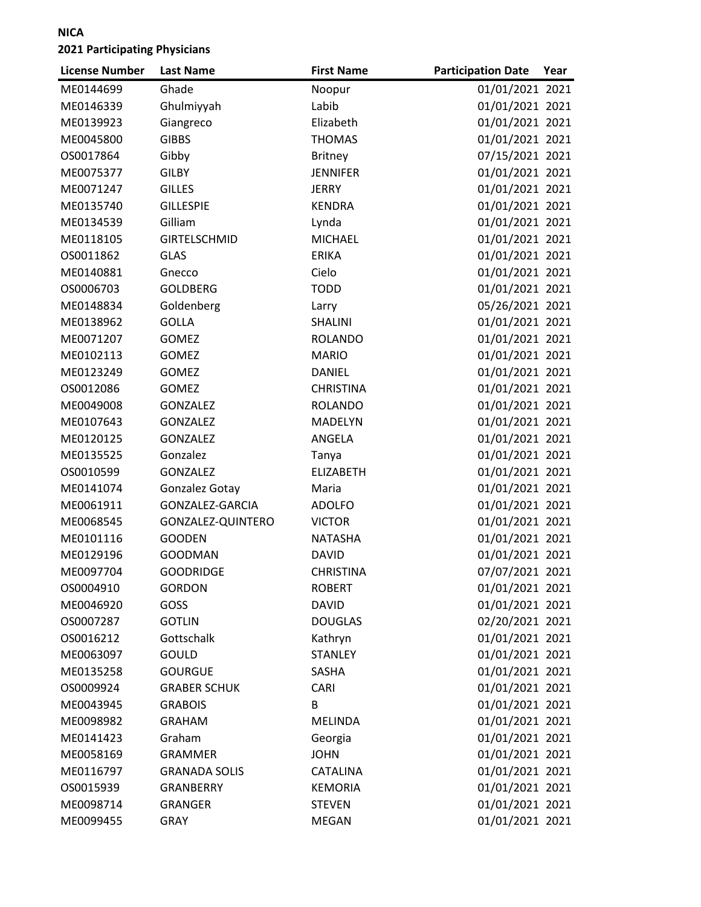| <b>License Number</b> | <b>Last Name</b>     | <b>First Name</b> | <b>Participation Date</b> | Year |
|-----------------------|----------------------|-------------------|---------------------------|------|
| ME0144699             | Ghade                | Noopur            | 01/01/2021 2021           |      |
| ME0146339             | Ghulmiyyah           | Labib             | 01/01/2021 2021           |      |
| ME0139923             | Giangreco            | Elizabeth         | 01/01/2021 2021           |      |
| ME0045800             | <b>GIBBS</b>         | <b>THOMAS</b>     | 01/01/2021 2021           |      |
| OS0017864             | Gibby                | <b>Britney</b>    | 07/15/2021 2021           |      |
| ME0075377             | <b>GILBY</b>         | <b>JENNIFER</b>   | 01/01/2021 2021           |      |
| ME0071247             | <b>GILLES</b>        | <b>JERRY</b>      | 01/01/2021 2021           |      |
| ME0135740             | <b>GILLESPIE</b>     | <b>KENDRA</b>     | 01/01/2021 2021           |      |
| ME0134539             | Gilliam              | Lynda             | 01/01/2021 2021           |      |
| ME0118105             | <b>GIRTELSCHMID</b>  | <b>MICHAEL</b>    | 01/01/2021 2021           |      |
| OS0011862             | <b>GLAS</b>          | <b>ERIKA</b>      | 01/01/2021 2021           |      |
| ME0140881             | Gnecco               | Cielo             | 01/01/2021 2021           |      |
| OS0006703             | <b>GOLDBERG</b>      | <b>TODD</b>       | 01/01/2021 2021           |      |
| ME0148834             | Goldenberg           | Larry             | 05/26/2021 2021           |      |
| ME0138962             | <b>GOLLA</b>         | <b>SHALINI</b>    | 01/01/2021 2021           |      |
| ME0071207             | <b>GOMEZ</b>         | <b>ROLANDO</b>    | 01/01/2021 2021           |      |
| ME0102113             | <b>GOMEZ</b>         | <b>MARIO</b>      | 01/01/2021 2021           |      |
| ME0123249             | <b>GOMEZ</b>         | <b>DANIEL</b>     | 01/01/2021 2021           |      |
| OS0012086             | <b>GOMEZ</b>         | <b>CHRISTINA</b>  | 01/01/2021 2021           |      |
| ME0049008             | <b>GONZALEZ</b>      | <b>ROLANDO</b>    | 01/01/2021 2021           |      |
| ME0107643             | <b>GONZALEZ</b>      | <b>MADELYN</b>    | 01/01/2021 2021           |      |
| ME0120125             | <b>GONZALEZ</b>      | ANGELA            | 01/01/2021 2021           |      |
| ME0135525             | Gonzalez             | Tanya             | 01/01/2021 2021           |      |
| OS0010599             | GONZALEZ             | <b>ELIZABETH</b>  | 01/01/2021 2021           |      |
| ME0141074             | Gonzalez Gotay       | Maria             | 01/01/2021 2021           |      |
| ME0061911             | GONZALEZ-GARCIA      | <b>ADOLFO</b>     | 01/01/2021 2021           |      |
| ME0068545             | GONZALEZ-QUINTERO    | <b>VICTOR</b>     | 01/01/2021 2021           |      |
| ME0101116             | <b>GOODEN</b>        | <b>NATASHA</b>    | 01/01/2021 2021           |      |
| ME0129196             | <b>GOODMAN</b>       | <b>DAVID</b>      | 01/01/2021 2021           |      |
| ME0097704             | <b>GOODRIDGE</b>     | <b>CHRISTINA</b>  | 07/07/2021 2021           |      |
| OS0004910             | <b>GORDON</b>        | <b>ROBERT</b>     | 01/01/2021 2021           |      |
| ME0046920             | GOSS                 | <b>DAVID</b>      | 01/01/2021 2021           |      |
| OS0007287             | <b>GOTLIN</b>        | <b>DOUGLAS</b>    | 02/20/2021 2021           |      |
| OS0016212             | Gottschalk           | Kathryn           | 01/01/2021 2021           |      |
| ME0063097             | <b>GOULD</b>         | <b>STANLEY</b>    | 01/01/2021 2021           |      |
| ME0135258             | <b>GOURGUE</b>       | SASHA             | 01/01/2021 2021           |      |
| OS0009924             | <b>GRABER SCHUK</b>  | CARI              | 01/01/2021 2021           |      |
| ME0043945             | <b>GRABOIS</b>       | B                 | 01/01/2021 2021           |      |
| ME0098982             | <b>GRAHAM</b>        | <b>MELINDA</b>    | 01/01/2021 2021           |      |
| ME0141423             | Graham               | Georgia           | 01/01/2021 2021           |      |
| ME0058169             | <b>GRAMMER</b>       | <b>JOHN</b>       | 01/01/2021 2021           |      |
| ME0116797             | <b>GRANADA SOLIS</b> | CATALINA          | 01/01/2021 2021           |      |
| OS0015939             | <b>GRANBERRY</b>     | <b>KEMORIA</b>    | 01/01/2021 2021           |      |
| ME0098714             | <b>GRANGER</b>       | <b>STEVEN</b>     | 01/01/2021 2021           |      |
| ME0099455             | <b>GRAY</b>          | MEGAN             | 01/01/2021 2021           |      |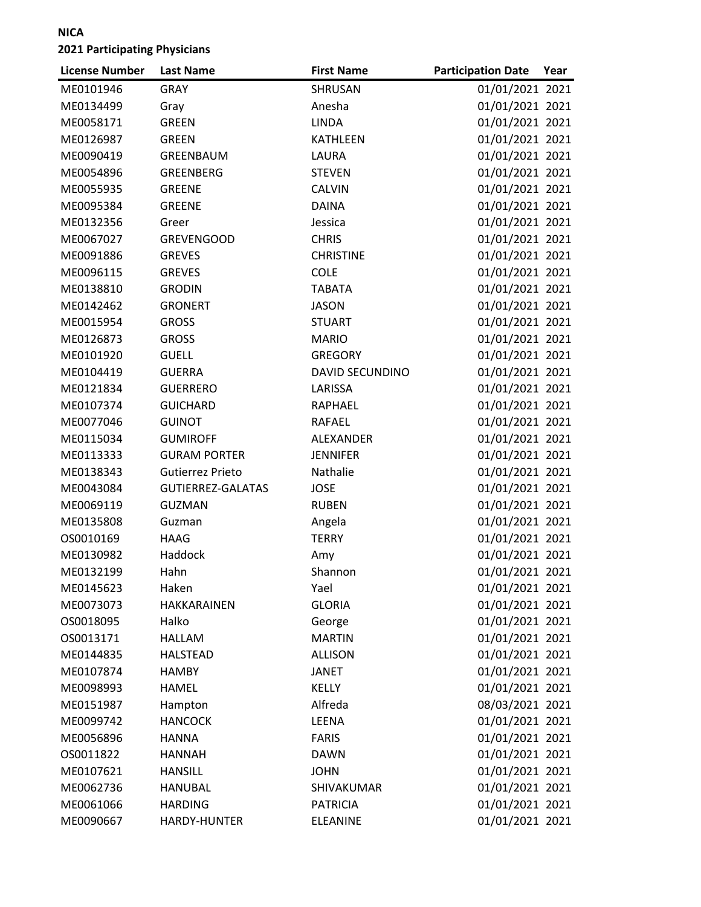| 01/01/2021 2021<br>ME0101946<br><b>GRAY</b><br>SHRUSAN<br>01/01/2021 2021<br>ME0134499<br>Anesha<br>Gray<br>ME0058171<br><b>GREEN</b><br><b>LINDA</b><br>01/01/2021 2021<br>01/01/2021 2021<br>ME0126987<br><b>GREEN</b><br><b>KATHLEEN</b><br>01/01/2021 2021<br>ME0090419<br>GREENBAUM<br>LAURA<br>01/01/2021 2021<br>ME0054896<br>GREENBERG<br><b>STEVEN</b><br>01/01/2021 2021<br>ME0055935<br><b>GREENE</b><br><b>CALVIN</b><br>01/01/2021 2021<br>ME0095384<br><b>GREENE</b><br><b>DAINA</b><br>01/01/2021 2021<br>ME0132356<br>Greer<br>Jessica<br>ME0067027<br>01/01/2021 2021<br><b>GREVENGOOD</b><br><b>CHRIS</b><br>01/01/2021 2021<br>ME0091886<br><b>GREVES</b><br><b>CHRISTINE</b><br>01/01/2021 2021<br>ME0096115<br><b>GREVES</b><br><b>COLE</b><br>01/01/2021 2021<br>ME0138810<br><b>GRODIN</b><br><b>TABATA</b><br>01/01/2021 2021<br>ME0142462<br><b>GRONERT</b><br><b>JASON</b><br>01/01/2021 2021<br><b>GROSS</b><br>ME0015954<br><b>STUART</b><br>01/01/2021 2021<br>ME0126873<br><b>GROSS</b><br><b>MARIO</b><br>01/01/2021 2021<br><b>GUELL</b><br>ME0101920<br><b>GREGORY</b><br>01/01/2021 2021<br>ME0104419<br><b>GUERRA</b><br><b>DAVID SECUNDINO</b><br>01/01/2021 2021<br>ME0121834<br>LARISSA<br><b>GUERRERO</b><br>01/01/2021 2021<br>ME0107374<br><b>GUICHARD</b><br>RAPHAEL<br>01/01/2021 2021<br>ME0077046<br><b>GUINOT</b><br>RAFAEL<br>01/01/2021 2021<br>ME0115034<br><b>GUMIROFF</b><br><b>ALEXANDER</b><br>01/01/2021 2021<br>ME0113333<br><b>GURAM PORTER</b><br><b>JENNIFER</b><br>Nathalie<br>01/01/2021 2021<br>ME0138343<br>Gutierrez Prieto<br><b>GUTIERREZ-GALATAS</b><br>01/01/2021 2021<br>ME0043084<br><b>JOSE</b><br>01/01/2021 2021<br>ME0069119<br><b>GUZMAN</b><br><b>RUBEN</b><br>01/01/2021 2021<br>ME0135808<br>Guzman<br>Angela<br><b>TERRY</b><br>01/01/2021 2021<br>OS0010169<br><b>HAAG</b><br>01/01/2021 2021<br>Haddock<br>ME0130982<br>Amy<br>01/01/2021 2021<br>Shannon<br>ME0132199<br>Hahn<br>Haken<br>01/01/2021 2021<br>ME0145623<br>Yael<br>01/01/2021 2021<br>ME0073073<br>HAKKARAINEN<br><b>GLORIA</b><br>01/01/2021 2021<br>OS0018095<br>Halko<br>George<br>01/01/2021 2021<br>OS0013171<br><b>HALLAM</b><br><b>MARTIN</b><br>01/01/2021 2021<br>ME0144835<br><b>HALSTEAD</b><br><b>ALLISON</b><br>01/01/2021 2021<br>ME0107874<br><b>HAMBY</b><br><b>JANET</b><br>01/01/2021 2021<br>ME0098993<br><b>KELLY</b><br><b>HAMEL</b><br>Alfreda<br>08/03/2021 2021<br>ME0151987<br>Hampton<br>01/01/2021 2021<br>ME0099742<br><b>HANCOCK</b><br>LEENA<br>01/01/2021 2021<br>ME0056896<br><b>HANNA</b><br><b>FARIS</b><br>01/01/2021 2021<br>OS0011822<br><b>HANNAH</b><br><b>DAWN</b><br>01/01/2021 2021<br>ME0107621<br><b>HANSILL</b><br>JOHN<br>01/01/2021 2021<br>ME0062736<br><b>HANUBAL</b><br>SHIVAKUMAR | <b>License Number</b> | <b>Last Name</b> | <b>First Name</b> | <b>Participation Date</b> | Year |
|--------------------------------------------------------------------------------------------------------------------------------------------------------------------------------------------------------------------------------------------------------------------------------------------------------------------------------------------------------------------------------------------------------------------------------------------------------------------------------------------------------------------------------------------------------------------------------------------------------------------------------------------------------------------------------------------------------------------------------------------------------------------------------------------------------------------------------------------------------------------------------------------------------------------------------------------------------------------------------------------------------------------------------------------------------------------------------------------------------------------------------------------------------------------------------------------------------------------------------------------------------------------------------------------------------------------------------------------------------------------------------------------------------------------------------------------------------------------------------------------------------------------------------------------------------------------------------------------------------------------------------------------------------------------------------------------------------------------------------------------------------------------------------------------------------------------------------------------------------------------------------------------------------------------------------------------------------------------------------------------------------------------------------------------------------------------------------------------------------------------------------------------------------------------------------------------------------------------------------------------------------------------------------------------------------------------------------------------------------------------------------------------------------------------------------------------------------------------------------------------------------------------------------------------------------------------------------------------------------------------------------------------------------------------------------------------------------------------------------------------------------------------------------------|-----------------------|------------------|-------------------|---------------------------|------|
|                                                                                                                                                                                                                                                                                                                                                                                                                                                                                                                                                                                                                                                                                                                                                                                                                                                                                                                                                                                                                                                                                                                                                                                                                                                                                                                                                                                                                                                                                                                                                                                                                                                                                                                                                                                                                                                                                                                                                                                                                                                                                                                                                                                                                                                                                                                                                                                                                                                                                                                                                                                                                                                                                                                                                                                      |                       |                  |                   |                           |      |
|                                                                                                                                                                                                                                                                                                                                                                                                                                                                                                                                                                                                                                                                                                                                                                                                                                                                                                                                                                                                                                                                                                                                                                                                                                                                                                                                                                                                                                                                                                                                                                                                                                                                                                                                                                                                                                                                                                                                                                                                                                                                                                                                                                                                                                                                                                                                                                                                                                                                                                                                                                                                                                                                                                                                                                                      |                       |                  |                   |                           |      |
|                                                                                                                                                                                                                                                                                                                                                                                                                                                                                                                                                                                                                                                                                                                                                                                                                                                                                                                                                                                                                                                                                                                                                                                                                                                                                                                                                                                                                                                                                                                                                                                                                                                                                                                                                                                                                                                                                                                                                                                                                                                                                                                                                                                                                                                                                                                                                                                                                                                                                                                                                                                                                                                                                                                                                                                      |                       |                  |                   |                           |      |
|                                                                                                                                                                                                                                                                                                                                                                                                                                                                                                                                                                                                                                                                                                                                                                                                                                                                                                                                                                                                                                                                                                                                                                                                                                                                                                                                                                                                                                                                                                                                                                                                                                                                                                                                                                                                                                                                                                                                                                                                                                                                                                                                                                                                                                                                                                                                                                                                                                                                                                                                                                                                                                                                                                                                                                                      |                       |                  |                   |                           |      |
|                                                                                                                                                                                                                                                                                                                                                                                                                                                                                                                                                                                                                                                                                                                                                                                                                                                                                                                                                                                                                                                                                                                                                                                                                                                                                                                                                                                                                                                                                                                                                                                                                                                                                                                                                                                                                                                                                                                                                                                                                                                                                                                                                                                                                                                                                                                                                                                                                                                                                                                                                                                                                                                                                                                                                                                      |                       |                  |                   |                           |      |
|                                                                                                                                                                                                                                                                                                                                                                                                                                                                                                                                                                                                                                                                                                                                                                                                                                                                                                                                                                                                                                                                                                                                                                                                                                                                                                                                                                                                                                                                                                                                                                                                                                                                                                                                                                                                                                                                                                                                                                                                                                                                                                                                                                                                                                                                                                                                                                                                                                                                                                                                                                                                                                                                                                                                                                                      |                       |                  |                   |                           |      |
|                                                                                                                                                                                                                                                                                                                                                                                                                                                                                                                                                                                                                                                                                                                                                                                                                                                                                                                                                                                                                                                                                                                                                                                                                                                                                                                                                                                                                                                                                                                                                                                                                                                                                                                                                                                                                                                                                                                                                                                                                                                                                                                                                                                                                                                                                                                                                                                                                                                                                                                                                                                                                                                                                                                                                                                      |                       |                  |                   |                           |      |
|                                                                                                                                                                                                                                                                                                                                                                                                                                                                                                                                                                                                                                                                                                                                                                                                                                                                                                                                                                                                                                                                                                                                                                                                                                                                                                                                                                                                                                                                                                                                                                                                                                                                                                                                                                                                                                                                                                                                                                                                                                                                                                                                                                                                                                                                                                                                                                                                                                                                                                                                                                                                                                                                                                                                                                                      |                       |                  |                   |                           |      |
|                                                                                                                                                                                                                                                                                                                                                                                                                                                                                                                                                                                                                                                                                                                                                                                                                                                                                                                                                                                                                                                                                                                                                                                                                                                                                                                                                                                                                                                                                                                                                                                                                                                                                                                                                                                                                                                                                                                                                                                                                                                                                                                                                                                                                                                                                                                                                                                                                                                                                                                                                                                                                                                                                                                                                                                      |                       |                  |                   |                           |      |
|                                                                                                                                                                                                                                                                                                                                                                                                                                                                                                                                                                                                                                                                                                                                                                                                                                                                                                                                                                                                                                                                                                                                                                                                                                                                                                                                                                                                                                                                                                                                                                                                                                                                                                                                                                                                                                                                                                                                                                                                                                                                                                                                                                                                                                                                                                                                                                                                                                                                                                                                                                                                                                                                                                                                                                                      |                       |                  |                   |                           |      |
|                                                                                                                                                                                                                                                                                                                                                                                                                                                                                                                                                                                                                                                                                                                                                                                                                                                                                                                                                                                                                                                                                                                                                                                                                                                                                                                                                                                                                                                                                                                                                                                                                                                                                                                                                                                                                                                                                                                                                                                                                                                                                                                                                                                                                                                                                                                                                                                                                                                                                                                                                                                                                                                                                                                                                                                      |                       |                  |                   |                           |      |
|                                                                                                                                                                                                                                                                                                                                                                                                                                                                                                                                                                                                                                                                                                                                                                                                                                                                                                                                                                                                                                                                                                                                                                                                                                                                                                                                                                                                                                                                                                                                                                                                                                                                                                                                                                                                                                                                                                                                                                                                                                                                                                                                                                                                                                                                                                                                                                                                                                                                                                                                                                                                                                                                                                                                                                                      |                       |                  |                   |                           |      |
|                                                                                                                                                                                                                                                                                                                                                                                                                                                                                                                                                                                                                                                                                                                                                                                                                                                                                                                                                                                                                                                                                                                                                                                                                                                                                                                                                                                                                                                                                                                                                                                                                                                                                                                                                                                                                                                                                                                                                                                                                                                                                                                                                                                                                                                                                                                                                                                                                                                                                                                                                                                                                                                                                                                                                                                      |                       |                  |                   |                           |      |
|                                                                                                                                                                                                                                                                                                                                                                                                                                                                                                                                                                                                                                                                                                                                                                                                                                                                                                                                                                                                                                                                                                                                                                                                                                                                                                                                                                                                                                                                                                                                                                                                                                                                                                                                                                                                                                                                                                                                                                                                                                                                                                                                                                                                                                                                                                                                                                                                                                                                                                                                                                                                                                                                                                                                                                                      |                       |                  |                   |                           |      |
|                                                                                                                                                                                                                                                                                                                                                                                                                                                                                                                                                                                                                                                                                                                                                                                                                                                                                                                                                                                                                                                                                                                                                                                                                                                                                                                                                                                                                                                                                                                                                                                                                                                                                                                                                                                                                                                                                                                                                                                                                                                                                                                                                                                                                                                                                                                                                                                                                                                                                                                                                                                                                                                                                                                                                                                      |                       |                  |                   |                           |      |
|                                                                                                                                                                                                                                                                                                                                                                                                                                                                                                                                                                                                                                                                                                                                                                                                                                                                                                                                                                                                                                                                                                                                                                                                                                                                                                                                                                                                                                                                                                                                                                                                                                                                                                                                                                                                                                                                                                                                                                                                                                                                                                                                                                                                                                                                                                                                                                                                                                                                                                                                                                                                                                                                                                                                                                                      |                       |                  |                   |                           |      |
|                                                                                                                                                                                                                                                                                                                                                                                                                                                                                                                                                                                                                                                                                                                                                                                                                                                                                                                                                                                                                                                                                                                                                                                                                                                                                                                                                                                                                                                                                                                                                                                                                                                                                                                                                                                                                                                                                                                                                                                                                                                                                                                                                                                                                                                                                                                                                                                                                                                                                                                                                                                                                                                                                                                                                                                      |                       |                  |                   |                           |      |
|                                                                                                                                                                                                                                                                                                                                                                                                                                                                                                                                                                                                                                                                                                                                                                                                                                                                                                                                                                                                                                                                                                                                                                                                                                                                                                                                                                                                                                                                                                                                                                                                                                                                                                                                                                                                                                                                                                                                                                                                                                                                                                                                                                                                                                                                                                                                                                                                                                                                                                                                                                                                                                                                                                                                                                                      |                       |                  |                   |                           |      |
|                                                                                                                                                                                                                                                                                                                                                                                                                                                                                                                                                                                                                                                                                                                                                                                                                                                                                                                                                                                                                                                                                                                                                                                                                                                                                                                                                                                                                                                                                                                                                                                                                                                                                                                                                                                                                                                                                                                                                                                                                                                                                                                                                                                                                                                                                                                                                                                                                                                                                                                                                                                                                                                                                                                                                                                      |                       |                  |                   |                           |      |
|                                                                                                                                                                                                                                                                                                                                                                                                                                                                                                                                                                                                                                                                                                                                                                                                                                                                                                                                                                                                                                                                                                                                                                                                                                                                                                                                                                                                                                                                                                                                                                                                                                                                                                                                                                                                                                                                                                                                                                                                                                                                                                                                                                                                                                                                                                                                                                                                                                                                                                                                                                                                                                                                                                                                                                                      |                       |                  |                   |                           |      |
|                                                                                                                                                                                                                                                                                                                                                                                                                                                                                                                                                                                                                                                                                                                                                                                                                                                                                                                                                                                                                                                                                                                                                                                                                                                                                                                                                                                                                                                                                                                                                                                                                                                                                                                                                                                                                                                                                                                                                                                                                                                                                                                                                                                                                                                                                                                                                                                                                                                                                                                                                                                                                                                                                                                                                                                      |                       |                  |                   |                           |      |
|                                                                                                                                                                                                                                                                                                                                                                                                                                                                                                                                                                                                                                                                                                                                                                                                                                                                                                                                                                                                                                                                                                                                                                                                                                                                                                                                                                                                                                                                                                                                                                                                                                                                                                                                                                                                                                                                                                                                                                                                                                                                                                                                                                                                                                                                                                                                                                                                                                                                                                                                                                                                                                                                                                                                                                                      |                       |                  |                   |                           |      |
|                                                                                                                                                                                                                                                                                                                                                                                                                                                                                                                                                                                                                                                                                                                                                                                                                                                                                                                                                                                                                                                                                                                                                                                                                                                                                                                                                                                                                                                                                                                                                                                                                                                                                                                                                                                                                                                                                                                                                                                                                                                                                                                                                                                                                                                                                                                                                                                                                                                                                                                                                                                                                                                                                                                                                                                      |                       |                  |                   |                           |      |
|                                                                                                                                                                                                                                                                                                                                                                                                                                                                                                                                                                                                                                                                                                                                                                                                                                                                                                                                                                                                                                                                                                                                                                                                                                                                                                                                                                                                                                                                                                                                                                                                                                                                                                                                                                                                                                                                                                                                                                                                                                                                                                                                                                                                                                                                                                                                                                                                                                                                                                                                                                                                                                                                                                                                                                                      |                       |                  |                   |                           |      |
|                                                                                                                                                                                                                                                                                                                                                                                                                                                                                                                                                                                                                                                                                                                                                                                                                                                                                                                                                                                                                                                                                                                                                                                                                                                                                                                                                                                                                                                                                                                                                                                                                                                                                                                                                                                                                                                                                                                                                                                                                                                                                                                                                                                                                                                                                                                                                                                                                                                                                                                                                                                                                                                                                                                                                                                      |                       |                  |                   |                           |      |
|                                                                                                                                                                                                                                                                                                                                                                                                                                                                                                                                                                                                                                                                                                                                                                                                                                                                                                                                                                                                                                                                                                                                                                                                                                                                                                                                                                                                                                                                                                                                                                                                                                                                                                                                                                                                                                                                                                                                                                                                                                                                                                                                                                                                                                                                                                                                                                                                                                                                                                                                                                                                                                                                                                                                                                                      |                       |                  |                   |                           |      |
|                                                                                                                                                                                                                                                                                                                                                                                                                                                                                                                                                                                                                                                                                                                                                                                                                                                                                                                                                                                                                                                                                                                                                                                                                                                                                                                                                                                                                                                                                                                                                                                                                                                                                                                                                                                                                                                                                                                                                                                                                                                                                                                                                                                                                                                                                                                                                                                                                                                                                                                                                                                                                                                                                                                                                                                      |                       |                  |                   |                           |      |
|                                                                                                                                                                                                                                                                                                                                                                                                                                                                                                                                                                                                                                                                                                                                                                                                                                                                                                                                                                                                                                                                                                                                                                                                                                                                                                                                                                                                                                                                                                                                                                                                                                                                                                                                                                                                                                                                                                                                                                                                                                                                                                                                                                                                                                                                                                                                                                                                                                                                                                                                                                                                                                                                                                                                                                                      |                       |                  |                   |                           |      |
|                                                                                                                                                                                                                                                                                                                                                                                                                                                                                                                                                                                                                                                                                                                                                                                                                                                                                                                                                                                                                                                                                                                                                                                                                                                                                                                                                                                                                                                                                                                                                                                                                                                                                                                                                                                                                                                                                                                                                                                                                                                                                                                                                                                                                                                                                                                                                                                                                                                                                                                                                                                                                                                                                                                                                                                      |                       |                  |                   |                           |      |
|                                                                                                                                                                                                                                                                                                                                                                                                                                                                                                                                                                                                                                                                                                                                                                                                                                                                                                                                                                                                                                                                                                                                                                                                                                                                                                                                                                                                                                                                                                                                                                                                                                                                                                                                                                                                                                                                                                                                                                                                                                                                                                                                                                                                                                                                                                                                                                                                                                                                                                                                                                                                                                                                                                                                                                                      |                       |                  |                   |                           |      |
|                                                                                                                                                                                                                                                                                                                                                                                                                                                                                                                                                                                                                                                                                                                                                                                                                                                                                                                                                                                                                                                                                                                                                                                                                                                                                                                                                                                                                                                                                                                                                                                                                                                                                                                                                                                                                                                                                                                                                                                                                                                                                                                                                                                                                                                                                                                                                                                                                                                                                                                                                                                                                                                                                                                                                                                      |                       |                  |                   |                           |      |
|                                                                                                                                                                                                                                                                                                                                                                                                                                                                                                                                                                                                                                                                                                                                                                                                                                                                                                                                                                                                                                                                                                                                                                                                                                                                                                                                                                                                                                                                                                                                                                                                                                                                                                                                                                                                                                                                                                                                                                                                                                                                                                                                                                                                                                                                                                                                                                                                                                                                                                                                                                                                                                                                                                                                                                                      |                       |                  |                   |                           |      |
|                                                                                                                                                                                                                                                                                                                                                                                                                                                                                                                                                                                                                                                                                                                                                                                                                                                                                                                                                                                                                                                                                                                                                                                                                                                                                                                                                                                                                                                                                                                                                                                                                                                                                                                                                                                                                                                                                                                                                                                                                                                                                                                                                                                                                                                                                                                                                                                                                                                                                                                                                                                                                                                                                                                                                                                      |                       |                  |                   |                           |      |
|                                                                                                                                                                                                                                                                                                                                                                                                                                                                                                                                                                                                                                                                                                                                                                                                                                                                                                                                                                                                                                                                                                                                                                                                                                                                                                                                                                                                                                                                                                                                                                                                                                                                                                                                                                                                                                                                                                                                                                                                                                                                                                                                                                                                                                                                                                                                                                                                                                                                                                                                                                                                                                                                                                                                                                                      |                       |                  |                   |                           |      |
|                                                                                                                                                                                                                                                                                                                                                                                                                                                                                                                                                                                                                                                                                                                                                                                                                                                                                                                                                                                                                                                                                                                                                                                                                                                                                                                                                                                                                                                                                                                                                                                                                                                                                                                                                                                                                                                                                                                                                                                                                                                                                                                                                                                                                                                                                                                                                                                                                                                                                                                                                                                                                                                                                                                                                                                      |                       |                  |                   |                           |      |
|                                                                                                                                                                                                                                                                                                                                                                                                                                                                                                                                                                                                                                                                                                                                                                                                                                                                                                                                                                                                                                                                                                                                                                                                                                                                                                                                                                                                                                                                                                                                                                                                                                                                                                                                                                                                                                                                                                                                                                                                                                                                                                                                                                                                                                                                                                                                                                                                                                                                                                                                                                                                                                                                                                                                                                                      |                       |                  |                   |                           |      |
|                                                                                                                                                                                                                                                                                                                                                                                                                                                                                                                                                                                                                                                                                                                                                                                                                                                                                                                                                                                                                                                                                                                                                                                                                                                                                                                                                                                                                                                                                                                                                                                                                                                                                                                                                                                                                                                                                                                                                                                                                                                                                                                                                                                                                                                                                                                                                                                                                                                                                                                                                                                                                                                                                                                                                                                      |                       |                  |                   |                           |      |
|                                                                                                                                                                                                                                                                                                                                                                                                                                                                                                                                                                                                                                                                                                                                                                                                                                                                                                                                                                                                                                                                                                                                                                                                                                                                                                                                                                                                                                                                                                                                                                                                                                                                                                                                                                                                                                                                                                                                                                                                                                                                                                                                                                                                                                                                                                                                                                                                                                                                                                                                                                                                                                                                                                                                                                                      |                       |                  |                   |                           |      |
|                                                                                                                                                                                                                                                                                                                                                                                                                                                                                                                                                                                                                                                                                                                                                                                                                                                                                                                                                                                                                                                                                                                                                                                                                                                                                                                                                                                                                                                                                                                                                                                                                                                                                                                                                                                                                                                                                                                                                                                                                                                                                                                                                                                                                                                                                                                                                                                                                                                                                                                                                                                                                                                                                                                                                                                      |                       |                  |                   |                           |      |
|                                                                                                                                                                                                                                                                                                                                                                                                                                                                                                                                                                                                                                                                                                                                                                                                                                                                                                                                                                                                                                                                                                                                                                                                                                                                                                                                                                                                                                                                                                                                                                                                                                                                                                                                                                                                                                                                                                                                                                                                                                                                                                                                                                                                                                                                                                                                                                                                                                                                                                                                                                                                                                                                                                                                                                                      |                       |                  |                   |                           |      |
|                                                                                                                                                                                                                                                                                                                                                                                                                                                                                                                                                                                                                                                                                                                                                                                                                                                                                                                                                                                                                                                                                                                                                                                                                                                                                                                                                                                                                                                                                                                                                                                                                                                                                                                                                                                                                                                                                                                                                                                                                                                                                                                                                                                                                                                                                                                                                                                                                                                                                                                                                                                                                                                                                                                                                                                      |                       |                  |                   |                           |      |
|                                                                                                                                                                                                                                                                                                                                                                                                                                                                                                                                                                                                                                                                                                                                                                                                                                                                                                                                                                                                                                                                                                                                                                                                                                                                                                                                                                                                                                                                                                                                                                                                                                                                                                                                                                                                                                                                                                                                                                                                                                                                                                                                                                                                                                                                                                                                                                                                                                                                                                                                                                                                                                                                                                                                                                                      |                       |                  |                   |                           |      |
|                                                                                                                                                                                                                                                                                                                                                                                                                                                                                                                                                                                                                                                                                                                                                                                                                                                                                                                                                                                                                                                                                                                                                                                                                                                                                                                                                                                                                                                                                                                                                                                                                                                                                                                                                                                                                                                                                                                                                                                                                                                                                                                                                                                                                                                                                                                                                                                                                                                                                                                                                                                                                                                                                                                                                                                      |                       |                  |                   |                           |      |
| 01/01/2021 2021                                                                                                                                                                                                                                                                                                                                                                                                                                                                                                                                                                                                                                                                                                                                                                                                                                                                                                                                                                                                                                                                                                                                                                                                                                                                                                                                                                                                                                                                                                                                                                                                                                                                                                                                                                                                                                                                                                                                                                                                                                                                                                                                                                                                                                                                                                                                                                                                                                                                                                                                                                                                                                                                                                                                                                      | ME0061066             | <b>HARDING</b>   | <b>PATRICIA</b>   |                           |      |
|                                                                                                                                                                                                                                                                                                                                                                                                                                                                                                                                                                                                                                                                                                                                                                                                                                                                                                                                                                                                                                                                                                                                                                                                                                                                                                                                                                                                                                                                                                                                                                                                                                                                                                                                                                                                                                                                                                                                                                                                                                                                                                                                                                                                                                                                                                                                                                                                                                                                                                                                                                                                                                                                                                                                                                                      | ME0090667             | HARDY-HUNTER     | <b>ELEANINE</b>   | 01/01/2021 2021           |      |
|                                                                                                                                                                                                                                                                                                                                                                                                                                                                                                                                                                                                                                                                                                                                                                                                                                                                                                                                                                                                                                                                                                                                                                                                                                                                                                                                                                                                                                                                                                                                                                                                                                                                                                                                                                                                                                                                                                                                                                                                                                                                                                                                                                                                                                                                                                                                                                                                                                                                                                                                                                                                                                                                                                                                                                                      |                       |                  |                   |                           |      |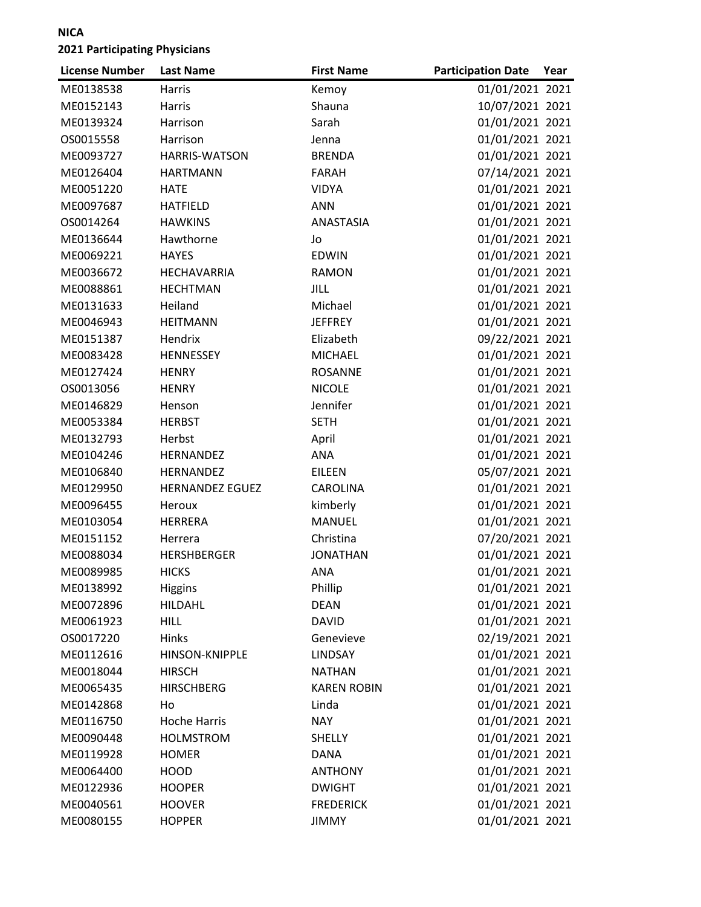| <b>License Number</b> | <b>Last Name</b>       | <b>First Name</b>  | <b>Participation Date</b> | Year |
|-----------------------|------------------------|--------------------|---------------------------|------|
| ME0138538             | Harris                 | Kemoy              | 01/01/2021 2021           |      |
| ME0152143             | Harris                 | Shauna             | 10/07/2021 2021           |      |
| ME0139324             | Harrison               | Sarah              | 01/01/2021 2021           |      |
| OS0015558             | Harrison               | Jenna              | 01/01/2021 2021           |      |
| ME0093727             | <b>HARRIS-WATSON</b>   | <b>BRENDA</b>      | 01/01/2021 2021           |      |
| ME0126404             | <b>HARTMANN</b>        | <b>FARAH</b>       | 07/14/2021 2021           |      |
| ME0051220             | <b>HATE</b>            | <b>VIDYA</b>       | 01/01/2021 2021           |      |
| ME0097687             | <b>HATFIELD</b>        | <b>ANN</b>         | 01/01/2021 2021           |      |
| OS0014264             | <b>HAWKINS</b>         | ANASTASIA          | 01/01/2021 2021           |      |
| ME0136644             | Hawthorne              | Jo                 | 01/01/2021 2021           |      |
| ME0069221             | <b>HAYES</b>           | <b>EDWIN</b>       | 01/01/2021 2021           |      |
| ME0036672             | HECHAVARRIA            | <b>RAMON</b>       | 01/01/2021 2021           |      |
| ME0088861             | <b>HECHTMAN</b>        | JILL               | 01/01/2021 2021           |      |
| ME0131633             | Heiland                | Michael            | 01/01/2021 2021           |      |
| ME0046943             | <b>HEITMANN</b>        | <b>JEFFREY</b>     | 01/01/2021 2021           |      |
| ME0151387             | Hendrix                | Elizabeth          | 09/22/2021 2021           |      |
| ME0083428             | HENNESSEY              | <b>MICHAEL</b>     | 01/01/2021 2021           |      |
| ME0127424             | <b>HENRY</b>           | <b>ROSANNE</b>     | 01/01/2021 2021           |      |
| OS0013056             | <b>HENRY</b>           | <b>NICOLE</b>      | 01/01/2021 2021           |      |
| ME0146829             | Henson                 | Jennifer           | 01/01/2021 2021           |      |
| ME0053384             | <b>HERBST</b>          | <b>SETH</b>        | 01/01/2021 2021           |      |
| ME0132793             | Herbst                 | April              | 01/01/2021 2021           |      |
| ME0104246             | HERNANDEZ              | <b>ANA</b>         | 01/01/2021 2021           |      |
| ME0106840             | HERNANDEZ              | <b>EILEEN</b>      | 05/07/2021 2021           |      |
| ME0129950             | <b>HERNANDEZ EGUEZ</b> | <b>CAROLINA</b>    | 01/01/2021 2021           |      |
| ME0096455             | Heroux                 | kimberly           | 01/01/2021 2021           |      |
| ME0103054             | <b>HERRERA</b>         | <b>MANUEL</b>      | 01/01/2021 2021           |      |
| ME0151152             | Herrera                | Christina          | 07/20/2021 2021           |      |
| ME0088034             | <b>HERSHBERGER</b>     | <b>JONATHAN</b>    | 01/01/2021 2021           |      |
| ME0089985             | <b>HICKS</b>           | ANA                | 01/01/2021 2021           |      |
| ME0138992             | <b>Higgins</b>         | Phillip            | 01/01/2021 2021           |      |
| ME0072896             | <b>HILDAHL</b>         | <b>DEAN</b>        | 01/01/2021 2021           |      |
| ME0061923             | <b>HILL</b>            | <b>DAVID</b>       | 01/01/2021 2021           |      |
| OS0017220             | Hinks                  | Genevieve          | 02/19/2021 2021           |      |
| ME0112616             | HINSON-KNIPPLE         | <b>LINDSAY</b>     | 01/01/2021 2021           |      |
| ME0018044             | <b>HIRSCH</b>          | <b>NATHAN</b>      | 01/01/2021 2021           |      |
| ME0065435             | <b>HIRSCHBERG</b>      | <b>KAREN ROBIN</b> | 01/01/2021 2021           |      |
| ME0142868             | Ho                     | Linda              | 01/01/2021 2021           |      |
| ME0116750             | <b>Hoche Harris</b>    | <b>NAY</b>         | 01/01/2021 2021           |      |
| ME0090448             | <b>HOLMSTROM</b>       | <b>SHELLY</b>      | 01/01/2021 2021           |      |
| ME0119928             | <b>HOMER</b>           | <b>DANA</b>        | 01/01/2021 2021           |      |
| ME0064400             | <b>HOOD</b>            | <b>ANTHONY</b>     | 01/01/2021 2021           |      |
| ME0122936             | <b>HOOPER</b>          | <b>DWIGHT</b>      | 01/01/2021 2021           |      |
| ME0040561             | <b>HOOVER</b>          | <b>FREDERICK</b>   | 01/01/2021 2021           |      |
| ME0080155             | <b>HOPPER</b>          | <b>JIMMY</b>       | 01/01/2021 2021           |      |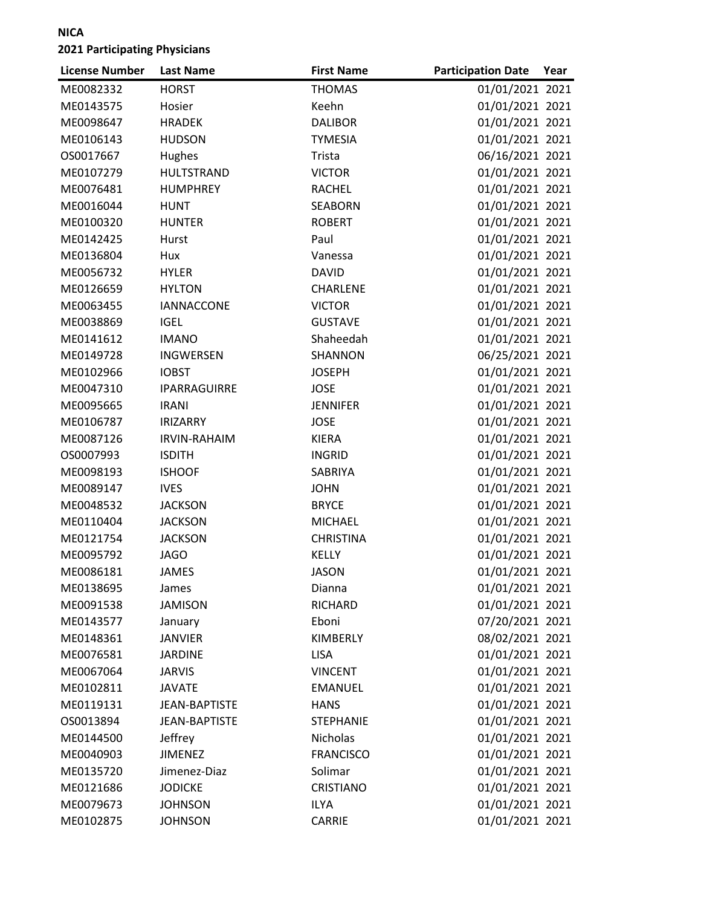| <b>THOMAS</b><br>01/01/2021 2021<br>ME0082332<br><b>HORST</b><br>01/01/2021 2021<br>Keehn<br>ME0143575<br>Hosier<br>ME0098647<br><b>DALIBOR</b><br>01/01/2021 2021<br><b>HRADEK</b><br>01/01/2021 2021<br>ME0106143<br><b>HUDSON</b><br><b>TYMESIA</b><br>Hughes<br>06/16/2021 2021<br>OS0017667<br>Trista<br>01/01/2021 2021<br>ME0107279<br>HULTSTRAND<br><b>VICTOR</b><br>01/01/2021 2021<br>ME0076481<br><b>RACHEL</b><br><b>HUMPHREY</b><br>01/01/2021 2021<br>ME0016044<br><b>SEABORN</b><br><b>HUNT</b> |  |
|----------------------------------------------------------------------------------------------------------------------------------------------------------------------------------------------------------------------------------------------------------------------------------------------------------------------------------------------------------------------------------------------------------------------------------------------------------------------------------------------------------------|--|
|                                                                                                                                                                                                                                                                                                                                                                                                                                                                                                                |  |
|                                                                                                                                                                                                                                                                                                                                                                                                                                                                                                                |  |
|                                                                                                                                                                                                                                                                                                                                                                                                                                                                                                                |  |
|                                                                                                                                                                                                                                                                                                                                                                                                                                                                                                                |  |
|                                                                                                                                                                                                                                                                                                                                                                                                                                                                                                                |  |
|                                                                                                                                                                                                                                                                                                                                                                                                                                                                                                                |  |
|                                                                                                                                                                                                                                                                                                                                                                                                                                                                                                                |  |
|                                                                                                                                                                                                                                                                                                                                                                                                                                                                                                                |  |
| 01/01/2021 2021<br>ME0100320<br><b>HUNTER</b><br><b>ROBERT</b>                                                                                                                                                                                                                                                                                                                                                                                                                                                 |  |
| Paul<br>01/01/2021 2021<br>ME0142425<br>Hurst                                                                                                                                                                                                                                                                                                                                                                                                                                                                  |  |
| 01/01/2021 2021<br>ME0136804<br>Hux<br>Vanessa                                                                                                                                                                                                                                                                                                                                                                                                                                                                 |  |
| 01/01/2021 2021<br>ME0056732<br><b>HYLER</b><br><b>DAVID</b>                                                                                                                                                                                                                                                                                                                                                                                                                                                   |  |
| 01/01/2021 2021<br>ME0126659<br><b>HYLTON</b><br><b>CHARLENE</b>                                                                                                                                                                                                                                                                                                                                                                                                                                               |  |
| 01/01/2021 2021<br>ME0063455<br><b>IANNACCONE</b><br><b>VICTOR</b>                                                                                                                                                                                                                                                                                                                                                                                                                                             |  |
| <b>IGEL</b><br><b>GUSTAVE</b><br>01/01/2021 2021<br>ME0038869                                                                                                                                                                                                                                                                                                                                                                                                                                                  |  |
| 01/01/2021 2021<br>Shaheedah<br>ME0141612<br><b>IMANO</b>                                                                                                                                                                                                                                                                                                                                                                                                                                                      |  |
| 06/25/2021 2021<br>ME0149728<br><b>INGWERSEN</b><br>SHANNON                                                                                                                                                                                                                                                                                                                                                                                                                                                    |  |
| 01/01/2021 2021<br>ME0102966<br><b>IOBST</b><br><b>JOSEPH</b>                                                                                                                                                                                                                                                                                                                                                                                                                                                  |  |
| 01/01/2021 2021<br>ME0047310<br><b>JOSE</b><br>IPARRAGUIRRE                                                                                                                                                                                                                                                                                                                                                                                                                                                    |  |
| 01/01/2021 2021<br>ME0095665<br><b>IRANI</b><br><b>JENNIFER</b>                                                                                                                                                                                                                                                                                                                                                                                                                                                |  |
| 01/01/2021 2021<br>ME0106787<br><b>JOSE</b><br><b>IRIZARRY</b>                                                                                                                                                                                                                                                                                                                                                                                                                                                 |  |
| 01/01/2021 2021<br>ME0087126<br><b>IRVIN-RAHAIM</b><br><b>KIERA</b>                                                                                                                                                                                                                                                                                                                                                                                                                                            |  |
| 01/01/2021 2021<br>OS0007993<br><b>ISDITH</b><br><b>INGRID</b>                                                                                                                                                                                                                                                                                                                                                                                                                                                 |  |
| SABRIYA<br>01/01/2021 2021<br>ME0098193<br><b>ISHOOF</b>                                                                                                                                                                                                                                                                                                                                                                                                                                                       |  |
| 01/01/2021 2021<br>ME0089147<br><b>IVES</b><br><b>JOHN</b>                                                                                                                                                                                                                                                                                                                                                                                                                                                     |  |
| 01/01/2021 2021<br>ME0048532<br><b>JACKSON</b><br><b>BRYCE</b>                                                                                                                                                                                                                                                                                                                                                                                                                                                 |  |
| <b>JACKSON</b><br>01/01/2021 2021<br>ME0110404<br><b>MICHAEL</b>                                                                                                                                                                                                                                                                                                                                                                                                                                               |  |
| 01/01/2021 2021<br>ME0121754<br><b>JACKSON</b><br><b>CHRISTINA</b>                                                                                                                                                                                                                                                                                                                                                                                                                                             |  |
| 01/01/2021 2021<br><b>KELLY</b><br>ME0095792<br><b>JAGO</b>                                                                                                                                                                                                                                                                                                                                                                                                                                                    |  |
| 01/01/2021 2021<br>ME0086181<br><b>JAMES</b><br><b>JASON</b>                                                                                                                                                                                                                                                                                                                                                                                                                                                   |  |
| 01/01/2021 2021<br>ME0138695<br>James<br>Dianna                                                                                                                                                                                                                                                                                                                                                                                                                                                                |  |
| 01/01/2021 2021<br>ME0091538<br><b>JAMISON</b><br><b>RICHARD</b>                                                                                                                                                                                                                                                                                                                                                                                                                                               |  |
| 07/20/2021 2021<br>ME0143577<br>Eboni<br>January                                                                                                                                                                                                                                                                                                                                                                                                                                                               |  |
| KIMBERLY<br>08/02/2021 2021<br>ME0148361<br><b>JANVIER</b>                                                                                                                                                                                                                                                                                                                                                                                                                                                     |  |
| 01/01/2021 2021<br>ME0076581<br><b>LISA</b><br><b>JARDINE</b>                                                                                                                                                                                                                                                                                                                                                                                                                                                  |  |
| 01/01/2021 2021<br>ME0067064<br><b>JARVIS</b><br><b>VINCENT</b>                                                                                                                                                                                                                                                                                                                                                                                                                                                |  |
| 01/01/2021 2021<br>ME0102811<br><b>EMANUEL</b><br><b>JAVATE</b>                                                                                                                                                                                                                                                                                                                                                                                                                                                |  |
| 01/01/2021 2021<br>ME0119131<br><b>JEAN-BAPTISTE</b><br><b>HANS</b>                                                                                                                                                                                                                                                                                                                                                                                                                                            |  |
| 01/01/2021 2021<br>OS0013894<br><b>JEAN-BAPTISTE</b><br><b>STEPHANIE</b>                                                                                                                                                                                                                                                                                                                                                                                                                                       |  |
| 01/01/2021 2021<br>ME0144500<br>Jeffrey<br>Nicholas                                                                                                                                                                                                                                                                                                                                                                                                                                                            |  |
| 01/01/2021 2021<br>ME0040903<br><b>JIMENEZ</b><br><b>FRANCISCO</b>                                                                                                                                                                                                                                                                                                                                                                                                                                             |  |
| 01/01/2021 2021<br>ME0135720<br>Jimenez-Diaz<br>Solimar                                                                                                                                                                                                                                                                                                                                                                                                                                                        |  |
| 01/01/2021 2021<br><b>JODICKE</b><br>ME0121686<br><b>CRISTIANO</b>                                                                                                                                                                                                                                                                                                                                                                                                                                             |  |
| 01/01/2021 2021<br>ME0079673<br><b>JOHNSON</b><br><b>ILYA</b>                                                                                                                                                                                                                                                                                                                                                                                                                                                  |  |
| 01/01/2021 2021<br>ME0102875<br><b>JOHNSON</b><br>CARRIE                                                                                                                                                                                                                                                                                                                                                                                                                                                       |  |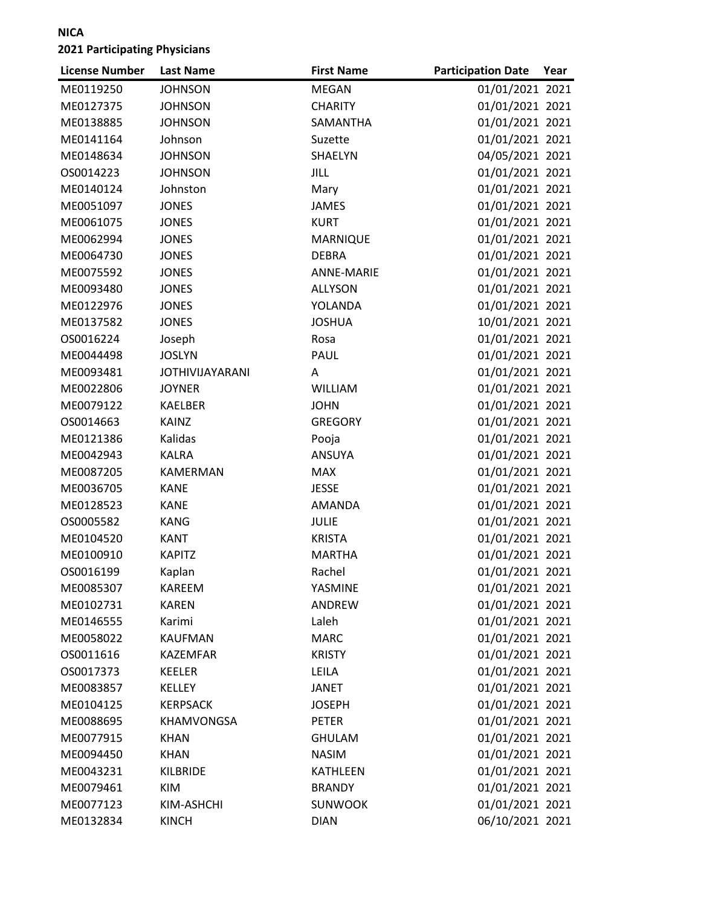| <b>License Number</b> | <b>Last Name</b>       | <b>First Name</b> | <b>Participation Date</b> | Year |
|-----------------------|------------------------|-------------------|---------------------------|------|
| ME0119250             | <b>JOHNSON</b>         | <b>MEGAN</b>      | 01/01/2021 2021           |      |
| ME0127375             | <b>JOHNSON</b>         | <b>CHARITY</b>    | 01/01/2021 2021           |      |
| ME0138885             | <b>JOHNSON</b>         | SAMANTHA          | 01/01/2021 2021           |      |
| ME0141164             | Johnson                | Suzette           | 01/01/2021 2021           |      |
| ME0148634             | <b>JOHNSON</b>         | SHAELYN           | 04/05/2021 2021           |      |
| OS0014223             | <b>JOHNSON</b>         | <b>JILL</b>       | 01/01/2021 2021           |      |
| ME0140124             | Johnston               | Mary              | 01/01/2021 2021           |      |
| ME0051097             | <b>JONES</b>           | <b>JAMES</b>      | 01/01/2021 2021           |      |
| ME0061075             | <b>JONES</b>           | <b>KURT</b>       | 01/01/2021 2021           |      |
| ME0062994             | <b>JONES</b>           | <b>MARNIQUE</b>   | 01/01/2021 2021           |      |
| ME0064730             | <b>JONES</b>           | <b>DEBRA</b>      | 01/01/2021 2021           |      |
| ME0075592             | <b>JONES</b>           | <b>ANNE-MARIE</b> | 01/01/2021 2021           |      |
| ME0093480             | <b>JONES</b>           | <b>ALLYSON</b>    | 01/01/2021 2021           |      |
| ME0122976             | <b>JONES</b>           | YOLANDA           | 01/01/2021 2021           |      |
| ME0137582             | <b>JONES</b>           | <b>JOSHUA</b>     | 10/01/2021 2021           |      |
| OS0016224             | Joseph                 | Rosa              | 01/01/2021 2021           |      |
| ME0044498             | <b>JOSLYN</b>          | PAUL              | 01/01/2021 2021           |      |
| ME0093481             | <b>JOTHIVIJAYARANI</b> | A                 | 01/01/2021 2021           |      |
| ME0022806             | <b>JOYNER</b>          | WILLIAM           | 01/01/2021 2021           |      |
| ME0079122             | <b>KAELBER</b>         | <b>JOHN</b>       | 01/01/2021 2021           |      |
| OS0014663             | <b>KAINZ</b>           | <b>GREGORY</b>    | 01/01/2021 2021           |      |
| ME0121386             | Kalidas                | Pooja             | 01/01/2021 2021           |      |
| ME0042943             | <b>KALRA</b>           | <b>ANSUYA</b>     | 01/01/2021 2021           |      |
| ME0087205             | <b>KAMERMAN</b>        | <b>MAX</b>        | 01/01/2021 2021           |      |
| ME0036705             | <b>KANE</b>            | <b>JESSE</b>      | 01/01/2021 2021           |      |
| ME0128523             | <b>KANE</b>            | <b>AMANDA</b>     | 01/01/2021 2021           |      |
| OS0005582             | <b>KANG</b>            | <b>JULIE</b>      | 01/01/2021 2021           |      |
| ME0104520             | <b>KANT</b>            | <b>KRISTA</b>     | 01/01/2021 2021           |      |
| ME0100910             | <b>KAPITZ</b>          | <b>MARTHA</b>     | 01/01/2021 2021           |      |
| OS0016199             | Kaplan                 | Rachel            | 01/01/2021 2021           |      |
| ME0085307             | KAREEM                 | YASMINE           | 01/01/2021 2021           |      |
| ME0102731             | <b>KAREN</b>           | ANDREW            | 01/01/2021 2021           |      |
| ME0146555             | Karimi                 | Laleh             | 01/01/2021 2021           |      |
| ME0058022             | <b>KAUFMAN</b>         | <b>MARC</b>       | 01/01/2021 2021           |      |
| OS0011616             | <b>KAZEMFAR</b>        | <b>KRISTY</b>     | 01/01/2021 2021           |      |
| OS0017373             | KEELER                 | LEILA             | 01/01/2021 2021           |      |
| ME0083857             | <b>KELLEY</b>          | <b>JANET</b>      | 01/01/2021 2021           |      |
| ME0104125             | <b>KERPSACK</b>        | <b>JOSEPH</b>     | 01/01/2021 2021           |      |
| ME0088695             | KHAMVONGSA             | <b>PETER</b>      | 01/01/2021 2021           |      |
| ME0077915             | <b>KHAN</b>            | <b>GHULAM</b>     | 01/01/2021 2021           |      |
| ME0094450             | <b>KHAN</b>            | <b>NASIM</b>      | 01/01/2021 2021           |      |
| ME0043231             | <b>KILBRIDE</b>        | KATHLEEN          | 01/01/2021 2021           |      |
| ME0079461             | KIM                    | <b>BRANDY</b>     | 01/01/2021 2021           |      |
| ME0077123             | KIM-ASHCHI             | <b>SUNWOOK</b>    | 01/01/2021 2021           |      |
| ME0132834             | <b>KINCH</b>           | <b>DIAN</b>       | 06/10/2021 2021           |      |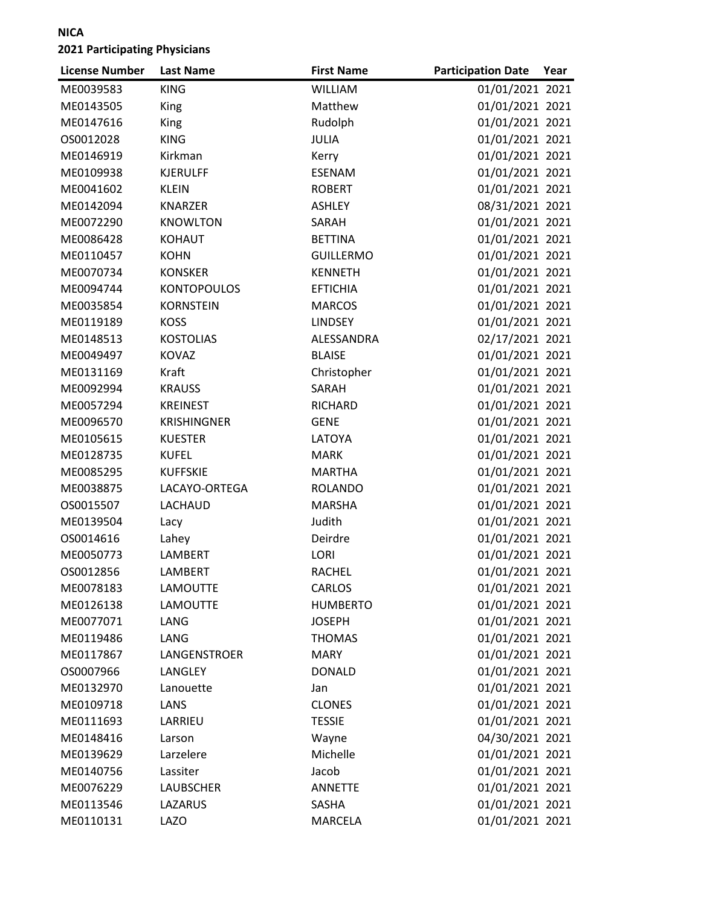| <b>License Number</b> | <b>Last Name</b>   | <b>First Name</b> | <b>Participation Date</b> | Year |
|-----------------------|--------------------|-------------------|---------------------------|------|
| ME0039583             | <b>KING</b>        | <b>WILLIAM</b>    | 01/01/2021 2021           |      |
| ME0143505             | King               | Matthew           | 01/01/2021 2021           |      |
| ME0147616             | King               | Rudolph           | 01/01/2021 2021           |      |
| OS0012028             | <b>KING</b>        | <b>JULIA</b>      | 01/01/2021 2021           |      |
| ME0146919             | Kirkman            | Kerry             | 01/01/2021 2021           |      |
| ME0109938             | <b>KJERULFF</b>    | <b>ESENAM</b>     | 01/01/2021 2021           |      |
| ME0041602             | <b>KLEIN</b>       | <b>ROBERT</b>     | 01/01/2021 2021           |      |
| ME0142094             | <b>KNARZER</b>     | <b>ASHLEY</b>     | 08/31/2021 2021           |      |
| ME0072290             | <b>KNOWLTON</b>    | SARAH             | 01/01/2021 2021           |      |
| ME0086428             | <b>KOHAUT</b>      | <b>BETTINA</b>    | 01/01/2021 2021           |      |
| ME0110457             | <b>KOHN</b>        | <b>GUILLERMO</b>  | 01/01/2021 2021           |      |
| ME0070734             | <b>KONSKER</b>     | <b>KENNETH</b>    | 01/01/2021 2021           |      |
| ME0094744             | <b>KONTOPOULOS</b> | <b>EFTICHIA</b>   | 01/01/2021 2021           |      |
| ME0035854             | <b>KORNSTEIN</b>   | <b>MARCOS</b>     | 01/01/2021 2021           |      |
| ME0119189             | <b>KOSS</b>        | <b>LINDSEY</b>    | 01/01/2021 2021           |      |
| ME0148513             | <b>KOSTOLIAS</b>   | ALESSANDRA        | 02/17/2021 2021           |      |
| ME0049497             | <b>KOVAZ</b>       | <b>BLAISE</b>     | 01/01/2021 2021           |      |
| ME0131169             | Kraft              | Christopher       | 01/01/2021 2021           |      |
| ME0092994             | <b>KRAUSS</b>      | SARAH             | 01/01/2021 2021           |      |
| ME0057294             | <b>KREINEST</b>    | RICHARD           | 01/01/2021 2021           |      |
| ME0096570             | <b>KRISHINGNER</b> | <b>GENE</b>       | 01/01/2021 2021           |      |
| ME0105615             | <b>KUESTER</b>     | LATOYA            | 01/01/2021 2021           |      |
| ME0128735             | <b>KUFEL</b>       | <b>MARK</b>       | 01/01/2021 2021           |      |
| ME0085295             | <b>KUFFSKIE</b>    | <b>MARTHA</b>     | 01/01/2021 2021           |      |
| ME0038875             | LACAYO-ORTEGA      | <b>ROLANDO</b>    | 01/01/2021 2021           |      |
| OS0015507             | LACHAUD            | <b>MARSHA</b>     | 01/01/2021 2021           |      |
| ME0139504             | Lacy               | Judith            | 01/01/2021 2021           |      |
| OS0014616             | Lahey              | Deirdre           | 01/01/2021 2021           |      |
| ME0050773             | LAMBERT            | LORI              | 01/01/2021 2021           |      |
| OS0012856             | LAMBERT            | <b>RACHEL</b>     | 01/01/2021 2021           |      |
| ME0078183             | LAMOUTTE           | CARLOS            | 01/01/2021 2021           |      |
| ME0126138             | <b>LAMOUTTE</b>    | <b>HUMBERTO</b>   | 01/01/2021 2021           |      |
| ME0077071             | LANG               | <b>JOSEPH</b>     | 01/01/2021 2021           |      |
| ME0119486             | LANG               | <b>THOMAS</b>     | 01/01/2021 2021           |      |
| ME0117867             | LANGENSTROER       | MARY              | 01/01/2021 2021           |      |
| OS0007966             | LANGLEY            | <b>DONALD</b>     | 01/01/2021 2021           |      |
| ME0132970             | Lanouette          | Jan               | 01/01/2021 2021           |      |
| ME0109718             | LANS               | <b>CLONES</b>     | 01/01/2021 2021           |      |
| ME0111693             | LARRIEU            | <b>TESSIE</b>     | 01/01/2021 2021           |      |
| ME0148416             | Larson             | Wayne             | 04/30/2021 2021           |      |
| ME0139629             | Larzelere          | Michelle          | 01/01/2021 2021           |      |
| ME0140756             | Lassiter           | Jacob             | 01/01/2021 2021           |      |
| ME0076229             | <b>LAUBSCHER</b>   | <b>ANNETTE</b>    | 01/01/2021 2021           |      |
| ME0113546             | LAZARUS            | SASHA             | 01/01/2021 2021           |      |
| ME0110131             | <b>LAZO</b>        | MARCELA           | 01/01/2021 2021           |      |
|                       |                    |                   |                           |      |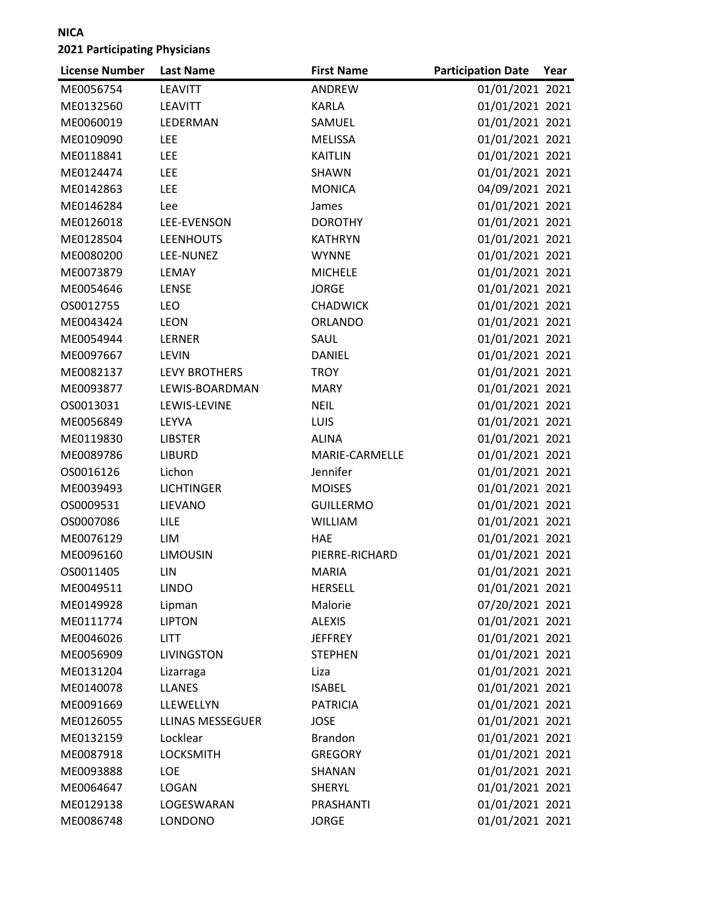| 01/01/2021 2021<br>ME0056754<br><b>LEAVITT</b><br>ANDREW<br>01/01/2021 2021<br>ME0132560<br><b>LEAVITT</b><br><b>KARLA</b><br>01/01/2021 2021<br>ME0060019<br>LEDERMAN<br>SAMUEL<br>01/01/2021 2021<br>ME0109090<br><b>LEE</b><br><b>MELISSA</b><br>01/01/2021 2021<br>ME0118841<br><b>LEE</b><br><b>KAITLIN</b><br><b>LEE</b><br>01/01/2021 2021<br>ME0124474<br>SHAWN<br>04/09/2021 2021<br>ME0142863<br><b>LEE</b><br><b>MONICA</b><br>01/01/2021 2021<br>ME0146284<br>Lee<br>James<br>01/01/2021 2021<br>ME0126018<br>LEE-EVENSON<br><b>DOROTHY</b><br>01/01/2021 2021<br>ME0128504<br><b>LEENHOUTS</b><br><b>KATHRYN</b><br>01/01/2021 2021<br>ME0080200<br>LEE-NUNEZ<br><b>WYNNE</b><br>01/01/2021 2021<br>ME0073879<br><b>MICHELE</b><br>LEMAY<br>01/01/2021 2021<br>ME0054646<br>LENSE<br><b>JORGE</b><br>01/01/2021 2021<br>OS0012755<br><b>LEO</b><br><b>CHADWICK</b> |
|---------------------------------------------------------------------------------------------------------------------------------------------------------------------------------------------------------------------------------------------------------------------------------------------------------------------------------------------------------------------------------------------------------------------------------------------------------------------------------------------------------------------------------------------------------------------------------------------------------------------------------------------------------------------------------------------------------------------------------------------------------------------------------------------------------------------------------------------------------------------------------|
|                                                                                                                                                                                                                                                                                                                                                                                                                                                                                                                                                                                                                                                                                                                                                                                                                                                                                 |
|                                                                                                                                                                                                                                                                                                                                                                                                                                                                                                                                                                                                                                                                                                                                                                                                                                                                                 |
|                                                                                                                                                                                                                                                                                                                                                                                                                                                                                                                                                                                                                                                                                                                                                                                                                                                                                 |
|                                                                                                                                                                                                                                                                                                                                                                                                                                                                                                                                                                                                                                                                                                                                                                                                                                                                                 |
|                                                                                                                                                                                                                                                                                                                                                                                                                                                                                                                                                                                                                                                                                                                                                                                                                                                                                 |
|                                                                                                                                                                                                                                                                                                                                                                                                                                                                                                                                                                                                                                                                                                                                                                                                                                                                                 |
|                                                                                                                                                                                                                                                                                                                                                                                                                                                                                                                                                                                                                                                                                                                                                                                                                                                                                 |
|                                                                                                                                                                                                                                                                                                                                                                                                                                                                                                                                                                                                                                                                                                                                                                                                                                                                                 |
|                                                                                                                                                                                                                                                                                                                                                                                                                                                                                                                                                                                                                                                                                                                                                                                                                                                                                 |
|                                                                                                                                                                                                                                                                                                                                                                                                                                                                                                                                                                                                                                                                                                                                                                                                                                                                                 |
|                                                                                                                                                                                                                                                                                                                                                                                                                                                                                                                                                                                                                                                                                                                                                                                                                                                                                 |
|                                                                                                                                                                                                                                                                                                                                                                                                                                                                                                                                                                                                                                                                                                                                                                                                                                                                                 |
|                                                                                                                                                                                                                                                                                                                                                                                                                                                                                                                                                                                                                                                                                                                                                                                                                                                                                 |
|                                                                                                                                                                                                                                                                                                                                                                                                                                                                                                                                                                                                                                                                                                                                                                                                                                                                                 |
| ME0043424<br><b>LEON</b><br>ORLANDO<br>01/01/2021 2021                                                                                                                                                                                                                                                                                                                                                                                                                                                                                                                                                                                                                                                                                                                                                                                                                          |
| 01/01/2021 2021<br>SAUL<br>ME0054944<br>LERNER                                                                                                                                                                                                                                                                                                                                                                                                                                                                                                                                                                                                                                                                                                                                                                                                                                  |
| 01/01/2021 2021<br>ME0097667<br><b>DANIEL</b><br><b>LEVIN</b>                                                                                                                                                                                                                                                                                                                                                                                                                                                                                                                                                                                                                                                                                                                                                                                                                   |
| 01/01/2021 2021<br>ME0082137<br><b>LEVY BROTHERS</b><br><b>TROY</b>                                                                                                                                                                                                                                                                                                                                                                                                                                                                                                                                                                                                                                                                                                                                                                                                             |
| 01/01/2021 2021<br>ME0093877<br>LEWIS-BOARDMAN<br><b>MARY</b>                                                                                                                                                                                                                                                                                                                                                                                                                                                                                                                                                                                                                                                                                                                                                                                                                   |
| <b>NEIL</b><br>01/01/2021 2021<br>OS0013031<br>LEWIS-LEVINE                                                                                                                                                                                                                                                                                                                                                                                                                                                                                                                                                                                                                                                                                                                                                                                                                     |
| 01/01/2021 2021<br>ME0056849<br>LEYVA<br>LUIS                                                                                                                                                                                                                                                                                                                                                                                                                                                                                                                                                                                                                                                                                                                                                                                                                                   |
| 01/01/2021 2021<br>ME0119830<br><b>LIBSTER</b><br><b>ALINA</b>                                                                                                                                                                                                                                                                                                                                                                                                                                                                                                                                                                                                                                                                                                                                                                                                                  |
| 01/01/2021 2021<br>ME0089786<br><b>LIBURD</b><br>MARIE-CARMELLE                                                                                                                                                                                                                                                                                                                                                                                                                                                                                                                                                                                                                                                                                                                                                                                                                 |
| Lichon<br>Jennifer<br>01/01/2021 2021<br>OS0016126                                                                                                                                                                                                                                                                                                                                                                                                                                                                                                                                                                                                                                                                                                                                                                                                                              |
| 01/01/2021 2021<br>ME0039493<br><b>LICHTINGER</b><br><b>MOISES</b>                                                                                                                                                                                                                                                                                                                                                                                                                                                                                                                                                                                                                                                                                                                                                                                                              |
| 01/01/2021 2021<br>OS0009531<br><b>GUILLERMO</b><br><b>LIEVANO</b>                                                                                                                                                                                                                                                                                                                                                                                                                                                                                                                                                                                                                                                                                                                                                                                                              |
| OS0007086<br>LILE<br>01/01/2021 2021<br><b>WILLIAM</b>                                                                                                                                                                                                                                                                                                                                                                                                                                                                                                                                                                                                                                                                                                                                                                                                                          |
| 01/01/2021 2021<br>ME0076129<br>LIM<br><b>HAE</b>                                                                                                                                                                                                                                                                                                                                                                                                                                                                                                                                                                                                                                                                                                                                                                                                                               |
| 01/01/2021 2021<br><b>LIMOUSIN</b><br>ME0096160<br>PIERRE-RICHARD                                                                                                                                                                                                                                                                                                                                                                                                                                                                                                                                                                                                                                                                                                                                                                                                               |
| 01/01/2021 2021<br>OS0011405<br>LIN<br><b>MARIA</b>                                                                                                                                                                                                                                                                                                                                                                                                                                                                                                                                                                                                                                                                                                                                                                                                                             |
| <b>LINDO</b><br><b>HERSELL</b><br>01/01/2021 2021<br>ME0049511                                                                                                                                                                                                                                                                                                                                                                                                                                                                                                                                                                                                                                                                                                                                                                                                                  |
| Lipman<br>Malorie<br>07/20/2021 2021<br>ME0149928                                                                                                                                                                                                                                                                                                                                                                                                                                                                                                                                                                                                                                                                                                                                                                                                                               |
| 01/01/2021 2021<br><b>ALEXIS</b><br>ME0111774<br><b>LIPTON</b>                                                                                                                                                                                                                                                                                                                                                                                                                                                                                                                                                                                                                                                                                                                                                                                                                  |
| ME0046026<br>01/01/2021 2021<br><b>LITT</b><br><b>JEFFREY</b>                                                                                                                                                                                                                                                                                                                                                                                                                                                                                                                                                                                                                                                                                                                                                                                                                   |
| 01/01/2021 2021<br>ME0056909<br><b>LIVINGSTON</b><br><b>STEPHEN</b>                                                                                                                                                                                                                                                                                                                                                                                                                                                                                                                                                                                                                                                                                                                                                                                                             |
| 01/01/2021 2021<br>ME0131204<br>Lizarraga<br>Liza                                                                                                                                                                                                                                                                                                                                                                                                                                                                                                                                                                                                                                                                                                                                                                                                                               |
| 01/01/2021 2021<br>ME0140078<br><b>LLANES</b><br><b>ISABEL</b>                                                                                                                                                                                                                                                                                                                                                                                                                                                                                                                                                                                                                                                                                                                                                                                                                  |
| 01/01/2021 2021<br>ME0091669<br>LLEWELLYN<br><b>PATRICIA</b>                                                                                                                                                                                                                                                                                                                                                                                                                                                                                                                                                                                                                                                                                                                                                                                                                    |
| <b>LLINAS MESSEGUER</b><br><b>JOSE</b><br>01/01/2021 2021<br>ME0126055                                                                                                                                                                                                                                                                                                                                                                                                                                                                                                                                                                                                                                                                                                                                                                                                          |
| 01/01/2021 2021<br>Locklear<br>ME0132159<br><b>Brandon</b>                                                                                                                                                                                                                                                                                                                                                                                                                                                                                                                                                                                                                                                                                                                                                                                                                      |
| <b>LOCKSMITH</b><br>01/01/2021 2021<br>ME0087918<br><b>GREGORY</b>                                                                                                                                                                                                                                                                                                                                                                                                                                                                                                                                                                                                                                                                                                                                                                                                              |
| 01/01/2021 2021<br>LOE<br>SHANAN<br>ME0093888                                                                                                                                                                                                                                                                                                                                                                                                                                                                                                                                                                                                                                                                                                                                                                                                                                   |
| 01/01/2021 2021<br>ME0064647<br><b>LOGAN</b><br><b>SHERYL</b>                                                                                                                                                                                                                                                                                                                                                                                                                                                                                                                                                                                                                                                                                                                                                                                                                   |
| 01/01/2021 2021<br>ME0129138<br>LOGESWARAN<br>PRASHANTI                                                                                                                                                                                                                                                                                                                                                                                                                                                                                                                                                                                                                                                                                                                                                                                                                         |
| 01/01/2021 2021<br>ME0086748<br>LONDONO<br><b>JORGE</b>                                                                                                                                                                                                                                                                                                                                                                                                                                                                                                                                                                                                                                                                                                                                                                                                                         |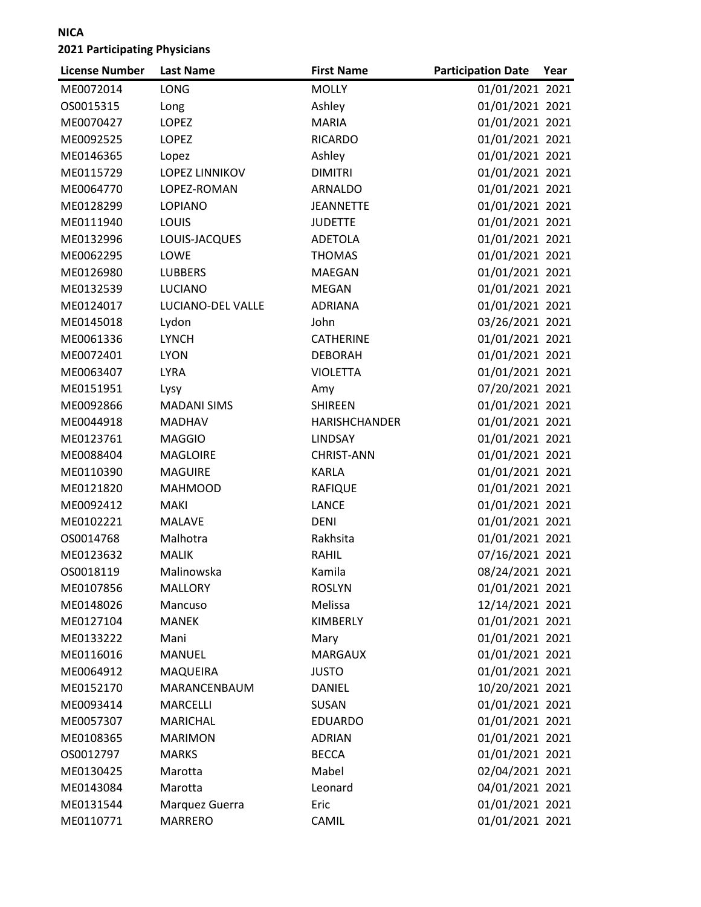| <b>License Number</b> | <b>Last Name</b>      | <b>First Name</b>    | <b>Participation Date</b> | Year |
|-----------------------|-----------------------|----------------------|---------------------------|------|
| ME0072014             | LONG                  | <b>MOLLY</b>         | 01/01/2021 2021           |      |
| OS0015315             | Long                  | Ashley               | 01/01/2021 2021           |      |
| ME0070427             | <b>LOPEZ</b>          | <b>MARIA</b>         | 01/01/2021 2021           |      |
| ME0092525             | <b>LOPEZ</b>          | <b>RICARDO</b>       | 01/01/2021 2021           |      |
| ME0146365             | Lopez                 | Ashley               | 01/01/2021 2021           |      |
| ME0115729             | <b>LOPEZ LINNIKOV</b> | <b>DIMITRI</b>       | 01/01/2021 2021           |      |
| ME0064770             | LOPEZ-ROMAN           | <b>ARNALDO</b>       | 01/01/2021 2021           |      |
| ME0128299             | <b>LOPIANO</b>        | <b>JEANNETTE</b>     | 01/01/2021 2021           |      |
| ME0111940             | LOUIS                 | <b>JUDETTE</b>       | 01/01/2021 2021           |      |
| ME0132996             | LOUIS-JACQUES         | <b>ADETOLA</b>       | 01/01/2021 2021           |      |
| ME0062295             | LOWE                  | <b>THOMAS</b>        | 01/01/2021 2021           |      |
| ME0126980             | <b>LUBBERS</b>        | <b>MAEGAN</b>        | 01/01/2021 2021           |      |
| ME0132539             | <b>LUCIANO</b>        | <b>MEGAN</b>         | 01/01/2021 2021           |      |
| ME0124017             | LUCIANO-DEL VALLE     | <b>ADRIANA</b>       | 01/01/2021 2021           |      |
| ME0145018             | Lydon                 | John                 | 03/26/2021 2021           |      |
| ME0061336             | <b>LYNCH</b>          | <b>CATHERINE</b>     | 01/01/2021 2021           |      |
| ME0072401             | <b>LYON</b>           | <b>DEBORAH</b>       | 01/01/2021 2021           |      |
| ME0063407             | <b>LYRA</b>           | <b>VIOLETTA</b>      | 01/01/2021 2021           |      |
| ME0151951             | Lysy                  | Amy                  | 07/20/2021 2021           |      |
| ME0092866             | <b>MADANI SIMS</b>    | <b>SHIREEN</b>       | 01/01/2021 2021           |      |
| ME0044918             | <b>MADHAV</b>         | <b>HARISHCHANDER</b> | 01/01/2021 2021           |      |
| ME0123761             | <b>MAGGIO</b>         | <b>LINDSAY</b>       | 01/01/2021 2021           |      |
| ME0088404             | <b>MAGLOIRE</b>       | <b>CHRIST-ANN</b>    | 01/01/2021 2021           |      |
| ME0110390             | <b>MAGUIRE</b>        | <b>KARLA</b>         | 01/01/2021 2021           |      |
| ME0121820             | <b>MAHMOOD</b>        | <b>RAFIQUE</b>       | 01/01/2021 2021           |      |
| ME0092412             | <b>MAKI</b>           | <b>LANCE</b>         | 01/01/2021 2021           |      |
| ME0102221             | <b>MALAVE</b>         | <b>DENI</b>          | 01/01/2021 2021           |      |
| OS0014768             | Malhotra              | Rakhsita             | 01/01/2021 2021           |      |
| ME0123632             | <b>MALIK</b>          | <b>RAHIL</b>         | 07/16/2021 2021           |      |
| OS0018119             | Malinowska            | Kamila               | 08/24/2021 2021           |      |
| ME0107856             | <b>MALLORY</b>        | <b>ROSLYN</b>        | 01/01/2021 2021           |      |
| ME0148026             | Mancuso               | Melissa              | 12/14/2021 2021           |      |
| ME0127104             | <b>MANEK</b>          | KIMBERLY             | 01/01/2021 2021           |      |
| ME0133222             | Mani                  | Mary                 | 01/01/2021 2021           |      |
| ME0116016             | MANUEL                | <b>MARGAUX</b>       | 01/01/2021 2021           |      |
| ME0064912             | <b>MAQUEIRA</b>       | <b>JUSTO</b>         | 01/01/2021 2021           |      |
| ME0152170             | MARANCENBAUM          | DANIEL               | 10/20/2021 2021           |      |
| ME0093414             | MARCELLI              | SUSAN                | 01/01/2021 2021           |      |
| ME0057307             | <b>MARICHAL</b>       | <b>EDUARDO</b>       | 01/01/2021 2021           |      |
| ME0108365             | <b>MARIMON</b>        | <b>ADRIAN</b>        | 01/01/2021 2021           |      |
| OS0012797             | <b>MARKS</b>          | <b>BECCA</b>         | 01/01/2021 2021           |      |
| ME0130425             | Marotta               | Mabel                | 02/04/2021 2021           |      |
| ME0143084             | Marotta               | Leonard              | 04/01/2021 2021           |      |
| ME0131544             | Marquez Guerra        | Eric                 | 01/01/2021 2021           |      |
| ME0110771             | MARRERO               | CAMIL                | 01/01/2021 2021           |      |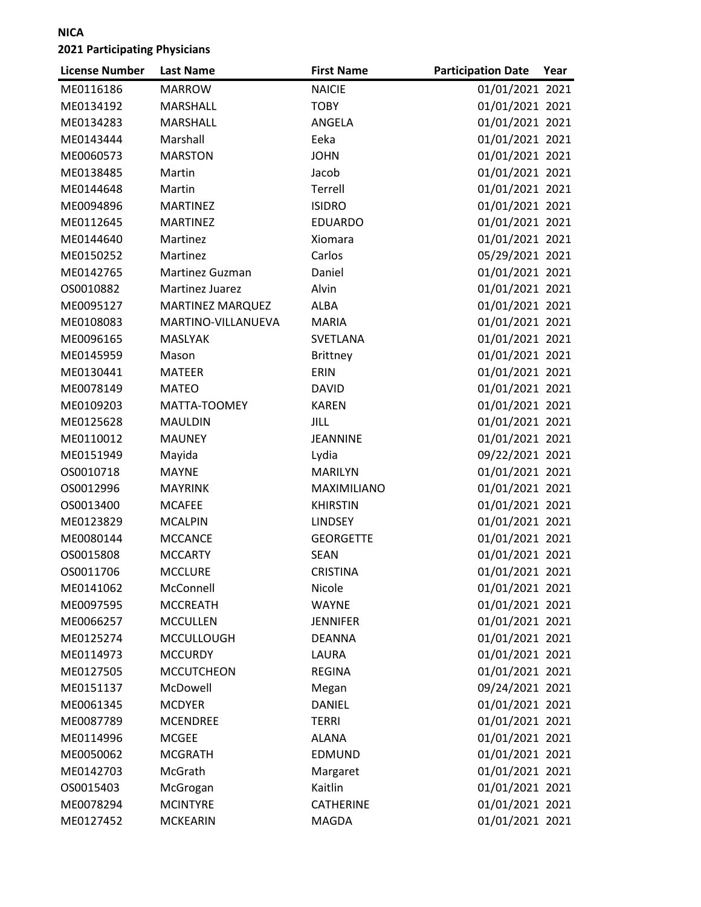| <b>License Number</b> | <b>Last Name</b>        | <b>First Name</b> | <b>Participation Date</b> | Year |
|-----------------------|-------------------------|-------------------|---------------------------|------|
| ME0116186             | <b>MARROW</b>           | <b>NAICIE</b>     | 01/01/2021 2021           |      |
| ME0134192             | MARSHALL                | <b>TOBY</b>       | 01/01/2021 2021           |      |
| ME0134283             | <b>MARSHALL</b>         | ANGELA            | 01/01/2021 2021           |      |
| ME0143444             | Marshall                | Eeka              | 01/01/2021 2021           |      |
| ME0060573             | <b>MARSTON</b>          | <b>JOHN</b>       | 01/01/2021 2021           |      |
| ME0138485             | Martin                  | Jacob             | 01/01/2021 2021           |      |
| ME0144648             | Martin                  | Terrell           | 01/01/2021 2021           |      |
| ME0094896             | <b>MARTINEZ</b>         | <b>ISIDRO</b>     | 01/01/2021 2021           |      |
| ME0112645             | <b>MARTINEZ</b>         | <b>EDUARDO</b>    | 01/01/2021 2021           |      |
| ME0144640             | Martinez                | Xiomara           | 01/01/2021 2021           |      |
| ME0150252             | Martinez                | Carlos            | 05/29/2021 2021           |      |
| ME0142765             | Martinez Guzman         | Daniel            | 01/01/2021 2021           |      |
| OS0010882             | Martinez Juarez         | Alvin             | 01/01/2021 2021           |      |
| ME0095127             | <b>MARTINEZ MARQUEZ</b> | ALBA              | 01/01/2021 2021           |      |
| ME0108083             | MARTINO-VILLANUEVA      | <b>MARIA</b>      | 01/01/2021 2021           |      |
| ME0096165             | <b>MASLYAK</b>          | SVETLANA          | 01/01/2021 2021           |      |
| ME0145959             | Mason                   | Brittney          | 01/01/2021 2021           |      |
| ME0130441             | <b>MATEER</b>           | ERIN              | 01/01/2021 2021           |      |
| ME0078149             | <b>MATEO</b>            | <b>DAVID</b>      | 01/01/2021 2021           |      |
| ME0109203             | MATTA-TOOMEY            | <b>KAREN</b>      | 01/01/2021 2021           |      |
| ME0125628             | <b>MAULDIN</b>          | <b>JILL</b>       | 01/01/2021 2021           |      |
| ME0110012             | <b>MAUNEY</b>           | <b>JEANNINE</b>   | 01/01/2021 2021           |      |
| ME0151949             | Mayida                  | Lydia             | 09/22/2021 2021           |      |
| OS0010718             | <b>MAYNE</b>            | <b>MARILYN</b>    | 01/01/2021 2021           |      |
| OS0012996             | <b>MAYRINK</b>          | MAXIMILIANO       | 01/01/2021 2021           |      |
| OS0013400             | <b>MCAFEE</b>           | <b>KHIRSTIN</b>   | 01/01/2021 2021           |      |
| ME0123829             | <b>MCALPIN</b>          | <b>LINDSEY</b>    | 01/01/2021 2021           |      |
| ME0080144             | <b>MCCANCE</b>          | <b>GEORGETTE</b>  | 01/01/2021 2021           |      |
| OS0015808             | <b>MCCARTY</b>          | <b>SEAN</b>       | 01/01/2021 2021           |      |
| OS0011706             | <b>MCCLURE</b>          | <b>CRISTINA</b>   | 01/01/2021 2021           |      |
| ME0141062             | McConnell               | Nicole            | 01/01/2021 2021           |      |
| ME0097595             | <b>MCCREATH</b>         | <b>WAYNE</b>      | 01/01/2021 2021           |      |
| ME0066257             | <b>MCCULLEN</b>         | <b>JENNIFER</b>   | 01/01/2021 2021           |      |
| ME0125274             | <b>MCCULLOUGH</b>       | <b>DEANNA</b>     | 01/01/2021 2021           |      |
| ME0114973             | <b>MCCURDY</b>          | LAURA             | 01/01/2021 2021           |      |
| ME0127505             | <b>MCCUTCHEON</b>       | <b>REGINA</b>     | 01/01/2021 2021           |      |
| ME0151137             | McDowell                | Megan             | 09/24/2021 2021           |      |
| ME0061345             | <b>MCDYER</b>           | <b>DANIEL</b>     | 01/01/2021 2021           |      |
| ME0087789             | <b>MCENDREE</b>         | <b>TERRI</b>      | 01/01/2021 2021           |      |
| ME0114996             | <b>MCGEE</b>            | <b>ALANA</b>      | 01/01/2021 2021           |      |
| ME0050062             | <b>MCGRATH</b>          | EDMUND            | 01/01/2021 2021           |      |
| ME0142703             | McGrath                 | Margaret          | 01/01/2021 2021           |      |
| OS0015403             | McGrogan                | Kaitlin           | 01/01/2021 2021           |      |
| ME0078294             | <b>MCINTYRE</b>         | <b>CATHERINE</b>  | 01/01/2021 2021           |      |
| ME0127452             | <b>MCKEARIN</b>         | MAGDA             | 01/01/2021 2021           |      |
|                       |                         |                   |                           |      |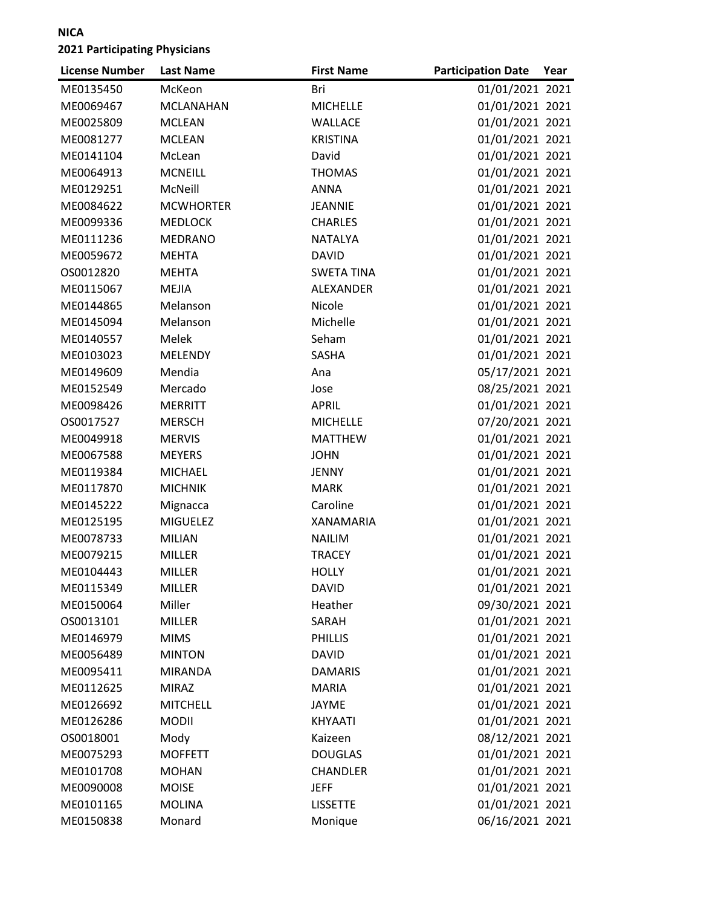| <b>License Number</b> | <b>Last Name</b> | <b>First Name</b> | <b>Participation Date</b> | Year |
|-----------------------|------------------|-------------------|---------------------------|------|
| ME0135450             | McKeon           | Bri               | 01/01/2021 2021           |      |
| ME0069467             | <b>MCLANAHAN</b> | <b>MICHELLE</b>   | 01/01/2021 2021           |      |
| ME0025809             | <b>MCLEAN</b>    | WALLACE           | 01/01/2021 2021           |      |
| ME0081277             | <b>MCLEAN</b>    | <b>KRISTINA</b>   | 01/01/2021 2021           |      |
| ME0141104             | McLean           | David             | 01/01/2021 2021           |      |
| ME0064913             | <b>MCNEILL</b>   | <b>THOMAS</b>     | 01/01/2021 2021           |      |
| ME0129251             | McNeill          | <b>ANNA</b>       | 01/01/2021 2021           |      |
| ME0084622             | <b>MCWHORTER</b> | <b>JEANNIE</b>    | 01/01/2021 2021           |      |
| ME0099336             | <b>MEDLOCK</b>   | <b>CHARLES</b>    | 01/01/2021 2021           |      |
| ME0111236             | <b>MEDRANO</b>   | <b>NATALYA</b>    | 01/01/2021 2021           |      |
| ME0059672             | <b>MEHTA</b>     | <b>DAVID</b>      | 01/01/2021 2021           |      |
| OS0012820             | <b>MEHTA</b>     | <b>SWETA TINA</b> | 01/01/2021 2021           |      |
| ME0115067             | <b>MEJIA</b>     | ALEXANDER         | 01/01/2021 2021           |      |
| ME0144865             | Melanson         | Nicole            | 01/01/2021 2021           |      |
| ME0145094             | Melanson         | Michelle          | 01/01/2021 2021           |      |
| ME0140557             | Melek            | Seham             | 01/01/2021 2021           |      |
| ME0103023             | <b>MELENDY</b>   | SASHA             | 01/01/2021 2021           |      |
| ME0149609             | Mendia           | Ana               | 05/17/2021 2021           |      |
| ME0152549             | Mercado          | Jose              | 08/25/2021 2021           |      |
| ME0098426             | <b>MERRITT</b>   | <b>APRIL</b>      | 01/01/2021 2021           |      |
| OS0017527             | <b>MERSCH</b>    | <b>MICHELLE</b>   | 07/20/2021 2021           |      |
| ME0049918             | <b>MERVIS</b>    | <b>MATTHEW</b>    | 01/01/2021 2021           |      |
| ME0067588             | <b>MEYERS</b>    | <b>JOHN</b>       | 01/01/2021 2021           |      |
| ME0119384             | <b>MICHAEL</b>   | <b>JENNY</b>      | 01/01/2021 2021           |      |
| ME0117870             | <b>MICHNIK</b>   | <b>MARK</b>       | 01/01/2021 2021           |      |
| ME0145222             | Mignacca         | Caroline          | 01/01/2021 2021           |      |
| ME0125195             | <b>MIGUELEZ</b>  | <b>XANAMARIA</b>  | 01/01/2021 2021           |      |
| ME0078733             | <b>MILIAN</b>    | <b>NAILIM</b>     | 01/01/2021 2021           |      |
| ME0079215             | <b>MILLER</b>    | <b>TRACEY</b>     | 01/01/2021 2021           |      |
| ME0104443             | <b>MILLER</b>    | <b>HOLLY</b>      | 01/01/2021 2021           |      |
| ME0115349             | <b>MILLER</b>    | DAVID             | 01/01/2021 2021           |      |
| ME0150064             | Miller           | Heather           | 09/30/2021 2021           |      |
| OS0013101             | <b>MILLER</b>    | SARAH             | 01/01/2021 2021           |      |
| ME0146979             | <b>MIMS</b>      | <b>PHILLIS</b>    | 01/01/2021 2021           |      |
| ME0056489             | <b>MINTON</b>    | <b>DAVID</b>      | 01/01/2021 2021           |      |
| ME0095411             | <b>MIRANDA</b>   | <b>DAMARIS</b>    | 01/01/2021 2021           |      |
| ME0112625             | <b>MIRAZ</b>     | <b>MARIA</b>      | 01/01/2021 2021           |      |
| ME0126692             | <b>MITCHELL</b>  | <b>JAYME</b>      | 01/01/2021 2021           |      |
| ME0126286             | <b>MODII</b>     | KHYAATI           | 01/01/2021 2021           |      |
| OS0018001             | Mody             | Kaizeen           | 08/12/2021 2021           |      |
| ME0075293             | <b>MOFFETT</b>   | <b>DOUGLAS</b>    | 01/01/2021 2021           |      |
| ME0101708             | <b>MOHAN</b>     | <b>CHANDLER</b>   | 01/01/2021 2021           |      |
| ME0090008             | <b>MOISE</b>     | <b>JEFF</b>       | 01/01/2021 2021           |      |
| ME0101165             | <b>MOLINA</b>    | <b>LISSETTE</b>   | 01/01/2021 2021           |      |
| ME0150838             | Monard           | Monique           | 06/16/2021 2021           |      |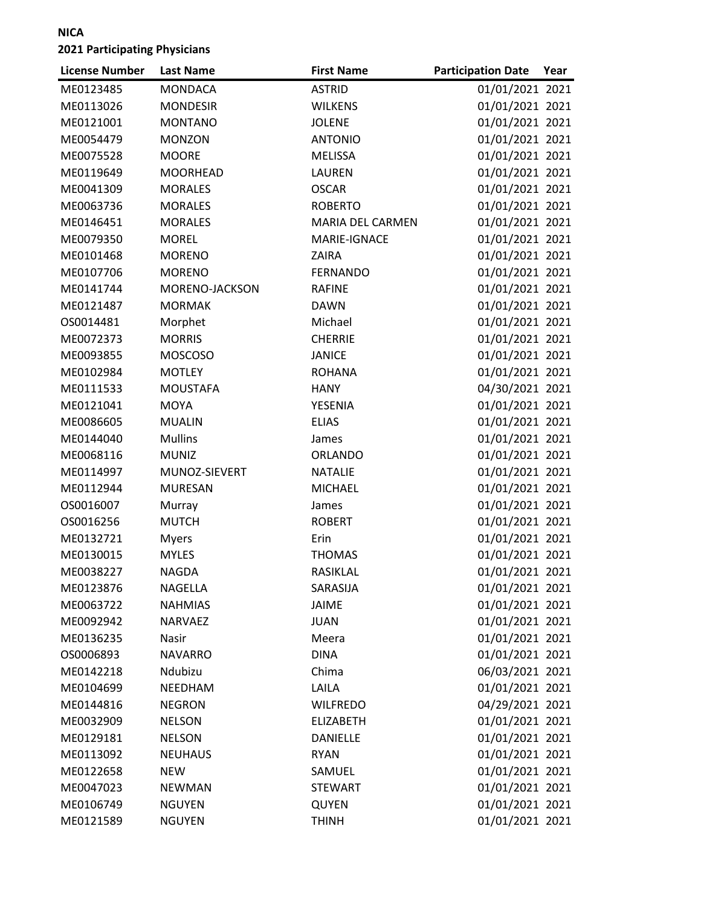| <b>License Number</b> | <b>Last Name</b> | <b>First Name</b> | <b>Participation Date</b> | Year |
|-----------------------|------------------|-------------------|---------------------------|------|
| ME0123485             | <b>MONDACA</b>   | <b>ASTRID</b>     | 01/01/2021 2021           |      |
| ME0113026             | <b>MONDESIR</b>  | <b>WILKENS</b>    | 01/01/2021 2021           |      |
| ME0121001             | <b>MONTANO</b>   | <b>JOLENE</b>     | 01/01/2021 2021           |      |
| ME0054479             | <b>MONZON</b>    | <b>ANTONIO</b>    | 01/01/2021 2021           |      |
| ME0075528             | <b>MOORE</b>     | <b>MELISSA</b>    | 01/01/2021 2021           |      |
| ME0119649             | <b>MOORHEAD</b>  | <b>LAUREN</b>     | 01/01/2021 2021           |      |
| ME0041309             | <b>MORALES</b>   | <b>OSCAR</b>      | 01/01/2021 2021           |      |
| ME0063736             | <b>MORALES</b>   | <b>ROBERTO</b>    | 01/01/2021 2021           |      |
| ME0146451             | <b>MORALES</b>   | MARIA DEL CARMEN  | 01/01/2021 2021           |      |
| ME0079350             | <b>MOREL</b>     | MARIE-IGNACE      | 01/01/2021 2021           |      |
| ME0101468             | <b>MORENO</b>    | ZAIRA             | 01/01/2021 2021           |      |
| ME0107706             | <b>MORENO</b>    | <b>FERNANDO</b>   | 01/01/2021 2021           |      |
| ME0141744             | MORENO-JACKSON   | <b>RAFINE</b>     | 01/01/2021 2021           |      |
| ME0121487             | <b>MORMAK</b>    | <b>DAWN</b>       | 01/01/2021 2021           |      |
| OS0014481             | Morphet          | Michael           | 01/01/2021 2021           |      |
| ME0072373             | <b>MORRIS</b>    | <b>CHERRIE</b>    | 01/01/2021 2021           |      |
| ME0093855             | <b>MOSCOSO</b>   | <b>JANICE</b>     | 01/01/2021 2021           |      |
| ME0102984             | <b>MOTLEY</b>    | <b>ROHANA</b>     | 01/01/2021 2021           |      |
| ME0111533             | <b>MOUSTAFA</b>  | <b>HANY</b>       | 04/30/2021 2021           |      |
| ME0121041             | <b>MOYA</b>      | YESENIA           | 01/01/2021 2021           |      |
| ME0086605             | <b>MUALIN</b>    | <b>ELIAS</b>      | 01/01/2021 2021           |      |
| ME0144040             | <b>Mullins</b>   | James             | 01/01/2021 2021           |      |
| ME0068116             | <b>MUNIZ</b>     | ORLANDO           | 01/01/2021 2021           |      |
| ME0114997             | MUNOZ-SIEVERT    | <b>NATALIE</b>    | 01/01/2021 2021           |      |
| ME0112944             | <b>MURESAN</b>   | <b>MICHAEL</b>    | 01/01/2021 2021           |      |
| OS0016007             | Murray           | James             | 01/01/2021 2021           |      |
| OS0016256             | <b>MUTCH</b>     | <b>ROBERT</b>     | 01/01/2021 2021           |      |
| ME0132721             | <b>Myers</b>     | Erin              | 01/01/2021 2021           |      |
| ME0130015             | <b>MYLES</b>     | <b>THOMAS</b>     | 01/01/2021 2021           |      |
| ME0038227             | <b>NAGDA</b>     | RASIKLAL          | 01/01/2021 2021           |      |
| ME0123876             | NAGELLA          | SARASIJA          | 01/01/2021 2021           |      |
| ME0063722             | <b>NAHMIAS</b>   | <b>JAIME</b>      | 01/01/2021 2021           |      |
| ME0092942             | <b>NARVAEZ</b>   | <b>JUAN</b>       | 01/01/2021 2021           |      |
| ME0136235             | Nasir            | Meera             | 01/01/2021 2021           |      |
| OS0006893             | <b>NAVARRO</b>   | <b>DINA</b>       | 01/01/2021 2021           |      |
| ME0142218             | Ndubizu          | Chima             | 06/03/2021 2021           |      |
| ME0104699             | NEEDHAM          | LAILA             | 01/01/2021 2021           |      |
| ME0144816             | <b>NEGRON</b>    | <b>WILFREDO</b>   | 04/29/2021 2021           |      |
| ME0032909             | <b>NELSON</b>    | <b>ELIZABETH</b>  | 01/01/2021 2021           |      |
| ME0129181             | <b>NELSON</b>    | <b>DANIELLE</b>   | 01/01/2021 2021           |      |
| ME0113092             | <b>NEUHAUS</b>   | <b>RYAN</b>       | 01/01/2021 2021           |      |
| ME0122658             | <b>NEW</b>       | SAMUEL            | 01/01/2021 2021           |      |
| ME0047023             | <b>NEWMAN</b>    | <b>STEWART</b>    | 01/01/2021 2021           |      |
| ME0106749             | <b>NGUYEN</b>    | QUYEN             | 01/01/2021 2021           |      |
| ME0121589             | <b>NGUYEN</b>    | <b>THINH</b>      | 01/01/2021 2021           |      |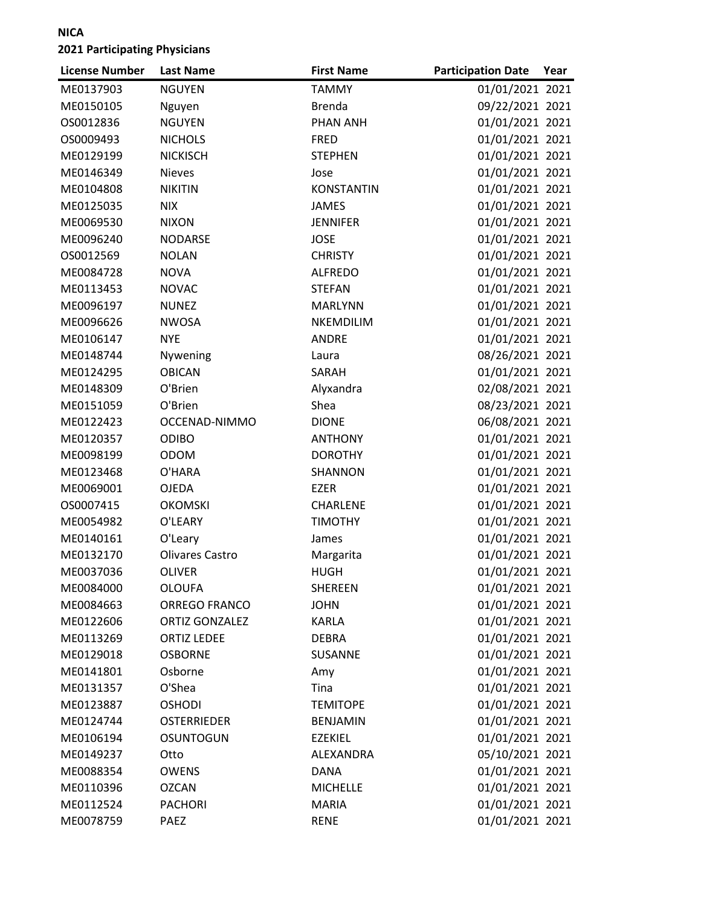| <b>License Number</b> | <b>Last Name</b>       | <b>First Name</b> | <b>Participation Date</b> | Year |
|-----------------------|------------------------|-------------------|---------------------------|------|
| ME0137903             | <b>NGUYEN</b>          | <b>TAMMY</b>      | 01/01/2021 2021           |      |
| ME0150105             | Nguyen                 | <b>Brenda</b>     | 09/22/2021 2021           |      |
| OS0012836             | <b>NGUYEN</b>          | <b>PHAN ANH</b>   | 01/01/2021 2021           |      |
| OS0009493             | <b>NICHOLS</b>         | <b>FRED</b>       | 01/01/2021 2021           |      |
| ME0129199             | <b>NICKISCH</b>        | <b>STEPHEN</b>    | 01/01/2021 2021           |      |
| ME0146349             | <b>Nieves</b>          | Jose              | 01/01/2021 2021           |      |
| ME0104808             | <b>NIKITIN</b>         | <b>KONSTANTIN</b> | 01/01/2021 2021           |      |
| ME0125035             | <b>NIX</b>             | <b>JAMES</b>      | 01/01/2021 2021           |      |
| ME0069530             | <b>NIXON</b>           | <b>JENNIFER</b>   | 01/01/2021 2021           |      |
| ME0096240             | <b>NODARSE</b>         | <b>JOSE</b>       | 01/01/2021 2021           |      |
| OS0012569             | <b>NOLAN</b>           | <b>CHRISTY</b>    | 01/01/2021 2021           |      |
| ME0084728             | <b>NOVA</b>            | <b>ALFREDO</b>    | 01/01/2021 2021           |      |
| ME0113453             | <b>NOVAC</b>           | <b>STEFAN</b>     | 01/01/2021 2021           |      |
| ME0096197             | <b>NUNEZ</b>           | <b>MARLYNN</b>    | 01/01/2021 2021           |      |
| ME0096626             | <b>NWOSA</b>           | <b>NKEMDILIM</b>  | 01/01/2021 2021           |      |
| ME0106147             | <b>NYE</b>             | <b>ANDRE</b>      | 01/01/2021 2021           |      |
| ME0148744             | Nywening               | Laura             | 08/26/2021 2021           |      |
| ME0124295             | <b>OBICAN</b>          | SARAH             | 01/01/2021 2021           |      |
| ME0148309             | O'Brien                | Alyxandra         | 02/08/2021 2021           |      |
| ME0151059             | O'Brien                | Shea              | 08/23/2021 2021           |      |
| ME0122423             | OCCENAD-NIMMO          | <b>DIONE</b>      | 06/08/2021 2021           |      |
| ME0120357             | <b>ODIBO</b>           | <b>ANTHONY</b>    | 01/01/2021 2021           |      |
| ME0098199             | <b>ODOM</b>            | <b>DOROTHY</b>    | 01/01/2021 2021           |      |
| ME0123468             | O'HARA                 | SHANNON           | 01/01/2021 2021           |      |
| ME0069001             | <b>OJEDA</b>           | <b>EZER</b>       | 01/01/2021 2021           |      |
| OS0007415             | <b>OKOMSKI</b>         | CHARLENE          | 01/01/2021 2021           |      |
| ME0054982             | O'LEARY                | <b>TIMOTHY</b>    | 01/01/2021 2021           |      |
| ME0140161             | O'Leary                | James             | 01/01/2021 2021           |      |
| ME0132170             | <b>Olivares Castro</b> | Margarita         | 01/01/2021 2021           |      |
| ME0037036             | <b>OLIVER</b>          | <b>HUGH</b>       | 01/01/2021 2021           |      |
| ME0084000             | <b>OLOUFA</b>          | <b>SHEREEN</b>    | 01/01/2021 2021           |      |
| ME0084663             | <b>ORREGO FRANCO</b>   | <b>JOHN</b>       | 01/01/2021 2021           |      |
| ME0122606             | <b>ORTIZ GONZALEZ</b>  | <b>KARLA</b>      | 01/01/2021 2021           |      |
| ME0113269             | <b>ORTIZ LEDEE</b>     | <b>DEBRA</b>      | 01/01/2021 2021           |      |
| ME0129018             | <b>OSBORNE</b>         | <b>SUSANNE</b>    | 01/01/2021 2021           |      |
| ME0141801             | Osborne                | Amy               | 01/01/2021 2021           |      |
| ME0131357             | O'Shea                 | Tina              | 01/01/2021 2021           |      |
| ME0123887             | <b>OSHODI</b>          | <b>TEMITOPE</b>   | 01/01/2021 2021           |      |
| ME0124744             | <b>OSTERRIEDER</b>     | <b>BENJAMIN</b>   | 01/01/2021 2021           |      |
| ME0106194             | <b>OSUNTOGUN</b>       | <b>EZEKIEL</b>    | 01/01/2021 2021           |      |
| ME0149237             | Otto                   | ALEXANDRA         | 05/10/2021 2021           |      |
| ME0088354             | <b>OWENS</b>           | <b>DANA</b>       | 01/01/2021 2021           |      |
| ME0110396             | <b>OZCAN</b>           | <b>MICHELLE</b>   | 01/01/2021 2021           |      |
| ME0112524             | <b>PACHORI</b>         | <b>MARIA</b>      | 01/01/2021 2021           |      |
| ME0078759             | PAEZ                   | <b>RENE</b>       | 01/01/2021 2021           |      |
|                       |                        |                   |                           |      |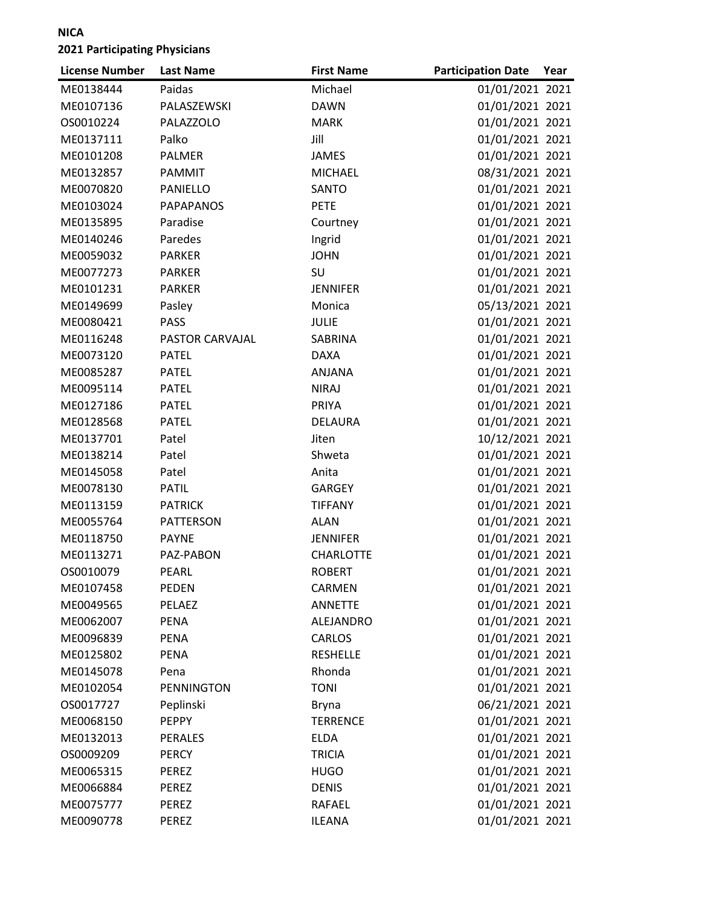| <b>License Number</b> | <b>Last Name</b>  | <b>First Name</b> | <b>Participation Date</b> | Year |
|-----------------------|-------------------|-------------------|---------------------------|------|
| ME0138444             | Paidas            | Michael           | 01/01/2021 2021           |      |
| ME0107136             | PALASZEWSKI       | <b>DAWN</b>       | 01/01/2021 2021           |      |
| OS0010224             | PALAZZOLO         | <b>MARK</b>       | 01/01/2021 2021           |      |
| ME0137111             | Palko             | Jill              | 01/01/2021 2021           |      |
| ME0101208             | PALMER            | <b>JAMES</b>      | 01/01/2021 2021           |      |
| ME0132857             | PAMMIT            | <b>MICHAEL</b>    | 08/31/2021 2021           |      |
| ME0070820             | PANIELLO          | SANTO             | 01/01/2021 2021           |      |
| ME0103024             | <b>PAPAPANOS</b>  | <b>PETE</b>       | 01/01/2021 2021           |      |
| ME0135895             | Paradise          | Courtney          | 01/01/2021 2021           |      |
| ME0140246             | Paredes           | Ingrid            | 01/01/2021 2021           |      |
| ME0059032             | <b>PARKER</b>     | <b>JOHN</b>       | 01/01/2021 2021           |      |
| ME0077273             | <b>PARKER</b>     | SU                | 01/01/2021 2021           |      |
| ME0101231             | <b>PARKER</b>     | <b>JENNIFER</b>   | 01/01/2021 2021           |      |
| ME0149699             | Pasley            | Monica            | 05/13/2021 2021           |      |
| ME0080421             | <b>PASS</b>       | <b>JULIE</b>      | 01/01/2021 2021           |      |
| ME0116248             | PASTOR CARVAJAL   | SABRINA           | 01/01/2021 2021           |      |
| ME0073120             | <b>PATEL</b>      | <b>DAXA</b>       | 01/01/2021 2021           |      |
| ME0085287             | <b>PATEL</b>      | ANJANA            | 01/01/2021 2021           |      |
| ME0095114             | <b>PATEL</b>      | <b>NIRAJ</b>      | 01/01/2021 2021           |      |
| ME0127186             | <b>PATEL</b>      | PRIYA             | 01/01/2021 2021           |      |
| ME0128568             | <b>PATEL</b>      | <b>DELAURA</b>    | 01/01/2021 2021           |      |
| ME0137701             | Patel             | Jiten             | 10/12/2021 2021           |      |
| ME0138214             | Patel             | Shweta            | 01/01/2021 2021           |      |
| ME0145058             | Patel             | Anita             | 01/01/2021 2021           |      |
| ME0078130             | <b>PATIL</b>      | <b>GARGEY</b>     | 01/01/2021 2021           |      |
| ME0113159             | <b>PATRICK</b>    | <b>TIFFANY</b>    | 01/01/2021 2021           |      |
| ME0055764             | <b>PATTERSON</b>  | <b>ALAN</b>       | 01/01/2021 2021           |      |
| ME0118750             | <b>PAYNE</b>      | <b>JENNIFER</b>   | 01/01/2021 2021           |      |
| ME0113271             | PAZ-PABON         | <b>CHARLOTTE</b>  | 01/01/2021 2021           |      |
| OS0010079             | PEARL             | <b>ROBERT</b>     | 01/01/2021 2021           |      |
| ME0107458             | <b>PEDEN</b>      | CARMEN            | 01/01/2021 2021           |      |
| ME0049565             | PELAEZ            | <b>ANNETTE</b>    | 01/01/2021 2021           |      |
| ME0062007             | <b>PENA</b>       | ALEJANDRO         | 01/01/2021 2021           |      |
| ME0096839             | <b>PENA</b>       | <b>CARLOS</b>     | 01/01/2021 2021           |      |
| ME0125802             | PENA              | <b>RESHELLE</b>   | 01/01/2021 2021           |      |
| ME0145078             | Pena              | Rhonda            | 01/01/2021 2021           |      |
| ME0102054             | <b>PENNINGTON</b> | <b>TONI</b>       | 01/01/2021 2021           |      |
| OS0017727             | Peplinski         | <b>Bryna</b>      | 06/21/2021 2021           |      |
| ME0068150             | <b>PEPPY</b>      | <b>TERRENCE</b>   | 01/01/2021 2021           |      |
| ME0132013             | <b>PERALES</b>    | <b>ELDA</b>       | 01/01/2021 2021           |      |
| OS0009209             | <b>PERCY</b>      | <b>TRICIA</b>     | 01/01/2021 2021           |      |
| ME0065315             | PEREZ             | <b>HUGO</b>       | 01/01/2021 2021           |      |
| ME0066884             | <b>PEREZ</b>      | <b>DENIS</b>      | 01/01/2021 2021           |      |
| ME0075777             | <b>PEREZ</b>      | <b>RAFAEL</b>     | 01/01/2021 2021           |      |
| ME0090778             | PEREZ             | <b>ILEANA</b>     | 01/01/2021 2021           |      |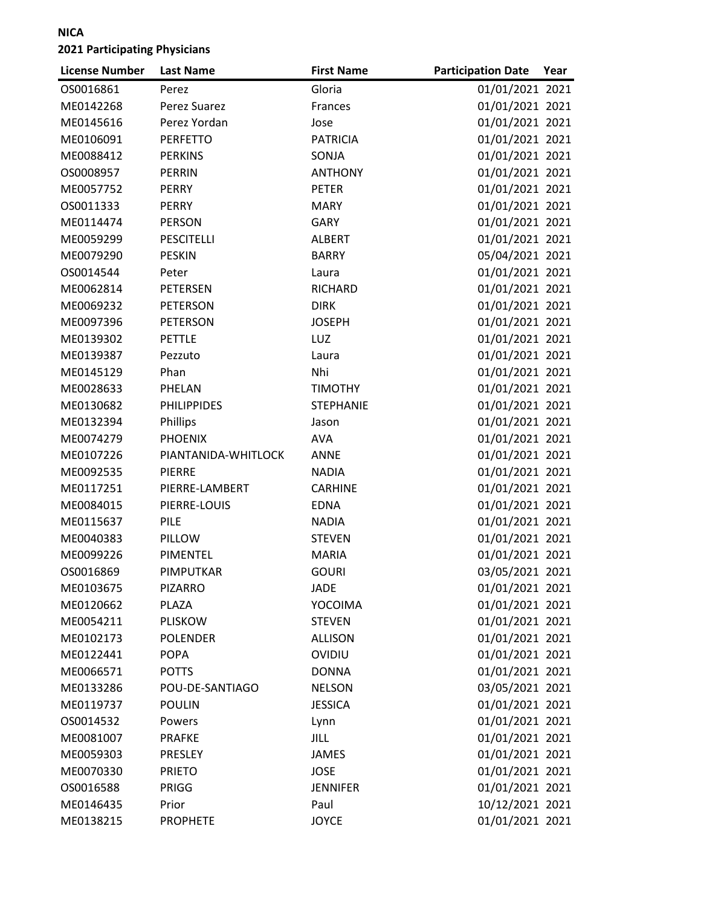| <b>License Number</b> | <b>Last Name</b>    | <b>First Name</b> | <b>Participation Date</b> | Year |
|-----------------------|---------------------|-------------------|---------------------------|------|
| OS0016861             | Perez               | Gloria            | 01/01/2021 2021           |      |
| ME0142268             | Perez Suarez        | Frances           | 01/01/2021 2021           |      |
| ME0145616             | Perez Yordan        | Jose              | 01/01/2021 2021           |      |
| ME0106091             | <b>PERFETTO</b>     | <b>PATRICIA</b>   | 01/01/2021 2021           |      |
| ME0088412             | <b>PERKINS</b>      | SONJA             | 01/01/2021 2021           |      |
| OS0008957             | <b>PERRIN</b>       | <b>ANTHONY</b>    | 01/01/2021 2021           |      |
| ME0057752             | <b>PERRY</b>        | <b>PETER</b>      | 01/01/2021 2021           |      |
| OS0011333             | <b>PERRY</b>        | <b>MARY</b>       | 01/01/2021 2021           |      |
| ME0114474             | <b>PERSON</b>       | <b>GARY</b>       | 01/01/2021 2021           |      |
| ME0059299             | <b>PESCITELLI</b>   | <b>ALBERT</b>     | 01/01/2021 2021           |      |
| ME0079290             | <b>PESKIN</b>       | <b>BARRY</b>      | 05/04/2021 2021           |      |
| OS0014544             | Peter               | Laura             | 01/01/2021 2021           |      |
| ME0062814             | <b>PETERSEN</b>     | <b>RICHARD</b>    | 01/01/2021 2021           |      |
| ME0069232             | <b>PETERSON</b>     | <b>DIRK</b>       | 01/01/2021 2021           |      |
| ME0097396             | <b>PETERSON</b>     | <b>JOSEPH</b>     | 01/01/2021 2021           |      |
| ME0139302             | <b>PETTLE</b>       | LUZ               | 01/01/2021 2021           |      |
| ME0139387             | Pezzuto             | Laura             | 01/01/2021 2021           |      |
| ME0145129             | Phan                | Nhi               | 01/01/2021 2021           |      |
| ME0028633             | PHELAN              | <b>TIMOTHY</b>    | 01/01/2021 2021           |      |
| ME0130682             | <b>PHILIPPIDES</b>  | <b>STEPHANIE</b>  | 01/01/2021 2021           |      |
| ME0132394             | Phillips            | Jason             | 01/01/2021 2021           |      |
| ME0074279             | <b>PHOENIX</b>      | <b>AVA</b>        | 01/01/2021 2021           |      |
| ME0107226             | PIANTANIDA-WHITLOCK | ANNE              | 01/01/2021 2021           |      |
| ME0092535             | <b>PIERRE</b>       | <b>NADIA</b>      | 01/01/2021 2021           |      |
| ME0117251             | PIERRE-LAMBERT      | <b>CARHINE</b>    | 01/01/2021 2021           |      |
| ME0084015             | PIERRE-LOUIS        | <b>EDNA</b>       | 01/01/2021 2021           |      |
| ME0115637             | PILE                | <b>NADIA</b>      | 01/01/2021 2021           |      |
| ME0040383             | PILLOW              | <b>STEVEN</b>     | 01/01/2021 2021           |      |
| ME0099226             | <b>PIMENTEL</b>     | <b>MARIA</b>      | 01/01/2021 2021           |      |
| OS0016869             | PIMPUTKAR           | <b>GOURI</b>      | 03/05/2021 2021           |      |
| ME0103675             | <b>PIZARRO</b>      | JADE              | 01/01/2021 2021           |      |
| ME0120662             | PLAZA               | YOCOIMA           | 01/01/2021 2021           |      |
| ME0054211             | <b>PLISKOW</b>      | <b>STEVEN</b>     | 01/01/2021 2021           |      |
| ME0102173             | <b>POLENDER</b>     | <b>ALLISON</b>    | 01/01/2021 2021           |      |
| ME0122441             | <b>POPA</b>         | OVIDIU            | 01/01/2021 2021           |      |
| ME0066571             | <b>POTTS</b>        | <b>DONNA</b>      | 01/01/2021 2021           |      |
| ME0133286             | POU-DE-SANTIAGO     | <b>NELSON</b>     | 03/05/2021 2021           |      |
| ME0119737             | <b>POULIN</b>       | <b>JESSICA</b>    | 01/01/2021 2021           |      |
| OS0014532             | Powers              | Lynn              | 01/01/2021 2021           |      |
| ME0081007             | <b>PRAFKE</b>       | JILL              | 01/01/2021 2021           |      |
| ME0059303             | PRESLEY             | <b>JAMES</b>      | 01/01/2021 2021           |      |
| ME0070330             | <b>PRIETO</b>       | <b>JOSE</b>       | 01/01/2021 2021           |      |
| OS0016588             | PRIGG               | <b>JENNIFER</b>   | 01/01/2021 2021           |      |
| ME0146435             | Prior               | Paul              | 10/12/2021 2021           |      |
| ME0138215             | <b>PROPHETE</b>     | <b>JOYCE</b>      | 01/01/2021 2021           |      |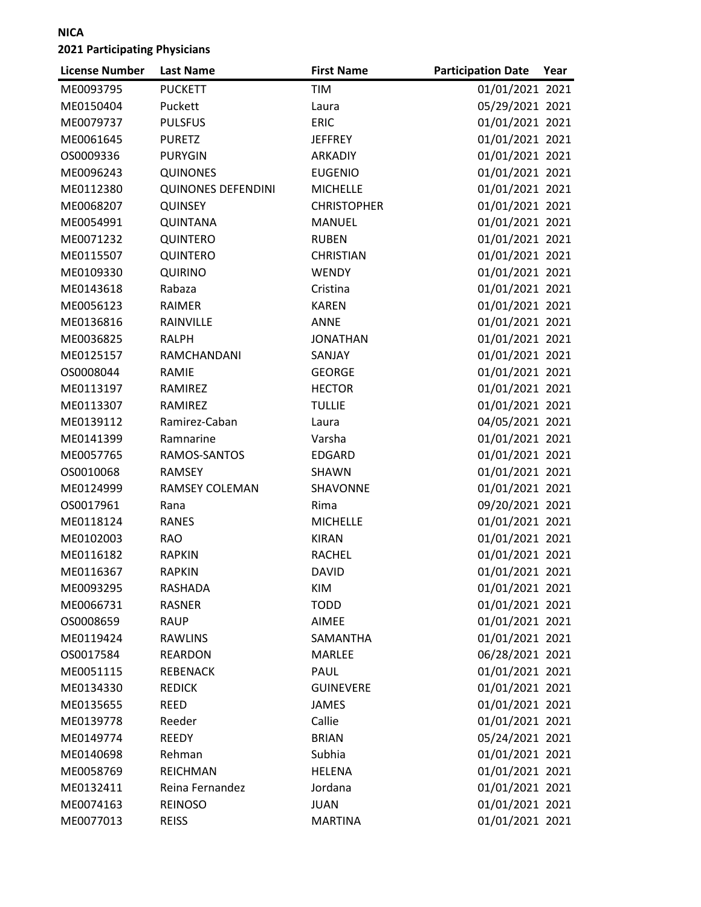| <b>License Number</b> | <b>Last Name</b>          | <b>First Name</b>  | <b>Participation Date</b> | Year |
|-----------------------|---------------------------|--------------------|---------------------------|------|
| ME0093795             | <b>PUCKETT</b>            | <b>TIM</b>         | 01/01/2021 2021           |      |
| ME0150404             | Puckett                   | Laura              | 05/29/2021 2021           |      |
| ME0079737             | <b>PULSFUS</b>            | <b>ERIC</b>        | 01/01/2021 2021           |      |
| ME0061645             | <b>PURETZ</b>             | <b>JEFFREY</b>     | 01/01/2021 2021           |      |
| OS0009336             | <b>PURYGIN</b>            | <b>ARKADIY</b>     | 01/01/2021 2021           |      |
| ME0096243             | <b>QUINONES</b>           | <b>EUGENIO</b>     | 01/01/2021 2021           |      |
| ME0112380             | <b>QUINONES DEFENDINI</b> | <b>MICHELLE</b>    | 01/01/2021 2021           |      |
| ME0068207             | <b>QUINSEY</b>            | <b>CHRISTOPHER</b> | 01/01/2021 2021           |      |
| ME0054991             | <b>QUINTANA</b>           | <b>MANUEL</b>      | 01/01/2021 2021           |      |
| ME0071232             | QUINTERO                  | <b>RUBEN</b>       | 01/01/2021 2021           |      |
| ME0115507             | QUINTERO                  | <b>CHRISTIAN</b>   | 01/01/2021 2021           |      |
| ME0109330             | <b>QUIRINO</b>            | WENDY              | 01/01/2021 2021           |      |
| ME0143618             | Rabaza                    | Cristina           | 01/01/2021 2021           |      |
| ME0056123             | <b>RAIMER</b>             | <b>KAREN</b>       | 01/01/2021 2021           |      |
| ME0136816             | RAINVILLE                 | <b>ANNE</b>        | 01/01/2021 2021           |      |
| ME0036825             | <b>RALPH</b>              | <b>JONATHAN</b>    | 01/01/2021 2021           |      |
| ME0125157             | RAMCHANDANI               | SANJAY             | 01/01/2021 2021           |      |
| OS0008044             | RAMIE                     | <b>GEORGE</b>      | 01/01/2021 2021           |      |
| ME0113197             | RAMIREZ                   | <b>HECTOR</b>      | 01/01/2021 2021           |      |
| ME0113307             | RAMIREZ                   | <b>TULLIE</b>      | 01/01/2021 2021           |      |
| ME0139112             | Ramirez-Caban             | Laura              | 04/05/2021 2021           |      |
| ME0141399             | Ramnarine                 | Varsha             | 01/01/2021 2021           |      |
| ME0057765             | RAMOS-SANTOS              | <b>EDGARD</b>      | 01/01/2021 2021           |      |
| OS0010068             | <b>RAMSEY</b>             | SHAWN              | 01/01/2021 2021           |      |
| ME0124999             | <b>RAMSEY COLEMAN</b>     | SHAVONNE           | 01/01/2021 2021           |      |
| OS0017961             | Rana                      | Rima               | 09/20/2021 2021           |      |
| ME0118124             | <b>RANES</b>              | <b>MICHELLE</b>    | 01/01/2021 2021           |      |
| ME0102003             | <b>RAO</b>                | <b>KIRAN</b>       | 01/01/2021 2021           |      |
| ME0116182             | <b>RAPKIN</b>             | <b>RACHEL</b>      | 01/01/2021 2021           |      |
| ME0116367             | <b>RAPKIN</b>             | <b>DAVID</b>       | 01/01/2021 2021           |      |
| ME0093295             | <b>RASHADA</b>            | <b>KIM</b>         | 01/01/2021 2021           |      |
| ME0066731             | <b>RASNER</b>             | <b>TODD</b>        | 01/01/2021 2021           |      |
| OS0008659             | <b>RAUP</b>               | AIMEE              | 01/01/2021 2021           |      |
| ME0119424             | <b>RAWLINS</b>            | SAMANTHA           | 01/01/2021 2021           |      |
| OS0017584             | <b>REARDON</b>            | MARLEE             | 06/28/2021 2021           |      |
| ME0051115             | <b>REBENACK</b>           | PAUL               | 01/01/2021 2021           |      |
| ME0134330             | <b>REDICK</b>             | <b>GUINEVERE</b>   | 01/01/2021 2021           |      |
| ME0135655             | <b>REED</b>               | <b>JAMES</b>       | 01/01/2021 2021           |      |
| ME0139778             | Reeder                    | Callie             | 01/01/2021 2021           |      |
| ME0149774             | REEDY                     | <b>BRIAN</b>       | 05/24/2021 2021           |      |
| ME0140698             | Rehman                    | Subhia             | 01/01/2021 2021           |      |
| ME0058769             | <b>REICHMAN</b>           | <b>HELENA</b>      | 01/01/2021 2021           |      |
| ME0132411             | Reina Fernandez           | Jordana            | 01/01/2021 2021           |      |
| ME0074163             | <b>REINOSO</b>            | <b>JUAN</b>        | 01/01/2021 2021           |      |
| ME0077013             | <b>REISS</b>              | <b>MARTINA</b>     | 01/01/2021 2021           |      |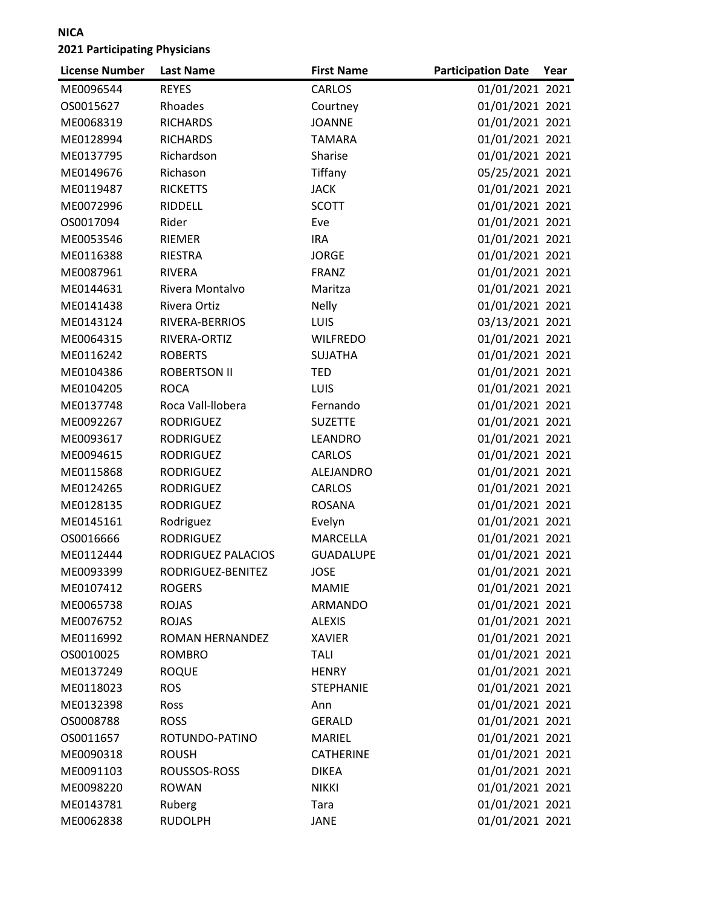| 01/01/2021 2021<br><b>REYES</b><br><b>CARLOS</b><br>ME0096544<br>Rhoades<br>01/01/2021 2021<br>OS0015627<br>Courtney<br>ME0068319<br><b>RICHARDS</b><br>01/01/2021 2021<br><b>JOANNE</b><br>01/01/2021 2021<br>ME0128994<br><b>RICHARDS</b><br><b>TAMARA</b><br>Richardson<br>01/01/2021 2021<br>ME0137795<br>Sharise<br>Tiffany<br>05/25/2021 2021<br>Richason<br>ME0149676<br>01/01/2021 2021<br>ME0119487<br><b>RICKETTS</b><br><b>JACK</b> |  |
|------------------------------------------------------------------------------------------------------------------------------------------------------------------------------------------------------------------------------------------------------------------------------------------------------------------------------------------------------------------------------------------------------------------------------------------------|--|
|                                                                                                                                                                                                                                                                                                                                                                                                                                                |  |
|                                                                                                                                                                                                                                                                                                                                                                                                                                                |  |
|                                                                                                                                                                                                                                                                                                                                                                                                                                                |  |
|                                                                                                                                                                                                                                                                                                                                                                                                                                                |  |
|                                                                                                                                                                                                                                                                                                                                                                                                                                                |  |
|                                                                                                                                                                                                                                                                                                                                                                                                                                                |  |
|                                                                                                                                                                                                                                                                                                                                                                                                                                                |  |
| 01/01/2021 2021<br>RIDDELL<br>ME0072996<br><b>SCOTT</b>                                                                                                                                                                                                                                                                                                                                                                                        |  |
| Rider<br>01/01/2021 2021<br>OS0017094<br>Eve                                                                                                                                                                                                                                                                                                                                                                                                   |  |
| RIEMER<br>01/01/2021 2021<br>ME0053546<br><b>IRA</b>                                                                                                                                                                                                                                                                                                                                                                                           |  |
| 01/01/2021 2021<br>ME0116388<br><b>RIESTRA</b><br><b>JORGE</b>                                                                                                                                                                                                                                                                                                                                                                                 |  |
| 01/01/2021 2021<br>ME0087961<br><b>RIVERA</b><br><b>FRANZ</b>                                                                                                                                                                                                                                                                                                                                                                                  |  |
| 01/01/2021 2021<br>ME0144631<br>Rivera Montalvo<br>Maritza                                                                                                                                                                                                                                                                                                                                                                                     |  |
| Rivera Ortiz<br>01/01/2021 2021<br>ME0141438<br><b>Nelly</b>                                                                                                                                                                                                                                                                                                                                                                                   |  |
| RIVERA-BERRIOS<br><b>LUIS</b><br>03/13/2021 2021<br>ME0143124                                                                                                                                                                                                                                                                                                                                                                                  |  |
| 01/01/2021 2021<br>ME0064315<br>RIVERA-ORTIZ<br><b>WILFREDO</b>                                                                                                                                                                                                                                                                                                                                                                                |  |
| 01/01/2021 2021<br>ME0116242<br><b>ROBERTS</b><br><b>SUJATHA</b>                                                                                                                                                                                                                                                                                                                                                                               |  |
| 01/01/2021 2021<br>ME0104386<br><b>ROBERTSON II</b><br><b>TED</b>                                                                                                                                                                                                                                                                                                                                                                              |  |
| 01/01/2021 2021<br><b>ROCA</b><br><b>LUIS</b><br>ME0104205                                                                                                                                                                                                                                                                                                                                                                                     |  |
| 01/01/2021 2021<br>ME0137748<br>Roca Vall-llobera<br>Fernando                                                                                                                                                                                                                                                                                                                                                                                  |  |
| 01/01/2021 2021<br><b>SUZETTE</b><br>ME0092267<br><b>RODRIGUEZ</b>                                                                                                                                                                                                                                                                                                                                                                             |  |
| 01/01/2021 2021<br>ME0093617<br><b>RODRIGUEZ</b><br>LEANDRO                                                                                                                                                                                                                                                                                                                                                                                    |  |
| 01/01/2021 2021<br>ME0094615<br><b>RODRIGUEZ</b><br>CARLOS                                                                                                                                                                                                                                                                                                                                                                                     |  |
| 01/01/2021 2021<br>ME0115868<br><b>RODRIGUEZ</b><br>ALEJANDRO                                                                                                                                                                                                                                                                                                                                                                                  |  |
| 01/01/2021 2021<br>ME0124265<br><b>RODRIGUEZ</b><br><b>CARLOS</b>                                                                                                                                                                                                                                                                                                                                                                              |  |
| 01/01/2021 2021<br>ME0128135<br><b>RODRIGUEZ</b><br><b>ROSANA</b>                                                                                                                                                                                                                                                                                                                                                                              |  |
| 01/01/2021 2021<br>ME0145161<br>Rodriguez<br>Evelyn                                                                                                                                                                                                                                                                                                                                                                                            |  |
| <b>RODRIGUEZ</b><br>01/01/2021 2021<br>OS0016666<br><b>MARCELLA</b>                                                                                                                                                                                                                                                                                                                                                                            |  |
| 01/01/2021 2021<br>RODRIGUEZ PALACIOS<br><b>GUADALUPE</b><br>ME0112444                                                                                                                                                                                                                                                                                                                                                                         |  |
| 01/01/2021 2021<br><b>JOSE</b><br>ME0093399<br>RODRIGUEZ-BENITEZ                                                                                                                                                                                                                                                                                                                                                                               |  |
| 01/01/2021 2021<br><b>ROGERS</b><br>ME0107412<br><b>MAMIE</b>                                                                                                                                                                                                                                                                                                                                                                                  |  |
| <b>ROJAS</b><br>01/01/2021 2021<br>ME0065738<br>ARMANDO                                                                                                                                                                                                                                                                                                                                                                                        |  |
| 01/01/2021 2021<br><b>ROJAS</b><br>ME0076752<br><b>ALEXIS</b>                                                                                                                                                                                                                                                                                                                                                                                  |  |
| 01/01/2021 2021<br>ME0116992<br>ROMAN HERNANDEZ<br><b>XAVIER</b>                                                                                                                                                                                                                                                                                                                                                                               |  |
| 01/01/2021 2021<br>OS0010025<br><b>ROMBRO</b><br><b>TALI</b>                                                                                                                                                                                                                                                                                                                                                                                   |  |
| 01/01/2021 2021<br>ME0137249<br><b>ROQUE</b><br><b>HENRY</b>                                                                                                                                                                                                                                                                                                                                                                                   |  |
| 01/01/2021 2021<br>ME0118023<br><b>ROS</b><br><b>STEPHANIE</b>                                                                                                                                                                                                                                                                                                                                                                                 |  |
| 01/01/2021 2021<br>ME0132398<br>Ross<br>Ann                                                                                                                                                                                                                                                                                                                                                                                                    |  |
| 01/01/2021 2021<br>OS0008788<br><b>ROSS</b><br><b>GERALD</b>                                                                                                                                                                                                                                                                                                                                                                                   |  |
| 01/01/2021 2021<br>OS0011657<br>ROTUNDO-PATINO<br><b>MARIEL</b>                                                                                                                                                                                                                                                                                                                                                                                |  |
| 01/01/2021 2021<br>ME0090318<br><b>ROUSH</b><br><b>CATHERINE</b>                                                                                                                                                                                                                                                                                                                                                                               |  |
| 01/01/2021 2021<br>ME0091103<br>ROUSSOS-ROSS<br><b>DIKEA</b>                                                                                                                                                                                                                                                                                                                                                                                   |  |
| 01/01/2021 2021<br>ME0098220<br><b>ROWAN</b><br><b>NIKKI</b>                                                                                                                                                                                                                                                                                                                                                                                   |  |
| 01/01/2021 2021<br>ME0143781<br>Ruberg<br>Tara                                                                                                                                                                                                                                                                                                                                                                                                 |  |
| 01/01/2021 2021<br><b>JANE</b><br>ME0062838<br><b>RUDOLPH</b>                                                                                                                                                                                                                                                                                                                                                                                  |  |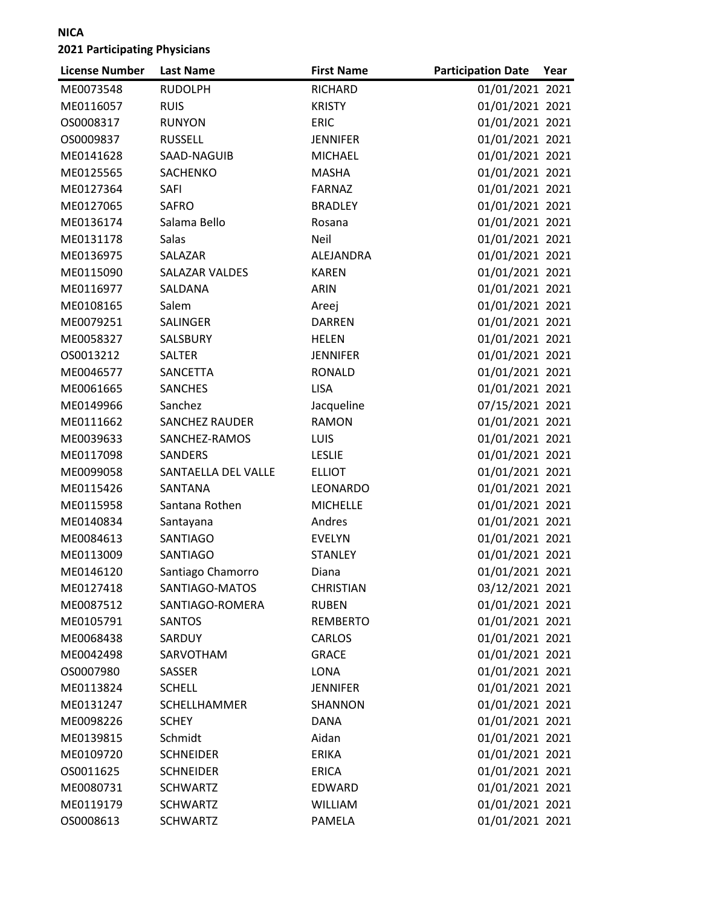| <b>License Number</b> | <b>Last Name</b>      | <b>First Name</b> | <b>Participation Date</b> | Year |
|-----------------------|-----------------------|-------------------|---------------------------|------|
| ME0073548             | <b>RUDOLPH</b>        | RICHARD           | 01/01/2021 2021           |      |
| ME0116057             | <b>RUIS</b>           | <b>KRISTY</b>     | 01/01/2021 2021           |      |
| OS0008317             | <b>RUNYON</b>         | <b>ERIC</b>       | 01/01/2021 2021           |      |
| OS0009837             | <b>RUSSELL</b>        | <b>JENNIFER</b>   | 01/01/2021 2021           |      |
| ME0141628             | SAAD-NAGUIB           | <b>MICHAEL</b>    | 01/01/2021 2021           |      |
| ME0125565             | SACHENKO              | <b>MASHA</b>      | 01/01/2021 2021           |      |
| ME0127364             | <b>SAFI</b>           | <b>FARNAZ</b>     | 01/01/2021 2021           |      |
| ME0127065             | <b>SAFRO</b>          | <b>BRADLEY</b>    | 01/01/2021 2021           |      |
| ME0136174             | Salama Bello          | Rosana            | 01/01/2021 2021           |      |
| ME0131178             | Salas                 | Neil              | 01/01/2021 2021           |      |
| ME0136975             | SALAZAR               | ALEJANDRA         | 01/01/2021 2021           |      |
| ME0115090             | SALAZAR VALDES        | <b>KAREN</b>      | 01/01/2021 2021           |      |
| ME0116977             | SALDANA               | ARIN              | 01/01/2021 2021           |      |
| ME0108165             | Salem                 | Areej             | 01/01/2021 2021           |      |
| ME0079251             | SALINGER              | <b>DARREN</b>     | 01/01/2021 2021           |      |
| ME0058327             | SALSBURY              | <b>HELEN</b>      | 01/01/2021 2021           |      |
| OS0013212             | <b>SALTER</b>         | <b>JENNIFER</b>   | 01/01/2021 2021           |      |
| ME0046577             | SANCETTA              | RONALD            | 01/01/2021 2021           |      |
| ME0061665             | <b>SANCHES</b>        | <b>LISA</b>       | 01/01/2021 2021           |      |
| ME0149966             | Sanchez               | Jacqueline        | 07/15/2021 2021           |      |
| ME0111662             | <b>SANCHEZ RAUDER</b> | <b>RAMON</b>      | 01/01/2021 2021           |      |
| ME0039633             | SANCHEZ-RAMOS         | <b>LUIS</b>       | 01/01/2021 2021           |      |
| ME0117098             | <b>SANDERS</b>        | <b>LESLIE</b>     | 01/01/2021 2021           |      |
| ME0099058             | SANTAELLA DEL VALLE   | <b>ELLIOT</b>     | 01/01/2021 2021           |      |
| ME0115426             | SANTANA               | LEONARDO          | 01/01/2021 2021           |      |
| ME0115958             | Santana Rothen        | <b>MICHELLE</b>   | 01/01/2021 2021           |      |
| ME0140834             | Santayana             | Andres            | 01/01/2021 2021           |      |
| ME0084613             | SANTIAGO              | <b>EVELYN</b>     | 01/01/2021 2021           |      |
| ME0113009             | SANTIAGO              | <b>STANLEY</b>    | 01/01/2021 2021           |      |
| ME0146120             | Santiago Chamorro     | Diana             | 01/01/2021 2021           |      |
| ME0127418             | SANTIAGO-MATOS        | <b>CHRISTIAN</b>  | 03/12/2021 2021           |      |
| ME0087512             | SANTIAGO-ROMERA       | <b>RUBEN</b>      | 01/01/2021 2021           |      |
| ME0105791             | SANTOS                | <b>REMBERTO</b>   | 01/01/2021 2021           |      |
| ME0068438             | <b>SARDUY</b>         | CARLOS            | 01/01/2021 2021           |      |
| ME0042498             | SARVOTHAM             | <b>GRACE</b>      | 01/01/2021 2021           |      |
| OS0007980             | SASSER                | LONA              | 01/01/2021 2021           |      |
| ME0113824             | <b>SCHELL</b>         | <b>JENNIFER</b>   | 01/01/2021 2021           |      |
| ME0131247             | SCHELLHAMMER          | <b>SHANNON</b>    | 01/01/2021 2021           |      |
| ME0098226             | <b>SCHEY</b>          | <b>DANA</b>       | 01/01/2021 2021           |      |
| ME0139815             | Schmidt               | Aidan             | 01/01/2021 2021           |      |
| ME0109720             | <b>SCHNEIDER</b>      | <b>ERIKA</b>      | 01/01/2021 2021           |      |
| OS0011625             | <b>SCHNEIDER</b>      | <b>ERICA</b>      | 01/01/2021 2021           |      |
| ME0080731             | <b>SCHWARTZ</b>       | <b>EDWARD</b>     | 01/01/2021 2021           |      |
| ME0119179             | <b>SCHWARTZ</b>       | <b>WILLIAM</b>    | 01/01/2021 2021           |      |
| OS0008613             | <b>SCHWARTZ</b>       | PAMELA            | 01/01/2021 2021           |      |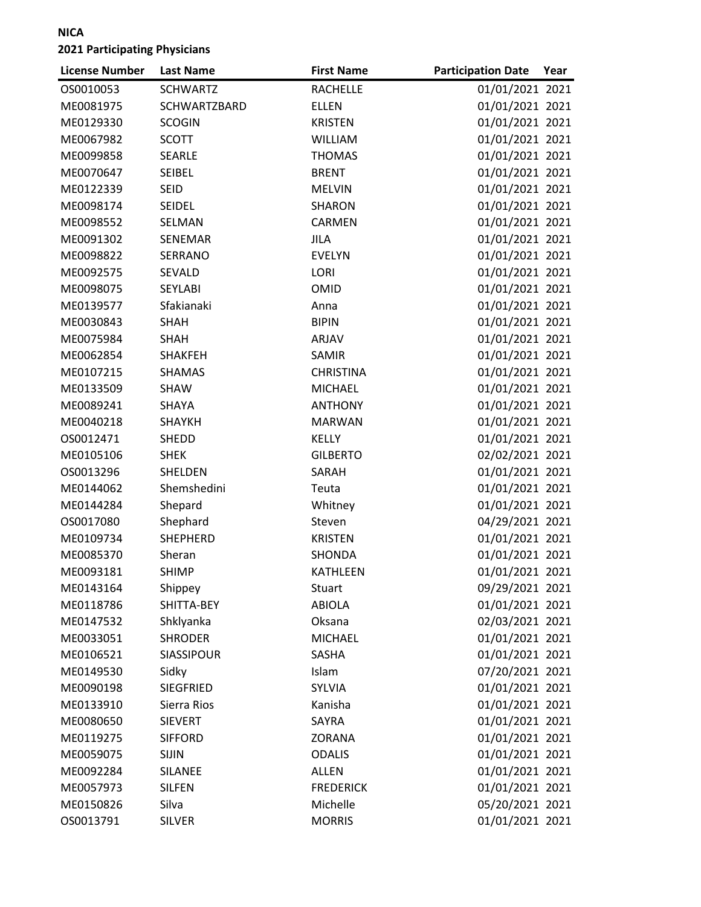| <b>License Number</b> | <b>Last Name</b> | <b>First Name</b> | <b>Participation Date</b> | Year |
|-----------------------|------------------|-------------------|---------------------------|------|
| OS0010053             | <b>SCHWARTZ</b>  | <b>RACHELLE</b>   | 01/01/2021 2021           |      |
| ME0081975             | SCHWARTZBARD     | <b>ELLEN</b>      | 01/01/2021 2021           |      |
| ME0129330             | <b>SCOGIN</b>    | <b>KRISTEN</b>    | 01/01/2021 2021           |      |
| ME0067982             | <b>SCOTT</b>     | <b>WILLIAM</b>    | 01/01/2021 2021           |      |
| ME0099858             | <b>SEARLE</b>    | <b>THOMAS</b>     | 01/01/2021 2021           |      |
| ME0070647             | <b>SEIBEL</b>    | <b>BRENT</b>      | 01/01/2021 2021           |      |
| ME0122339             | <b>SEID</b>      | <b>MELVIN</b>     | 01/01/2021 2021           |      |
| ME0098174             | <b>SEIDEL</b>    | <b>SHARON</b>     | 01/01/2021 2021           |      |
| ME0098552             | SELMAN           | CARMEN            | 01/01/2021 2021           |      |
| ME0091302             | SENEMAR          | <b>JILA</b>       | 01/01/2021 2021           |      |
| ME0098822             | SERRANO          | <b>EVELYN</b>     | 01/01/2021 2021           |      |
| ME0092575             | SEVALD           | LORI              | 01/01/2021 2021           |      |
| ME0098075             | <b>SEYLABI</b>   | OMID              | 01/01/2021 2021           |      |
| ME0139577             | Sfakianaki       | Anna              | 01/01/2021 2021           |      |
| ME0030843             | SHAH             | <b>BIPIN</b>      | 01/01/2021 2021           |      |
| ME0075984             | <b>SHAH</b>      | ARJAV             | 01/01/2021 2021           |      |
| ME0062854             | <b>SHAKFEH</b>   | SAMIR             | 01/01/2021 2021           |      |
| ME0107215             | <b>SHAMAS</b>    | <b>CHRISTINA</b>  | 01/01/2021 2021           |      |
| ME0133509             | SHAW             | <b>MICHAEL</b>    | 01/01/2021 2021           |      |
| ME0089241             | SHAYA            | <b>ANTHONY</b>    | 01/01/2021 2021           |      |
| ME0040218             | <b>SHAYKH</b>    | <b>MARWAN</b>     | 01/01/2021 2021           |      |
| OS0012471             | SHEDD            | <b>KELLY</b>      | 01/01/2021 2021           |      |
| ME0105106             | <b>SHEK</b>      | <b>GILBERTO</b>   | 02/02/2021 2021           |      |
| OS0013296             | SHELDEN          | SARAH             | 01/01/2021 2021           |      |
| ME0144062             | Shemshedini      | Teuta             | 01/01/2021 2021           |      |
| ME0144284             | Shepard          | Whitney           | 01/01/2021 2021           |      |
| OS0017080             | Shephard         | Steven            | 04/29/2021 2021           |      |
| ME0109734             | <b>SHEPHERD</b>  | <b>KRISTEN</b>    | 01/01/2021 2021           |      |
| ME0085370             | Sheran           | <b>SHONDA</b>     | 01/01/2021 2021           |      |
| ME0093181             | <b>SHIMP</b>     | <b>KATHLEEN</b>   | 01/01/2021 2021           |      |
| ME0143164             | Shippey          | <b>Stuart</b>     | 09/29/2021 2021           |      |
| ME0118786             | SHITTA-BEY       | <b>ABIOLA</b>     | 01/01/2021 2021           |      |
| ME0147532             | Shklyanka        | Oksana            | 02/03/2021 2021           |      |
| ME0033051             | <b>SHRODER</b>   | <b>MICHAEL</b>    | 01/01/2021 2021           |      |
| ME0106521             | SIASSIPOUR       | SASHA             | 01/01/2021 2021           |      |
| ME0149530             | Sidky            | Islam             | 07/20/2021 2021           |      |
| ME0090198             | <b>SIEGFRIED</b> | SYLVIA            | 01/01/2021 2021           |      |
| ME0133910             | Sierra Rios      | Kanisha           | 01/01/2021 2021           |      |
| ME0080650             | <b>SIEVERT</b>   | SAYRA             | 01/01/2021 2021           |      |
| ME0119275             | <b>SIFFORD</b>   | ZORANA            | 01/01/2021 2021           |      |
| ME0059075             | <b>SIJIN</b>     | <b>ODALIS</b>     | 01/01/2021 2021           |      |
| ME0092284             | <b>SILANEE</b>   | <b>ALLEN</b>      | 01/01/2021 2021           |      |
| ME0057973             | <b>SILFEN</b>    | <b>FREDERICK</b>  | 01/01/2021 2021           |      |
| ME0150826             | Silva            | Michelle          | 05/20/2021 2021           |      |
| OS0013791             | <b>SILVER</b>    | <b>MORRIS</b>     | 01/01/2021 2021           |      |
|                       |                  |                   |                           |      |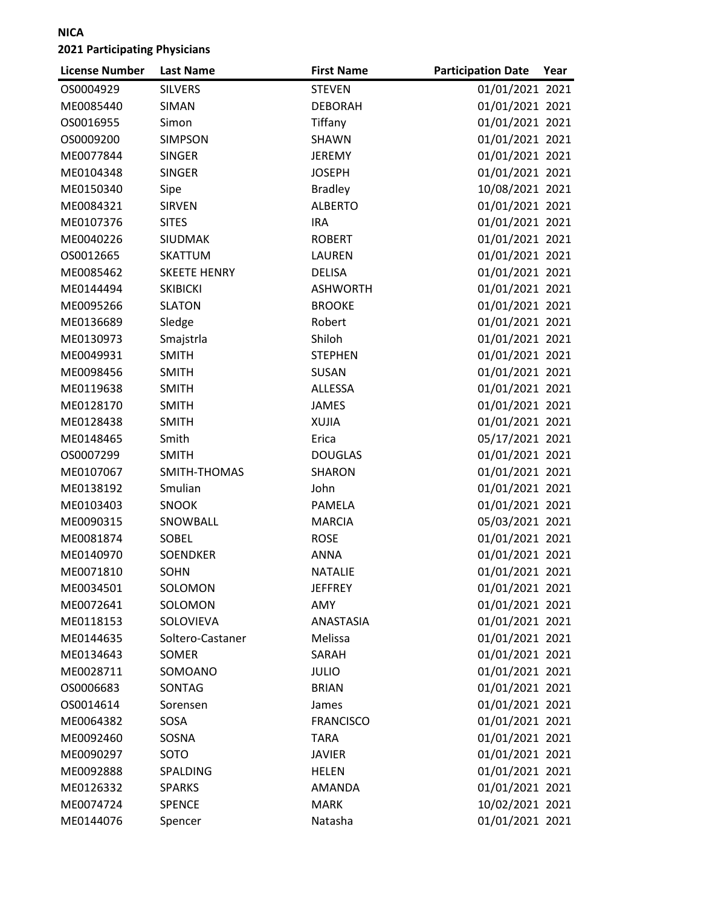| <b>License Number</b> | <b>Last Name</b>    | <b>First Name</b> | <b>Participation Date</b> | Year |
|-----------------------|---------------------|-------------------|---------------------------|------|
| OS0004929             | <b>SILVERS</b>      | <b>STEVEN</b>     | 01/01/2021 2021           |      |
| ME0085440             | <b>SIMAN</b>        | <b>DEBORAH</b>    | 01/01/2021 2021           |      |
| OS0016955             | Simon               | Tiffany           | 01/01/2021 2021           |      |
| OS0009200             | <b>SIMPSON</b>      | SHAWN             | 01/01/2021 2021           |      |
| ME0077844             | <b>SINGER</b>       | <b>JEREMY</b>     | 01/01/2021 2021           |      |
| ME0104348             | <b>SINGER</b>       | <b>JOSEPH</b>     | 01/01/2021 2021           |      |
| ME0150340             | Sipe                | <b>Bradley</b>    | 10/08/2021 2021           |      |
| ME0084321             | <b>SIRVEN</b>       | <b>ALBERTO</b>    | 01/01/2021 2021           |      |
| ME0107376             | <b>SITES</b>        | <b>IRA</b>        | 01/01/2021 2021           |      |
| ME0040226             | <b>SIUDMAK</b>      | <b>ROBERT</b>     | 01/01/2021 2021           |      |
| OS0012665             | SKATTUM             | LAUREN            | 01/01/2021 2021           |      |
| ME0085462             | <b>SKEETE HENRY</b> | <b>DELISA</b>     | 01/01/2021 2021           |      |
| ME0144494             | <b>SKIBICKI</b>     | <b>ASHWORTH</b>   | 01/01/2021 2021           |      |
| ME0095266             | <b>SLATON</b>       | <b>BROOKE</b>     | 01/01/2021 2021           |      |
| ME0136689             | Sledge              | Robert            | 01/01/2021 2021           |      |
| ME0130973             | Smajstrla           | Shiloh            | 01/01/2021 2021           |      |
| ME0049931             | <b>SMITH</b>        | <b>STEPHEN</b>    | 01/01/2021 2021           |      |
| ME0098456             | <b>SMITH</b>        | SUSAN             | 01/01/2021 2021           |      |
| ME0119638             | <b>SMITH</b>        | <b>ALLESSA</b>    | 01/01/2021 2021           |      |
| ME0128170             | <b>SMITH</b>        | <b>JAMES</b>      | 01/01/2021 2021           |      |
| ME0128438             | <b>SMITH</b>        | <b>XUJIA</b>      | 01/01/2021 2021           |      |
| ME0148465             | Smith               | Erica             | 05/17/2021 2021           |      |
| OS0007299             | <b>SMITH</b>        | <b>DOUGLAS</b>    | 01/01/2021 2021           |      |
| ME0107067             | SMITH-THOMAS        | <b>SHARON</b>     | 01/01/2021 2021           |      |
| ME0138192             | Smulian             | John              | 01/01/2021 2021           |      |
| ME0103403             | <b>SNOOK</b>        | PAMELA            | 01/01/2021 2021           |      |
| ME0090315             | SNOWBALL            | <b>MARCIA</b>     | 05/03/2021 2021           |      |
| ME0081874             | SOBEL               | <b>ROSE</b>       | 01/01/2021 2021           |      |
| ME0140970             | <b>SOENDKER</b>     | <b>ANNA</b>       | 01/01/2021 2021           |      |
| ME0071810             | <b>SOHN</b>         | <b>NATALIE</b>    | 01/01/2021 2021           |      |
| ME0034501             | SOLOMON             | <b>JEFFREY</b>    | 01/01/2021 2021           |      |
| ME0072641             | SOLOMON             | AMY               | 01/01/2021 2021           |      |
| ME0118153             | SOLOVIEVA           | ANASTASIA         | 01/01/2021 2021           |      |
| ME0144635             | Soltero-Castaner    | Melissa           | 01/01/2021 2021           |      |
| ME0134643             | <b>SOMER</b>        | SARAH             | 01/01/2021 2021           |      |
| ME0028711             | SOMOANO             | <b>JULIO</b>      | 01/01/2021 2021           |      |
| OS0006683             | SONTAG              | <b>BRIAN</b>      | 01/01/2021 2021           |      |
| OS0014614             | Sorensen            | James             | 01/01/2021 2021           |      |
| ME0064382             | SOSA                | <b>FRANCISCO</b>  | 01/01/2021 2021           |      |
| ME0092460             | SOSNA               | <b>TARA</b>       | 01/01/2021 2021           |      |
| ME0090297             | SOTO                | <b>JAVIER</b>     | 01/01/2021 2021           |      |
| ME0092888             | SPALDING            | HELEN             | 01/01/2021 2021           |      |
| ME0126332             | <b>SPARKS</b>       | <b>AMANDA</b>     | 01/01/2021 2021           |      |
| ME0074724             | <b>SPENCE</b>       | <b>MARK</b>       | 10/02/2021 2021           |      |
| ME0144076             | Spencer             | Natasha           | 01/01/2021 2021           |      |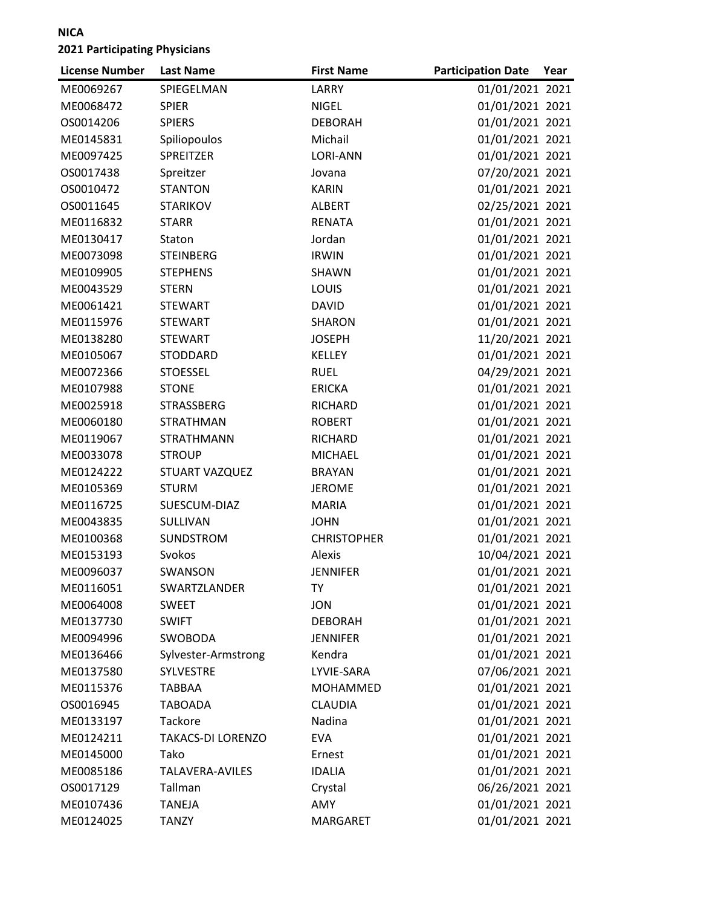| <b>License Number</b> | <b>Last Name</b>         | <b>First Name</b>  | <b>Participation Date</b> | Year |
|-----------------------|--------------------------|--------------------|---------------------------|------|
| ME0069267             | SPIEGELMAN               | LARRY              | 01/01/2021 2021           |      |
| ME0068472             | <b>SPIER</b>             | <b>NIGEL</b>       | 01/01/2021 2021           |      |
| OS0014206             | <b>SPIERS</b>            | <b>DEBORAH</b>     | 01/01/2021 2021           |      |
| ME0145831             | Spiliopoulos             | Michail            | 01/01/2021 2021           |      |
| ME0097425             | SPREITZER                | <b>LORI-ANN</b>    | 01/01/2021 2021           |      |
| OS0017438             | Spreitzer                | Jovana             | 07/20/2021 2021           |      |
| OS0010472             | <b>STANTON</b>           | <b>KARIN</b>       | 01/01/2021 2021           |      |
| OS0011645             | <b>STARIKOV</b>          | <b>ALBERT</b>      | 02/25/2021 2021           |      |
| ME0116832             | <b>STARR</b>             | <b>RENATA</b>      | 01/01/2021 2021           |      |
| ME0130417             | Staton                   | Jordan             | 01/01/2021 2021           |      |
| ME0073098             | <b>STEINBERG</b>         | <b>IRWIN</b>       | 01/01/2021 2021           |      |
| ME0109905             | <b>STEPHENS</b>          | SHAWN              | 01/01/2021 2021           |      |
| ME0043529             | <b>STERN</b>             | LOUIS              | 01/01/2021 2021           |      |
| ME0061421             | <b>STEWART</b>           | <b>DAVID</b>       | 01/01/2021 2021           |      |
| ME0115976             | <b>STEWART</b>           | SHARON             | 01/01/2021 2021           |      |
| ME0138280             | <b>STEWART</b>           | <b>JOSEPH</b>      | 11/20/2021 2021           |      |
| ME0105067             | STODDARD                 | <b>KELLEY</b>      | 01/01/2021 2021           |      |
| ME0072366             | <b>STOESSEL</b>          | <b>RUEL</b>        | 04/29/2021 2021           |      |
| ME0107988             | <b>STONE</b>             | <b>ERICKA</b>      | 01/01/2021 2021           |      |
| ME0025918             | <b>STRASSBERG</b>        | RICHARD            | 01/01/2021 2021           |      |
| ME0060180             | <b>STRATHMAN</b>         | <b>ROBERT</b>      | 01/01/2021 2021           |      |
| ME0119067             | <b>STRATHMANN</b>        | RICHARD            | 01/01/2021 2021           |      |
| ME0033078             | <b>STROUP</b>            | <b>MICHAEL</b>     | 01/01/2021 2021           |      |
| ME0124222             | STUART VAZQUEZ           | <b>BRAYAN</b>      | 01/01/2021 2021           |      |
| ME0105369             | <b>STURM</b>             | <b>JEROME</b>      | 01/01/2021 2021           |      |
| ME0116725             | SUESCUM-DIAZ             | <b>MARIA</b>       | 01/01/2021 2021           |      |
| ME0043835             | SULLIVAN                 | <b>JOHN</b>        | 01/01/2021 2021           |      |
| ME0100368             | <b>SUNDSTROM</b>         | <b>CHRISTOPHER</b> | 01/01/2021 2021           |      |
| ME0153193             | Svokos                   | Alexis             | 10/04/2021 2021           |      |
| ME0096037             | SWANSON                  | <b>JENNIFER</b>    | 01/01/2021 2021           |      |
| ME0116051             | SWARTZLANDER             | TY                 | 01/01/2021 2021           |      |
| ME0064008             | <b>SWEET</b>             | <b>JON</b>         | 01/01/2021 2021           |      |
| ME0137730             | <b>SWIFT</b>             | <b>DEBORAH</b>     | 01/01/2021 2021           |      |
| ME0094996             | SWOBODA                  | <b>JENNIFER</b>    | 01/01/2021 2021           |      |
| ME0136466             | Sylvester-Armstrong      | Kendra             | 01/01/2021 2021           |      |
| ME0137580             | SYLVESTRE                | LYVIE-SARA         | 07/06/2021 2021           |      |
| ME0115376             | <b>TABBAA</b>            | MOHAMMED           | 01/01/2021 2021           |      |
| OS0016945             | <b>TABOADA</b>           | <b>CLAUDIA</b>     | 01/01/2021 2021           |      |
| ME0133197             | Tackore                  | Nadina             | 01/01/2021 2021           |      |
| ME0124211             | <b>TAKACS-DI LORENZO</b> | <b>EVA</b>         | 01/01/2021 2021           |      |
| ME0145000             | Tako                     | Ernest             | 01/01/2021 2021           |      |
| ME0085186             | TALAVERA-AVILES          | <b>IDALIA</b>      | 01/01/2021 2021           |      |
| OS0017129             | Tallman                  | Crystal            | 06/26/2021 2021           |      |
| ME0107436             | <b>TANEJA</b>            | AMY                | 01/01/2021 2021           |      |
| ME0124025             | <b>TANZY</b>             | MARGARET           | 01/01/2021 2021           |      |
|                       |                          |                    |                           |      |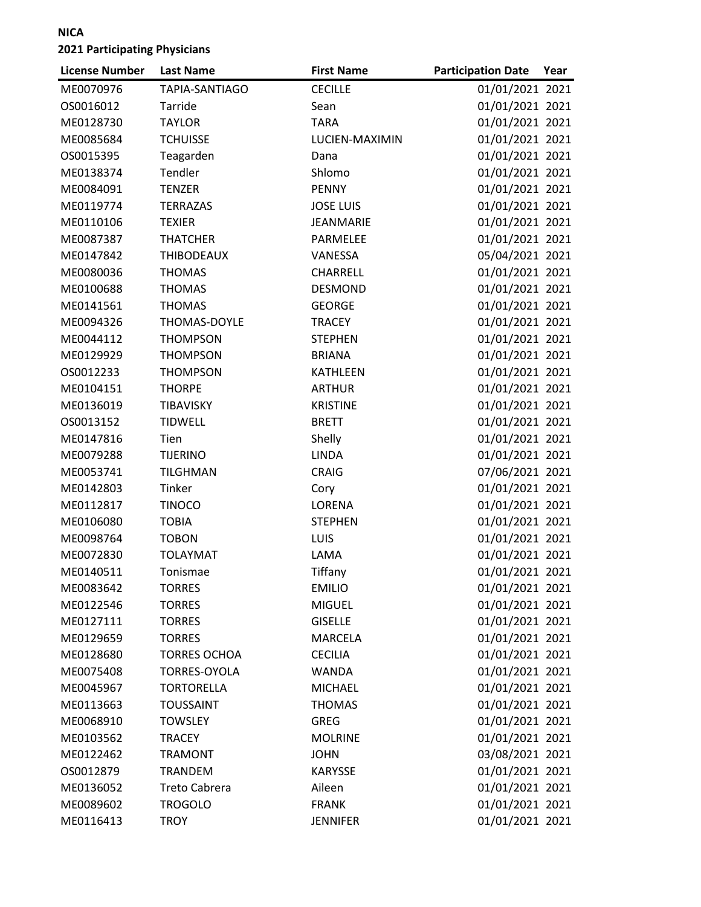| <b>License Number</b> | <b>Last Name</b>     | <b>First Name</b> | <b>Participation Date</b> | Year |
|-----------------------|----------------------|-------------------|---------------------------|------|
| ME0070976             | TAPIA-SANTIAGO       | <b>CECILLE</b>    | 01/01/2021 2021           |      |
| OS0016012             | Tarride              | Sean              | 01/01/2021 2021           |      |
| ME0128730             | <b>TAYLOR</b>        | <b>TARA</b>       | 01/01/2021 2021           |      |
| ME0085684             | <b>TCHUISSE</b>      | LUCIEN-MAXIMIN    | 01/01/2021 2021           |      |
| OS0015395             | Teagarden            | Dana              | 01/01/2021 2021           |      |
| ME0138374             | Tendler              | Shlomo            | 01/01/2021 2021           |      |
| ME0084091             | <b>TENZER</b>        | <b>PENNY</b>      | 01/01/2021 2021           |      |
| ME0119774             | TERRAZAS             | <b>JOSE LUIS</b>  | 01/01/2021 2021           |      |
| ME0110106             | <b>TEXIER</b>        | JEANMARIE         | 01/01/2021 2021           |      |
| ME0087387             | <b>THATCHER</b>      | PARMELEE          | 01/01/2021 2021           |      |
| ME0147842             | <b>THIBODEAUX</b>    | VANESSA           | 05/04/2021 2021           |      |
| ME0080036             | <b>THOMAS</b>        | CHARRELL          | 01/01/2021 2021           |      |
| ME0100688             | <b>THOMAS</b>        | <b>DESMOND</b>    | 01/01/2021 2021           |      |
| ME0141561             | <b>THOMAS</b>        | <b>GEORGE</b>     | 01/01/2021 2021           |      |
| ME0094326             | THOMAS-DOYLE         | <b>TRACEY</b>     | 01/01/2021 2021           |      |
| ME0044112             | <b>THOMPSON</b>      | <b>STEPHEN</b>    | 01/01/2021 2021           |      |
| ME0129929             | <b>THOMPSON</b>      | <b>BRIANA</b>     | 01/01/2021 2021           |      |
| OS0012233             | <b>THOMPSON</b>      | <b>KATHLEEN</b>   | 01/01/2021 2021           |      |
| ME0104151             | <b>THORPE</b>        | <b>ARTHUR</b>     | 01/01/2021 2021           |      |
| ME0136019             | TIBAVISKY            | <b>KRISTINE</b>   | 01/01/2021 2021           |      |
| OS0013152             | <b>TIDWELL</b>       | <b>BRETT</b>      | 01/01/2021 2021           |      |
| ME0147816             | Tien                 | Shelly            | 01/01/2021 2021           |      |
| ME0079288             | <b>TIJERINO</b>      | <b>LINDA</b>      | 01/01/2021 2021           |      |
| ME0053741             | <b>TILGHMAN</b>      | <b>CRAIG</b>      | 07/06/2021 2021           |      |
| ME0142803             | Tinker               | Cory              | 01/01/2021 2021           |      |
| ME0112817             | <b>TINOCO</b>        | <b>LORENA</b>     | 01/01/2021 2021           |      |
| ME0106080             | <b>TOBIA</b>         | <b>STEPHEN</b>    | 01/01/2021 2021           |      |
| ME0098764             | <b>TOBON</b>         | LUIS              | 01/01/2021 2021           |      |
| ME0072830             | <b>TOLAYMAT</b>      | LAMA              | 01/01/2021 2021           |      |
| ME0140511             | Tonismae             | Tiffany           | 01/01/2021 2021           |      |
| ME0083642             | <b>TORRES</b>        | <b>EMILIO</b>     | 01/01/2021 2021           |      |
| ME0122546             | <b>TORRES</b>        | <b>MIGUEL</b>     | 01/01/2021 2021           |      |
| ME0127111             | <b>TORRES</b>        | <b>GISELLE</b>    | 01/01/2021 2021           |      |
| ME0129659             | <b>TORRES</b>        | <b>MARCELA</b>    | 01/01/2021 2021           |      |
| ME0128680             | <b>TORRES OCHOA</b>  | <b>CECILIA</b>    | 01/01/2021 2021           |      |
| ME0075408             | TORRES-OYOLA         | <b>WANDA</b>      | 01/01/2021 2021           |      |
| ME0045967             | <b>TORTORELLA</b>    | <b>MICHAEL</b>    | 01/01/2021 2021           |      |
| ME0113663             | <b>TOUSSAINT</b>     | <b>THOMAS</b>     | 01/01/2021 2021           |      |
| ME0068910             | <b>TOWSLEY</b>       | <b>GREG</b>       | 01/01/2021 2021           |      |
| ME0103562             | <b>TRACEY</b>        | <b>MOLRINE</b>    | 01/01/2021 2021           |      |
| ME0122462             | <b>TRAMONT</b>       | <b>JOHN</b>       | 03/08/2021 2021           |      |
| OS0012879             | <b>TRANDEM</b>       | <b>KARYSSE</b>    | 01/01/2021 2021           |      |
| ME0136052             | <b>Treto Cabrera</b> | Aileen            | 01/01/2021 2021           |      |
| ME0089602             | <b>TROGOLO</b>       | <b>FRANK</b>      | 01/01/2021 2021           |      |
| ME0116413             | <b>TROY</b>          | <b>JENNIFER</b>   | 01/01/2021 2021           |      |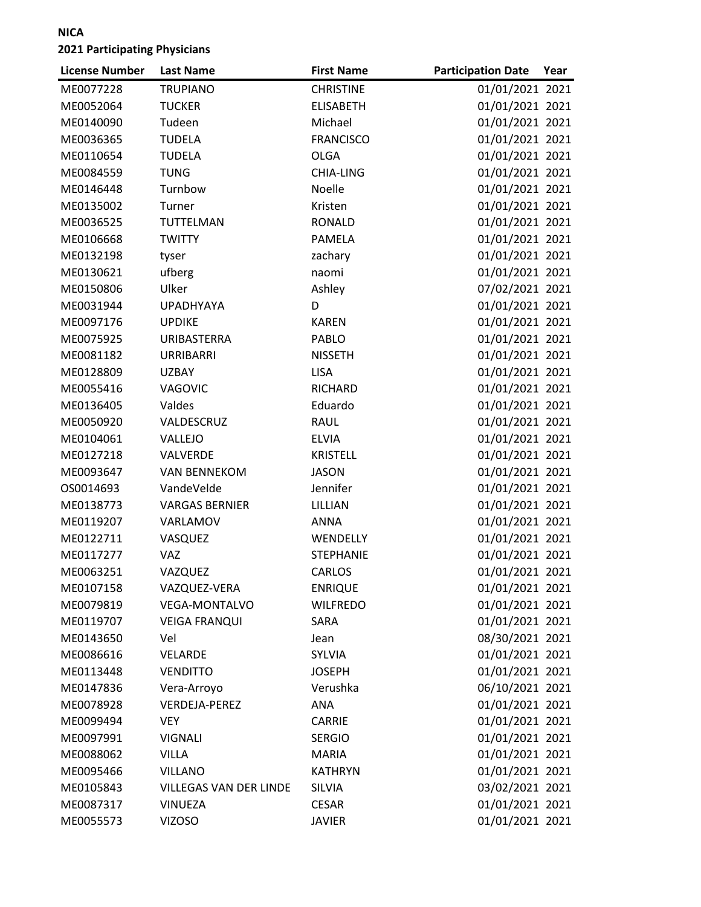| <b>License Number</b> | <b>Last Name</b>              | <b>First Name</b> | <b>Participation Date</b> | Year |
|-----------------------|-------------------------------|-------------------|---------------------------|------|
| ME0077228             | <b>TRUPIANO</b>               | <b>CHRISTINE</b>  | 01/01/2021 2021           |      |
| ME0052064             | <b>TUCKER</b>                 | <b>ELISABETH</b>  | 01/01/2021 2021           |      |
| ME0140090             | Tudeen                        | Michael           | 01/01/2021 2021           |      |
| ME0036365             | <b>TUDELA</b>                 | <b>FRANCISCO</b>  | 01/01/2021 2021           |      |
| ME0110654             | <b>TUDELA</b>                 | <b>OLGA</b>       | 01/01/2021 2021           |      |
| ME0084559             | <b>TUNG</b>                   | CHIA-LING         | 01/01/2021 2021           |      |
| ME0146448             | Turnbow                       | Noelle            | 01/01/2021 2021           |      |
| ME0135002             | Turner                        | Kristen           | 01/01/2021 2021           |      |
| ME0036525             | TUTTELMAN                     | <b>RONALD</b>     | 01/01/2021 2021           |      |
| ME0106668             | <b>TWITTY</b>                 | PAMELA            | 01/01/2021 2021           |      |
| ME0132198             | tyser                         | zachary           | 01/01/2021 2021           |      |
| ME0130621             | ufberg                        | naomi             | 01/01/2021 2021           |      |
| ME0150806             | Ulker                         | Ashley            | 07/02/2021 2021           |      |
| ME0031944             | <b>UPADHYAYA</b>              | D                 | 01/01/2021 2021           |      |
| ME0097176             | <b>UPDIKE</b>                 | <b>KAREN</b>      | 01/01/2021 2021           |      |
| ME0075925             | URIBASTERRA                   | PABLO             | 01/01/2021 2021           |      |
| ME0081182             | <b>URRIBARRI</b>              | <b>NISSETH</b>    | 01/01/2021 2021           |      |
| ME0128809             | <b>UZBAY</b>                  | <b>LISA</b>       | 01/01/2021 2021           |      |
| ME0055416             | <b>VAGOVIC</b>                | RICHARD           | 01/01/2021 2021           |      |
| ME0136405             | Valdes                        | Eduardo           | 01/01/2021 2021           |      |
| ME0050920             | VALDESCRUZ                    | <b>RAUL</b>       | 01/01/2021 2021           |      |
| ME0104061             | VALLEJO                       | <b>ELVIA</b>      | 01/01/2021 2021           |      |
| ME0127218             | <b>VALVERDE</b>               | <b>KRISTELL</b>   | 01/01/2021 2021           |      |
| ME0093647             | <b>VAN BENNEKOM</b>           | <b>JASON</b>      | 01/01/2021 2021           |      |
| OS0014693             | VandeVelde                    | Jennifer          | 01/01/2021 2021           |      |
| ME0138773             | <b>VARGAS BERNIER</b>         | LILLIAN           | 01/01/2021 2021           |      |
| ME0119207             | VARLAMOV                      | <b>ANNA</b>       | 01/01/2021 2021           |      |
| ME0122711             | VASQUEZ                       | WENDELLY          | 01/01/2021 2021           |      |
| ME0117277             | <b>VAZ</b>                    | <b>STEPHANIE</b>  | 01/01/2021 2021           |      |
| ME0063251             | VAZQUEZ                       | <b>CARLOS</b>     | 01/01/2021 2021           |      |
| ME0107158             | VAZQUEZ-VERA                  | <b>ENRIQUE</b>    | 01/01/2021 2021           |      |
| ME0079819             | VEGA-MONTALVO                 | <b>WILFREDO</b>   | 01/01/2021 2021           |      |
| ME0119707             | <b>VEIGA FRANQUI</b>          | SARA              | 01/01/2021 2021           |      |
| ME0143650             | Vel                           | Jean              | 08/30/2021 2021           |      |
| ME0086616             | VELARDE                       | <b>SYLVIA</b>     | 01/01/2021 2021           |      |
| ME0113448             | <b>VENDITTO</b>               | <b>JOSEPH</b>     | 01/01/2021 2021           |      |
| ME0147836             | Vera-Arroyo                   | Verushka          | 06/10/2021 2021           |      |
| ME0078928             | VERDEJA-PEREZ                 | ANA               | 01/01/2021 2021           |      |
| ME0099494             | <b>VEY</b>                    | CARRIE            | 01/01/2021 2021           |      |
| ME0097991             | <b>VIGNALI</b>                | <b>SERGIO</b>     | 01/01/2021 2021           |      |
| ME0088062             | <b>VILLA</b>                  | <b>MARIA</b>      | 01/01/2021 2021           |      |
| ME0095466             | <b>VILLANO</b>                | <b>KATHRYN</b>    | 01/01/2021 2021           |      |
| ME0105843             | <b>VILLEGAS VAN DER LINDE</b> | SILVIA            | 03/02/2021 2021           |      |
| ME0087317             | <b>VINUEZA</b>                | <b>CESAR</b>      | 01/01/2021 2021           |      |
| ME0055573             | <b>VIZOSO</b>                 | <b>JAVIER</b>     | 01/01/2021 2021           |      |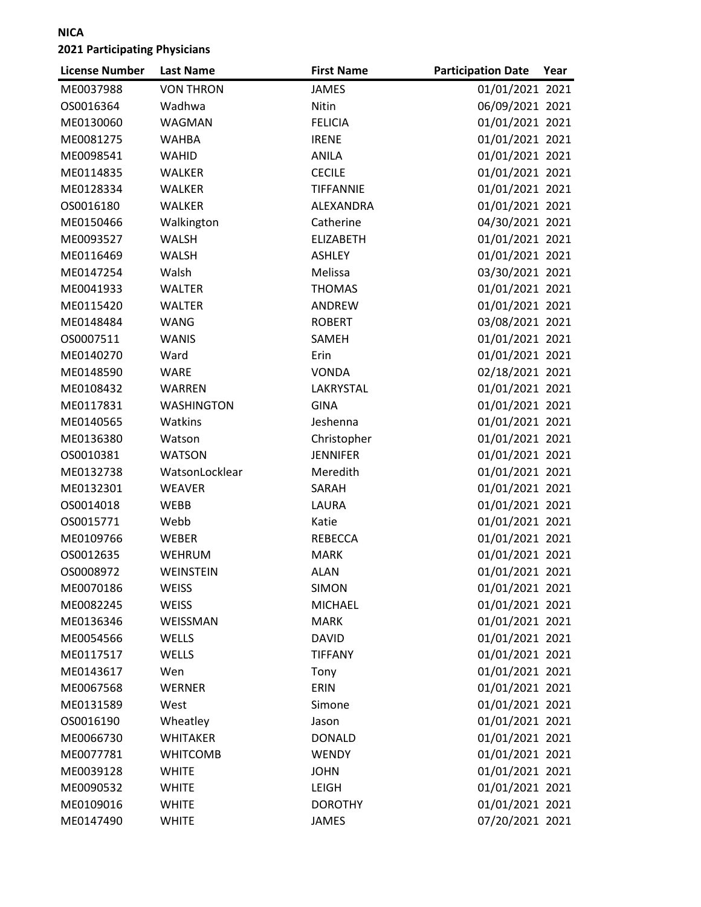| <b>License Number</b> | <b>Last Name</b>  | <b>First Name</b> | <b>Participation Date</b> | Year |
|-----------------------|-------------------|-------------------|---------------------------|------|
| ME0037988             | <b>VON THRON</b>  | <b>JAMES</b>      | 01/01/2021 2021           |      |
| OS0016364             | Wadhwa            | Nitin             | 06/09/2021 2021           |      |
| ME0130060             | WAGMAN            | <b>FELICIA</b>    | 01/01/2021 2021           |      |
| ME0081275             | <b>WAHBA</b>      | <b>IRENE</b>      | 01/01/2021 2021           |      |
| ME0098541             | WAHID             | <b>ANILA</b>      | 01/01/2021 2021           |      |
| ME0114835             | <b>WALKER</b>     | <b>CECILE</b>     | 01/01/2021 2021           |      |
| ME0128334             | WALKER            | <b>TIFFANNIE</b>  | 01/01/2021 2021           |      |
| OS0016180             | <b>WALKER</b>     | ALEXANDRA         | 01/01/2021 2021           |      |
| ME0150466             | Walkington        | Catherine         | 04/30/2021 2021           |      |
| ME0093527             | <b>WALSH</b>      | <b>ELIZABETH</b>  | 01/01/2021 2021           |      |
| ME0116469             | <b>WALSH</b>      | <b>ASHLEY</b>     | 01/01/2021 2021           |      |
| ME0147254             | Walsh             | Melissa           | 03/30/2021 2021           |      |
| ME0041933             | WALTER            | <b>THOMAS</b>     | 01/01/2021 2021           |      |
| ME0115420             | <b>WALTER</b>     | <b>ANDREW</b>     | 01/01/2021 2021           |      |
| ME0148484             | <b>WANG</b>       | <b>ROBERT</b>     | 03/08/2021 2021           |      |
| OS0007511             | <b>WANIS</b>      | SAMEH             | 01/01/2021 2021           |      |
| ME0140270             | Ward              | Erin              | 01/01/2021 2021           |      |
| ME0148590             | <b>WARE</b>       | <b>VONDA</b>      | 02/18/2021 2021           |      |
| ME0108432             | <b>WARREN</b>     | LAKRYSTAL         | 01/01/2021 2021           |      |
| ME0117831             | <b>WASHINGTON</b> | <b>GINA</b>       | 01/01/2021 2021           |      |
| ME0140565             | Watkins           | Jeshenna          | 01/01/2021 2021           |      |
| ME0136380             | Watson            | Christopher       | 01/01/2021 2021           |      |
| OS0010381             | <b>WATSON</b>     | <b>JENNIFER</b>   | 01/01/2021 2021           |      |
| ME0132738             | WatsonLocklear    | Meredith          | 01/01/2021 2021           |      |
| ME0132301             | <b>WEAVER</b>     | SARAH             | 01/01/2021 2021           |      |
| OS0014018             | <b>WEBB</b>       | LAURA             | 01/01/2021 2021           |      |
| OS0015771             | Webb              | Katie             | 01/01/2021 2021           |      |
| ME0109766             | WEBER             | <b>REBECCA</b>    | 01/01/2021 2021           |      |
| OS0012635             | <b>WEHRUM</b>     | <b>MARK</b>       | 01/01/2021 2021           |      |
| OS0008972             | WEINSTEIN         | <b>ALAN</b>       | 01/01/2021 2021           |      |
| ME0070186             | <b>WEISS</b>      | <b>SIMON</b>      | 01/01/2021 2021           |      |
| ME0082245             | <b>WEISS</b>      | <b>MICHAEL</b>    | 01/01/2021 2021           |      |
| ME0136346             | WEISSMAN          | <b>MARK</b>       | 01/01/2021 2021           |      |
| ME0054566             | WELLS             | <b>DAVID</b>      | 01/01/2021 2021           |      |
| ME0117517             | WELLS             | <b>TIFFANY</b>    | 01/01/2021 2021           |      |
| ME0143617             | Wen               | Tony              | 01/01/2021 2021           |      |
| ME0067568             | <b>WERNER</b>     | ERIN              | 01/01/2021 2021           |      |
| ME0131589             | West              | Simone            | 01/01/2021 2021           |      |
| OS0016190             | Wheatley          | Jason             | 01/01/2021 2021           |      |
| ME0066730             | <b>WHITAKER</b>   | <b>DONALD</b>     | 01/01/2021 2021           |      |
| ME0077781             | <b>WHITCOMB</b>   | <b>WENDY</b>      | 01/01/2021 2021           |      |
| ME0039128             | <b>WHITE</b>      | <b>JOHN</b>       | 01/01/2021 2021           |      |
| ME0090532             | <b>WHITE</b>      | <b>LEIGH</b>      | 01/01/2021 2021           |      |
| ME0109016             | <b>WHITE</b>      | <b>DOROTHY</b>    | 01/01/2021 2021           |      |
| ME0147490             | <b>WHITE</b>      | <b>JAMES</b>      | 07/20/2021 2021           |      |
|                       |                   |                   |                           |      |